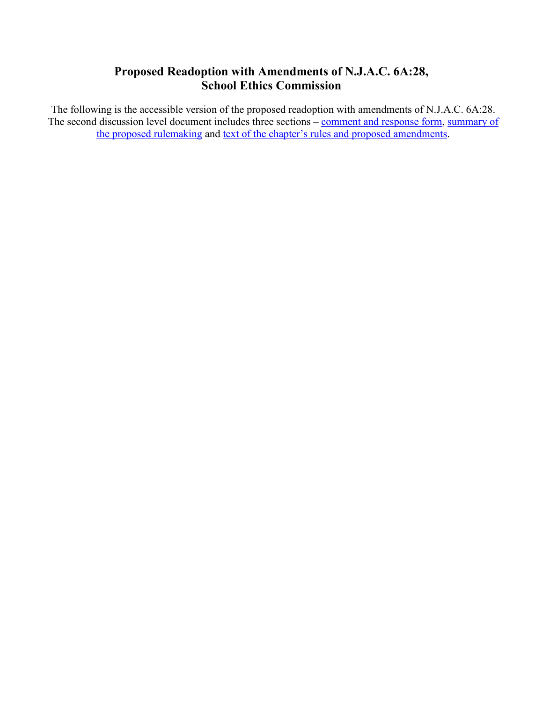# **Proposed Readoption with Amendments of N.J.A.C. 6A:28, School Ethics Commission**

The following is the accessible version of the proposed readoption with amendments of N.J.A.C. 6A:28. The second discussion level document includes three sections – [comment and response form,](#page-1-0) summary of [the proposed rulemaking](#page-3-0) and [text of the chapter's rules and proposed amendments.](#page-41-0)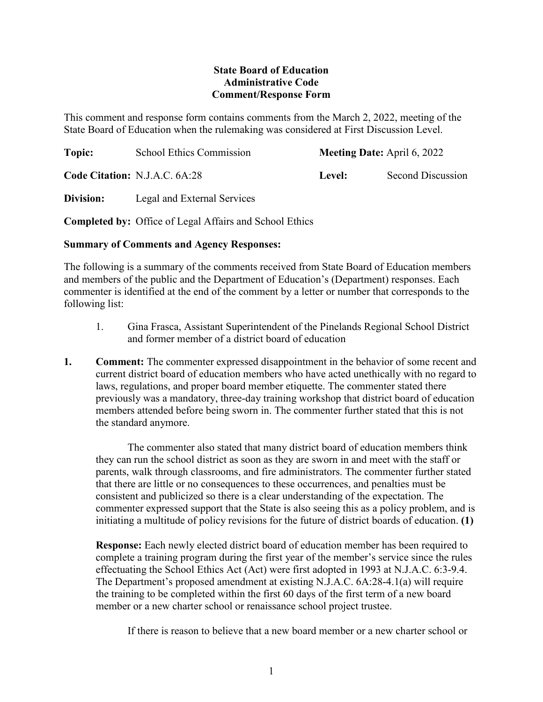# **State Board of Education Administrative Code Comment/Response Form**

<span id="page-1-0"></span>This comment and response form contains comments from the March 2, 2022, meeting of the State Board of Education when the rulemaking was considered at First Discussion Level.

| Topic:                        | <b>School Ethics Commission</b> |  |                                            |  | <b>Meeting Date:</b> April 6, 2022 |        |  |                          |  |
|-------------------------------|---------------------------------|--|--------------------------------------------|--|------------------------------------|--------|--|--------------------------|--|
| Code Citation: N.J.A.C. 6A:28 |                                 |  |                                            |  |                                    | Level: |  | <b>Second Discussion</b> |  |
| .                             |                                 |  | $\mathbf{r}$ 1 1 $\mathbf{r}$ 1 $\alpha$ 1 |  |                                    |        |  |                          |  |

**Division:** Legal and External Services

**Completed by:** Office of Legal Affairs and School Ethics

# **Summary of Comments and Agency Responses:**

The following is a summary of the comments received from State Board of Education members and members of the public and the Department of Education's (Department) responses. Each commenter is identified at the end of the comment by a letter or number that corresponds to the following list:

- 1. Gina Frasca, Assistant Superintendent of the Pinelands Regional School District and former member of a district board of education
- **1. Comment:** The commenter expressed disappointment in the behavior of some recent and current district board of education members who have acted unethically with no regard to laws, regulations, and proper board member etiquette. The commenter stated there previously was a mandatory, three-day training workshop that district board of education members attended before being sworn in. The commenter further stated that this is not the standard anymore.

The commenter also stated that many district board of education members think they can run the school district as soon as they are sworn in and meet with the staff or parents, walk through classrooms, and fire administrators. The commenter further stated that there are little or no consequences to these occurrences, and penalties must be consistent and publicized so there is a clear understanding of the expectation. The commenter expressed support that the State is also seeing this as a policy problem, and is initiating a multitude of policy revisions for the future of district boards of education. **(1)**

**Response:** Each newly elected district board of education member has been required to complete a training program during the first year of the member's service since the rules effectuating the School Ethics Act (Act) were first adopted in 1993 at N.J.A.C. 6:3-9.4. The Department's proposed amendment at existing N.J.A.C. 6A:28-4.1(a) will require the training to be completed within the first 60 days of the first term of a new board member or a new charter school or renaissance school project trustee.

If there is reason to believe that a new board member or a new charter school or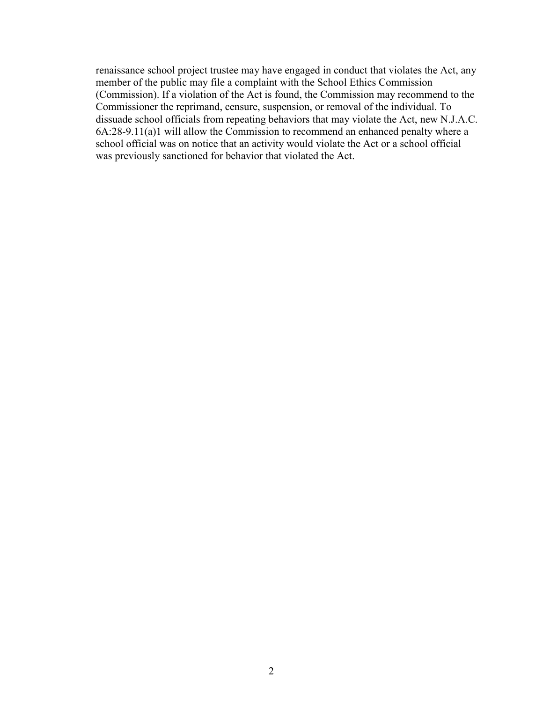renaissance school project trustee may have engaged in conduct that violates the Act, any member of the public may file a complaint with the School Ethics Commission (Commission). If a violation of the Act is found, the Commission may recommend to the Commissioner the reprimand, censure, suspension, or removal of the individual. To dissuade school officials from repeating behaviors that may violate the Act, new N.J.A.C. 6A:28-9.11(a)1 will allow the Commission to recommend an enhanced penalty where a school official was on notice that an activity would violate the Act or a school official was previously sanctioned for behavior that violated the Act.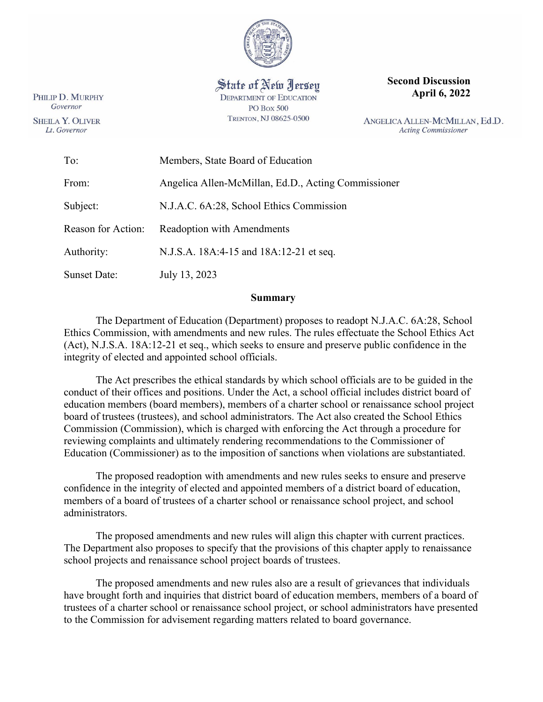

State of New Jersey **DEPARTMENT OF EDUCATION PO Box 500** TRENTON, NJ 08625-0500

**Second Discussion April 6, 2022**

ANGELICA ALLEN-MCMILLAN, Ed.D. **Acting Commissioner** 

| To:                 | Members, State Board of Education                   |  |  |  |  |  |  |
|---------------------|-----------------------------------------------------|--|--|--|--|--|--|
| From:               | Angelica Allen-McMillan, Ed.D., Acting Commissioner |  |  |  |  |  |  |
| Subject:            | N.J.A.C. 6A:28, School Ethics Commission            |  |  |  |  |  |  |
| Reason for Action:  | <b>Readoption with Amendments</b>                   |  |  |  |  |  |  |
| Authority:          | N.J.S.A. 18A:4-15 and 18A:12-21 et seq.             |  |  |  |  |  |  |
| <b>Sunset Date:</b> | July 13, 2023                                       |  |  |  |  |  |  |

### **Summary**

<span id="page-3-0"></span>The Department of Education (Department) proposes to readopt N.J.A.C. 6A:28, School Ethics Commission, with amendments and new rules. The rules effectuate the School Ethics Act (Act), N.J.S.A. 18A:12-21 et seq., which seeks to ensure and preserve public confidence in the integrity of elected and appointed school officials.

The Act prescribes the ethical standards by which school officials are to be guided in the conduct of their offices and positions. Under the Act, a school official includes district board of education members (board members), members of a charter school or renaissance school project board of trustees (trustees), and school administrators. The Act also created the School Ethics Commission (Commission), which is charged with enforcing the Act through a procedure for reviewing complaints and ultimately rendering recommendations to the Commissioner of Education (Commissioner) as to the imposition of sanctions when violations are substantiated.

The proposed readoption with amendments and new rules seeks to ensure and preserve confidence in the integrity of elected and appointed members of a district board of education, members of a board of trustees of a charter school or renaissance school project, and school administrators.

The proposed amendments and new rules will align this chapter with current practices. The Department also proposes to specify that the provisions of this chapter apply to renaissance school projects and renaissance school project boards of trustees.

The proposed amendments and new rules also are a result of grievances that individuals have brought forth and inquiries that district board of education members, members of a board of trustees of a charter school or renaissance school project, or school administrators have presented to the Commission for advisement regarding matters related to board governance.

PHILIP D. MURPHY Governor **SHEILA Y. OLIVER** Lt. Governor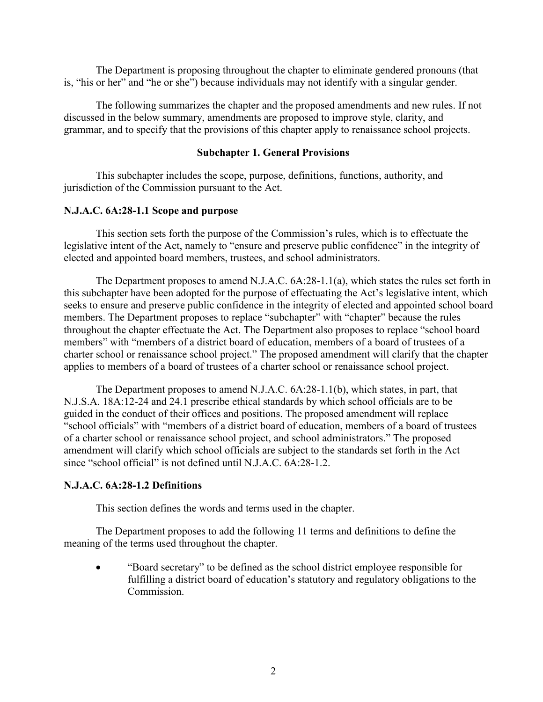The Department is proposing throughout the chapter to eliminate gendered pronouns (that is, "his or her" and "he or she") because individuals may not identify with a singular gender.

The following summarizes the chapter and the proposed amendments and new rules. If not discussed in the below summary, amendments are proposed to improve style, clarity, and grammar, and to specify that the provisions of this chapter apply to renaissance school projects.

### **Subchapter 1. General Provisions**

This subchapter includes the scope, purpose, definitions, functions, authority, and jurisdiction of the Commission pursuant to the Act.

#### **N.J.A.C. 6A:28-1.1 Scope and purpose**

This section sets forth the purpose of the Commission's rules, which is to effectuate the legislative intent of the Act, namely to "ensure and preserve public confidence" in the integrity of elected and appointed board members, trustees, and school administrators.

The Department proposes to amend N.J.A.C. 6A:28-1.1(a), which states the rules set forth in this subchapter have been adopted for the purpose of effectuating the Act's legislative intent, which seeks to ensure and preserve public confidence in the integrity of elected and appointed school board members. The Department proposes to replace "subchapter" with "chapter" because the rules throughout the chapter effectuate the Act. The Department also proposes to replace "school board members" with "members of a district board of education, members of a board of trustees of a charter school or renaissance school project." The proposed amendment will clarify that the chapter applies to members of a board of trustees of a charter school or renaissance school project.

The Department proposes to amend N.J.A.C. 6A:28-1.1(b), which states, in part, that N.J.S.A. 18A:12-24 and 24.1 prescribe ethical standards by which school officials are to be guided in the conduct of their offices and positions. The proposed amendment will replace "school officials" with "members of a district board of education, members of a board of trustees of a charter school or renaissance school project, and school administrators." The proposed amendment will clarify which school officials are subject to the standards set forth in the Act since "school official" is not defined until N.J.A.C. 6A:28-1.2.

### **N.J.A.C. 6A:28-1.2 Definitions**

This section defines the words and terms used in the chapter.

The Department proposes to add the following 11 terms and definitions to define the meaning of the terms used throughout the chapter.

• "Board secretary" to be defined as the school district employee responsible for fulfilling a district board of education's statutory and regulatory obligations to the Commission.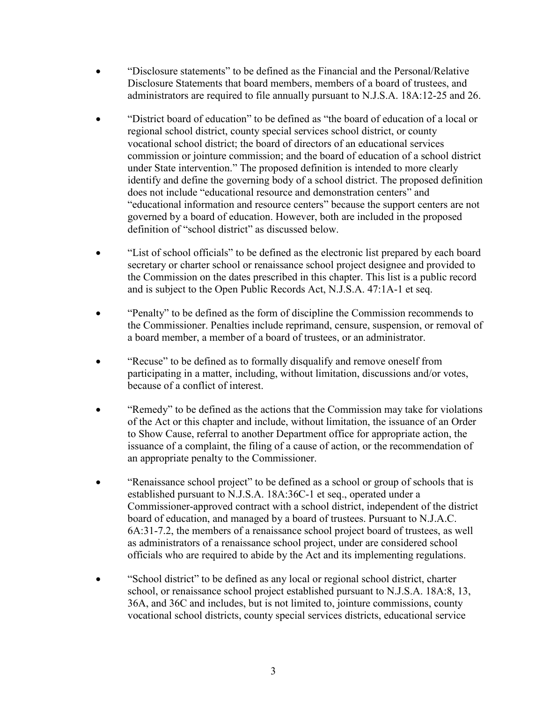- "Disclosure statements" to be defined as the Financial and the Personal/Relative Disclosure Statements that board members, members of a board of trustees, and administrators are required to file annually pursuant to N.J.S.A. 18A:12-25 and 26.
- "District board of education" to be defined as "the board of education of a local or regional school district, county special services school district, or county vocational school district; the board of directors of an educational services commission or jointure commission; and the board of education of a school district under State intervention." The proposed definition is intended to more clearly identify and define the governing body of a school district. The proposed definition does not include "educational resource and demonstration centers" and "educational information and resource centers" because the support centers are not governed by a board of education. However, both are included in the proposed definition of "school district" as discussed below.
- "List of school officials" to be defined as the electronic list prepared by each board secretary or charter school or renaissance school project designee and provided to the Commission on the dates prescribed in this chapter. This list is a public record and is subject to the Open Public Records Act, N.J.S.A. 47:1A-1 et seq.
- "Penalty" to be defined as the form of discipline the Commission recommends to the Commissioner. Penalties include reprimand, censure, suspension, or removal of a board member, a member of a board of trustees, or an administrator.
- "Recuse" to be defined as to formally disqualify and remove oneself from participating in a matter, including, without limitation, discussions and/or votes, because of a conflict of interest.
- "Remedy" to be defined as the actions that the Commission may take for violations of the Act or this chapter and include, without limitation, the issuance of an Order to Show Cause, referral to another Department office for appropriate action, the issuance of a complaint, the filing of a cause of action, or the recommendation of an appropriate penalty to the Commissioner.
- "Renaissance school project" to be defined as a school or group of schools that is established pursuant to N.J.S.A. 18A:36C-1 et seq., operated under a Commissioner-approved contract with a school district, independent of the district board of education, and managed by a board of trustees. Pursuant to N.J.A.C. 6A:31-7.2, the members of a renaissance school project board of trustees, as well as administrators of a renaissance school project, under are considered school officials who are required to abide by the Act and its implementing regulations.
- "School district" to be defined as any local or regional school district, charter school, or renaissance school project established pursuant to N.J.S.A. 18A:8, 13, 36A, and 36C and includes, but is not limited to, jointure commissions, county vocational school districts, county special services districts, educational service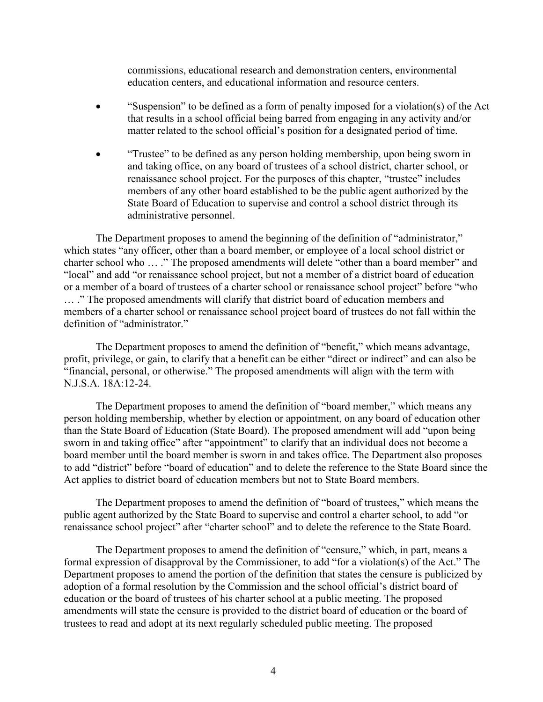commissions, educational research and demonstration centers, environmental education centers, and educational information and resource centers.

- "Suspension" to be defined as a form of penalty imposed for a violation(s) of the Act that results in a school official being barred from engaging in any activity and/or matter related to the school official's position for a designated period of time.
- "Trustee" to be defined as any person holding membership, upon being sworn in and taking office, on any board of trustees of a school district, charter school, or renaissance school project. For the purposes of this chapter, "trustee" includes members of any other board established to be the public agent authorized by the State Board of Education to supervise and control a school district through its administrative personnel.

The Department proposes to amend the beginning of the definition of "administrator," which states "any officer, other than a board member, or employee of a local school district or charter school who … ." The proposed amendments will delete "other than a board member" and "local" and add "or renaissance school project, but not a member of a district board of education or a member of a board of trustees of a charter school or renaissance school project" before "who … ." The proposed amendments will clarify that district board of education members and members of a charter school or renaissance school project board of trustees do not fall within the definition of "administrator."

The Department proposes to amend the definition of "benefit," which means advantage, profit, privilege, or gain, to clarify that a benefit can be either "direct or indirect" and can also be "financial, personal, or otherwise." The proposed amendments will align with the term with N.J.S.A. 18A:12-24.

The Department proposes to amend the definition of "board member," which means any person holding membership, whether by election or appointment, on any board of education other than the State Board of Education (State Board). The proposed amendment will add "upon being sworn in and taking office" after "appointment" to clarify that an individual does not become a board member until the board member is sworn in and takes office. The Department also proposes to add "district" before "board of education" and to delete the reference to the State Board since the Act applies to district board of education members but not to State Board members.

The Department proposes to amend the definition of "board of trustees," which means the public agent authorized by the State Board to supervise and control a charter school, to add "or renaissance school project" after "charter school" and to delete the reference to the State Board.

The Department proposes to amend the definition of "censure," which, in part, means a formal expression of disapproval by the Commissioner, to add "for a violation(s) of the Act." The Department proposes to amend the portion of the definition that states the censure is publicized by adoption of a formal resolution by the Commission and the school official's district board of education or the board of trustees of his charter school at a public meeting. The proposed amendments will state the censure is provided to the district board of education or the board of trustees to read and adopt at its next regularly scheduled public meeting. The proposed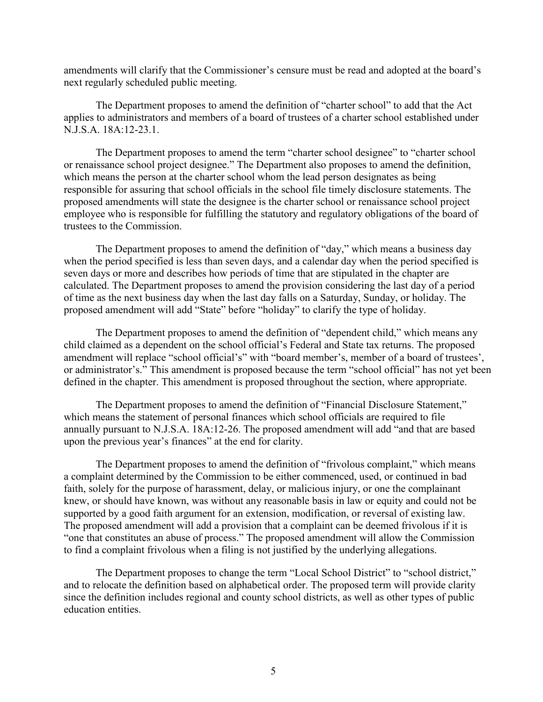amendments will clarify that the Commissioner's censure must be read and adopted at the board's next regularly scheduled public meeting.

The Department proposes to amend the definition of "charter school" to add that the Act applies to administrators and members of a board of trustees of a charter school established under N.J.S.A. 18A:12-23.1.

The Department proposes to amend the term "charter school designee" to "charter school or renaissance school project designee." The Department also proposes to amend the definition, which means the person at the charter school whom the lead person designates as being responsible for assuring that school officials in the school file timely disclosure statements. The proposed amendments will state the designee is the charter school or renaissance school project employee who is responsible for fulfilling the statutory and regulatory obligations of the board of trustees to the Commission.

The Department proposes to amend the definition of "day," which means a business day when the period specified is less than seven days, and a calendar day when the period specified is seven days or more and describes how periods of time that are stipulated in the chapter are calculated. The Department proposes to amend the provision considering the last day of a period of time as the next business day when the last day falls on a Saturday, Sunday, or holiday. The proposed amendment will add "State" before "holiday" to clarify the type of holiday.

The Department proposes to amend the definition of "dependent child," which means any child claimed as a dependent on the school official's Federal and State tax returns. The proposed amendment will replace "school official's" with "board member's, member of a board of trustees', or administrator's." This amendment is proposed because the term "school official" has not yet been defined in the chapter. This amendment is proposed throughout the section, where appropriate.

The Department proposes to amend the definition of "Financial Disclosure Statement," which means the statement of personal finances which school officials are required to file annually pursuant to N.J.S.A. 18A:12-26. The proposed amendment will add "and that are based upon the previous year's finances" at the end for clarity.

The Department proposes to amend the definition of "frivolous complaint," which means a complaint determined by the Commission to be either commenced, used, or continued in bad faith, solely for the purpose of harassment, delay, or malicious injury, or one the complainant knew, or should have known, was without any reasonable basis in law or equity and could not be supported by a good faith argument for an extension, modification, or reversal of existing law. The proposed amendment will add a provision that a complaint can be deemed frivolous if it is "one that constitutes an abuse of process." The proposed amendment will allow the Commission to find a complaint frivolous when a filing is not justified by the underlying allegations.

The Department proposes to change the term "Local School District" to "school district," and to relocate the definition based on alphabetical order. The proposed term will provide clarity since the definition includes regional and county school districts, as well as other types of public education entities.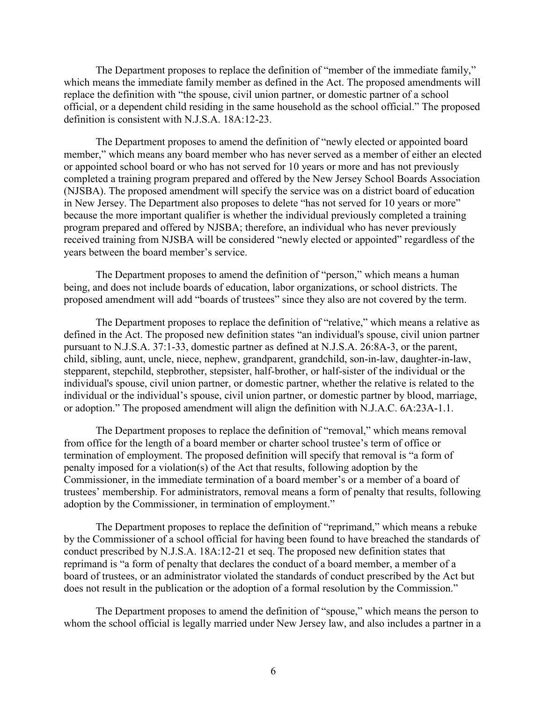The Department proposes to replace the definition of "member of the immediate family," which means the immediate family member as defined in the Act. The proposed amendments will replace the definition with "the spouse, civil union partner, or domestic partner of a school official, or a dependent child residing in the same household as the school official." The proposed definition is consistent with N.J.S.A. 18A:12-23.

The Department proposes to amend the definition of "newly elected or appointed board member," which means any board member who has never served as a member of either an elected or appointed school board or who has not served for 10 years or more and has not previously completed a training program prepared and offered by the New Jersey School Boards Association (NJSBA). The proposed amendment will specify the service was on a district board of education in New Jersey. The Department also proposes to delete "has not served for 10 years or more" because the more important qualifier is whether the individual previously completed a training program prepared and offered by NJSBA; therefore, an individual who has never previously received training from NJSBA will be considered "newly elected or appointed" regardless of the years between the board member's service.

The Department proposes to amend the definition of "person," which means a human being, and does not include boards of education, labor organizations, or school districts. The proposed amendment will add "boards of trustees" since they also are not covered by the term.

The Department proposes to replace the definition of "relative," which means a relative as defined in the Act. The proposed new definition states "an individual's spouse, civil union partner pursuant to N.J.S.A. 37:1-33, domestic partner as defined at N.J.S.A. 26:8A-3, or the parent, child, sibling, aunt, uncle, niece, nephew, grandparent, grandchild, son-in-law, daughter-in-law, stepparent, stepchild, stepbrother, stepsister, half-brother, or half-sister of the individual or the individual's spouse, civil union partner, or domestic partner, whether the relative is related to the individual or the individual's spouse, civil union partner, or domestic partner by blood, marriage, or adoption." The proposed amendment will align the definition with N.J.A.C. 6A:23A-1.1.

The Department proposes to replace the definition of "removal," which means removal from office for the length of a board member or charter school trustee's term of office or termination of employment. The proposed definition will specify that removal is "a form of penalty imposed for a violation(s) of the Act that results, following adoption by the Commissioner, in the immediate termination of a board member's or a member of a board of trustees' membership. For administrators, removal means a form of penalty that results, following adoption by the Commissioner, in termination of employment."

The Department proposes to replace the definition of "reprimand," which means a rebuke by the Commissioner of a school official for having been found to have breached the standards of conduct prescribed by N.J.S.A. 18A:12-21 et seq. The proposed new definition states that reprimand is "a form of penalty that declares the conduct of a board member, a member of a board of trustees, or an administrator violated the standards of conduct prescribed by the Act but does not result in the publication or the adoption of a formal resolution by the Commission."

The Department proposes to amend the definition of "spouse," which means the person to whom the school official is legally married under New Jersey law, and also includes a partner in a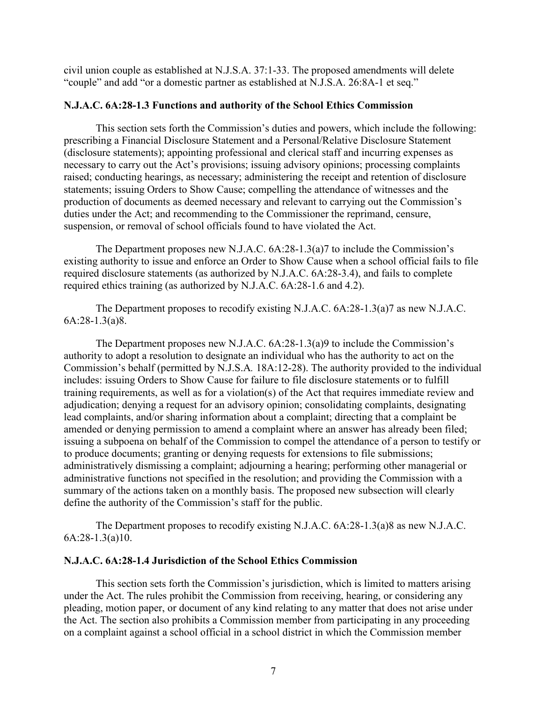civil union couple as established at N.J.S.A. 37:1-33. The proposed amendments will delete "couple" and add "or a domestic partner as established at N.J.S.A. 26:8A-1 et seq."

### **N.J.A.C. 6A:28-1.3 Functions and authority of the School Ethics Commission**

This section sets forth the Commission's duties and powers, which include the following: prescribing a Financial Disclosure Statement and a Personal/Relative Disclosure Statement (disclosure statements); appointing professional and clerical staff and incurring expenses as necessary to carry out the Act's provisions; issuing advisory opinions; processing complaints raised; conducting hearings, as necessary; administering the receipt and retention of disclosure statements; issuing Orders to Show Cause; compelling the attendance of witnesses and the production of documents as deemed necessary and relevant to carrying out the Commission's duties under the Act; and recommending to the Commissioner the reprimand, censure, suspension, or removal of school officials found to have violated the Act.

The Department proposes new N.J.A.C. 6A:28-1.3(a)7 to include the Commission's existing authority to issue and enforce an Order to Show Cause when a school official fails to file required disclosure statements (as authorized by N.J.A.C. 6A:28-3.4), and fails to complete required ethics training (as authorized by N.J.A.C. 6A:28-1.6 and 4.2).

The Department proposes to recodify existing N.J.A.C. 6A:28-1.3(a)7 as new N.J.A.C. 6A:28-1.3(a)8.

The Department proposes new N.J.A.C. 6A:28-1.3(a)9 to include the Commission's authority to adopt a resolution to designate an individual who has the authority to act on the Commission's behalf (permitted by N.J.S.A*.* 18A:12-28). The authority provided to the individual includes: issuing Orders to Show Cause for failure to file disclosure statements or to fulfill training requirements, as well as for a violation(s) of the Act that requires immediate review and adjudication; denying a request for an advisory opinion; consolidating complaints, designating lead complaints, and/or sharing information about a complaint; directing that a complaint be amended or denying permission to amend a complaint where an answer has already been filed; issuing a subpoena on behalf of the Commission to compel the attendance of a person to testify or to produce documents; granting or denying requests for extensions to file submissions; administratively dismissing a complaint; adjourning a hearing; performing other managerial or administrative functions not specified in the resolution; and providing the Commission with a summary of the actions taken on a monthly basis. The proposed new subsection will clearly define the authority of the Commission's staff for the public.

The Department proposes to recodify existing N.J.A.C. 6A:28-1.3(a)8 as new N.J.A.C. 6A:28-1.3(a)10.

### **N.J.A.C. 6A:28-1.4 Jurisdiction of the School Ethics Commission**

This section sets forth the Commission's jurisdiction, which is limited to matters arising under the Act. The rules prohibit the Commission from receiving, hearing, or considering any pleading, motion paper, or document of any kind relating to any matter that does not arise under the Act. The section also prohibits a Commission member from participating in any proceeding on a complaint against a school official in a school district in which the Commission member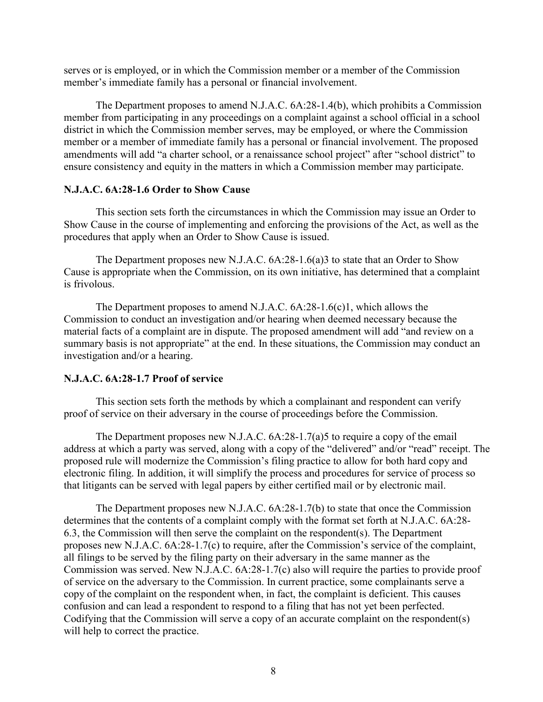serves or is employed, or in which the Commission member or a member of the Commission member's immediate family has a personal or financial involvement.

The Department proposes to amend N.J.A.C. 6A:28-1.4(b), which prohibits a Commission member from participating in any proceedings on a complaint against a school official in a school district in which the Commission member serves, may be employed, or where the Commission member or a member of immediate family has a personal or financial involvement. The proposed amendments will add "a charter school, or a renaissance school project" after "school district" to ensure consistency and equity in the matters in which a Commission member may participate.

### **N.J.A.C. 6A:28-1.6 Order to Show Cause**

This section sets forth the circumstances in which the Commission may issue an Order to Show Cause in the course of implementing and enforcing the provisions of the Act, as well as the procedures that apply when an Order to Show Cause is issued.

The Department proposes new N.J.A.C. 6A:28-1.6(a)3 to state that an Order to Show Cause is appropriate when the Commission, on its own initiative, has determined that a complaint is frivolous.

The Department proposes to amend N.J.A.C. 6A:28-1.6(c)1, which allows the Commission to conduct an investigation and/or hearing when deemed necessary because the material facts of a complaint are in dispute. The proposed amendment will add "and review on a summary basis is not appropriate" at the end. In these situations, the Commission may conduct an investigation and/or a hearing.

### **N.J.A.C. 6A:28-1.7 Proof of service**

This section sets forth the methods by which a complainant and respondent can verify proof of service on their adversary in the course of proceedings before the Commission.

The Department proposes new N.J.A.C. 6A:28-1.7(a)5 to require a copy of the email address at which a party was served, along with a copy of the "delivered" and/or "read" receipt. The proposed rule will modernize the Commission's filing practice to allow for both hard copy and electronic filing. In addition, it will simplify the process and procedures for service of process so that litigants can be served with legal papers by either certified mail or by electronic mail.

The Department proposes new N.J.A.C. 6A:28-1.7(b) to state that once the Commission determines that the contents of a complaint comply with the format set forth at N.J.A.C. 6A:28- 6.3, the Commission will then serve the complaint on the respondent(s). The Department proposes new N.J.A.C. 6A:28-1.7(c) to require, after the Commission's service of the complaint, all filings to be served by the filing party on their adversary in the same manner as the Commission was served. New N.J.A.C. 6A:28-1.7(c) also will require the parties to provide proof of service on the adversary to the Commission. In current practice, some complainants serve a copy of the complaint on the respondent when, in fact, the complaint is deficient. This causes confusion and can lead a respondent to respond to a filing that has not yet been perfected. Codifying that the Commission will serve a copy of an accurate complaint on the respondent(s) will help to correct the practice.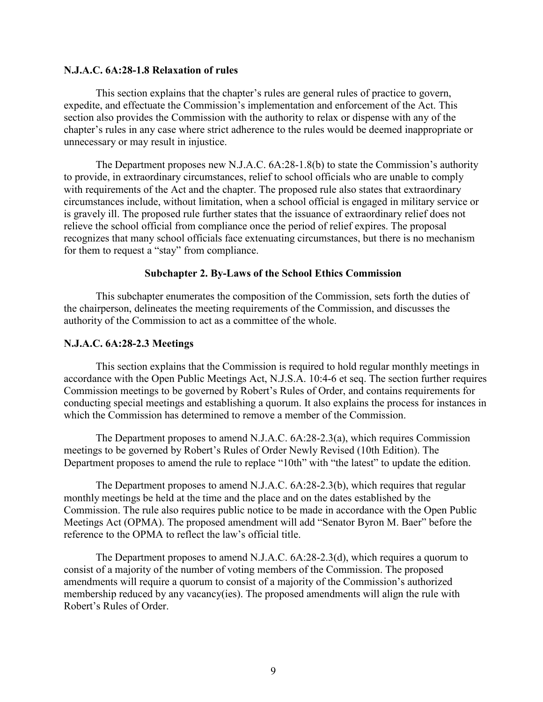### **N.J.A.C. 6A:28-1.8 Relaxation of rules**

This section explains that the chapter's rules are general rules of practice to govern, expedite, and effectuate the Commission's implementation and enforcement of the Act. This section also provides the Commission with the authority to relax or dispense with any of the chapter's rules in any case where strict adherence to the rules would be deemed inappropriate or unnecessary or may result in injustice.

The Department proposes new N.J.A.C. 6A:28-1.8(b) to state the Commission's authority to provide, in extraordinary circumstances, relief to school officials who are unable to comply with requirements of the Act and the chapter. The proposed rule also states that extraordinary circumstances include, without limitation, when a school official is engaged in military service or is gravely ill. The proposed rule further states that the issuance of extraordinary relief does not relieve the school official from compliance once the period of relief expires. The proposal recognizes that many school officials face extenuating circumstances, but there is no mechanism for them to request a "stay" from compliance.

### **Subchapter 2. By-Laws of the School Ethics Commission**

This subchapter enumerates the composition of the Commission, sets forth the duties of the chairperson, delineates the meeting requirements of the Commission, and discusses the authority of the Commission to act as a committee of the whole.

#### **N.J.A.C. 6A:28-2.3 Meetings**

This section explains that the Commission is required to hold regular monthly meetings in accordance with the Open Public Meetings Act, N.J.S.A. 10:4-6 et seq. The section further requires Commission meetings to be governed by Robert's Rules of Order, and contains requirements for conducting special meetings and establishing a quorum. It also explains the process for instances in which the Commission has determined to remove a member of the Commission.

The Department proposes to amend N.J.A.C. 6A:28-2.3(a), which requires Commission meetings to be governed by Robert's Rules of Order Newly Revised (10th Edition). The Department proposes to amend the rule to replace "10th" with "the latest" to update the edition.

The Department proposes to amend N.J.A.C. 6A:28-2.3(b), which requires that regular monthly meetings be held at the time and the place and on the dates established by the Commission. The rule also requires public notice to be made in accordance with the Open Public Meetings Act (OPMA). The proposed amendment will add "Senator Byron M. Baer" before the reference to the OPMA to reflect the law's official title.

The Department proposes to amend N.J.A.C. 6A:28-2.3(d), which requires a quorum to consist of a majority of the number of voting members of the Commission. The proposed amendments will require a quorum to consist of a majority of the Commission's authorized membership reduced by any vacancy(ies). The proposed amendments will align the rule with Robert's Rules of Order.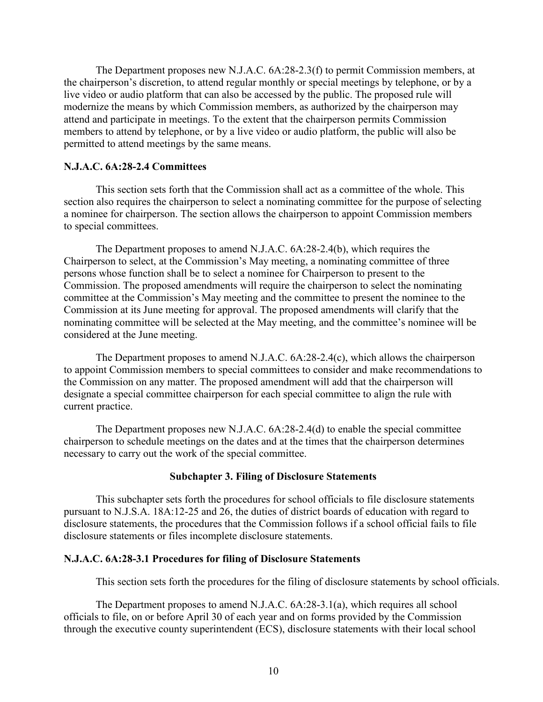The Department proposes new N.J.A.C. 6A:28-2.3(f) to permit Commission members, at the chairperson's discretion, to attend regular monthly or special meetings by telephone, or by a live video or audio platform that can also be accessed by the public. The proposed rule will modernize the means by which Commission members, as authorized by the chairperson may attend and participate in meetings. To the extent that the chairperson permits Commission members to attend by telephone, or by a live video or audio platform, the public will also be permitted to attend meetings by the same means.

### **N.J.A.C. 6A:28-2.4 Committees**

This section sets forth that the Commission shall act as a committee of the whole. This section also requires the chairperson to select a nominating committee for the purpose of selecting a nominee for chairperson. The section allows the chairperson to appoint Commission members to special committees.

The Department proposes to amend N.J.A.C. 6A:28-2.4(b), which requires the Chairperson to select, at the Commission's May meeting, a nominating committee of three persons whose function shall be to select a nominee for Chairperson to present to the Commission. The proposed amendments will require the chairperson to select the nominating committee at the Commission's May meeting and the committee to present the nominee to the Commission at its June meeting for approval. The proposed amendments will clarify that the nominating committee will be selected at the May meeting, and the committee's nominee will be considered at the June meeting.

The Department proposes to amend N.J.A.C. 6A:28-2.4(c), which allows the chairperson to appoint Commission members to special committees to consider and make recommendations to the Commission on any matter. The proposed amendment will add that the chairperson will designate a special committee chairperson for each special committee to align the rule with current practice.

The Department proposes new N.J.A.C. 6A:28-2.4(d) to enable the special committee chairperson to schedule meetings on the dates and at the times that the chairperson determines necessary to carry out the work of the special committee.

#### **Subchapter 3. Filing of Disclosure Statements**

This subchapter sets forth the procedures for school officials to file disclosure statements pursuant to N.J.S.A. 18A:12-25 and 26, the duties of district boards of education with regard to disclosure statements, the procedures that the Commission follows if a school official fails to file disclosure statements or files incomplete disclosure statements.

#### **N.J.A.C. 6A:28-3.1 Procedures for filing of Disclosure Statements**

This section sets forth the procedures for the filing of disclosure statements by school officials.

The Department proposes to amend N.J.A.C. 6A:28-3.1(a), which requires all school officials to file, on or before April 30 of each year and on forms provided by the Commission through the executive county superintendent (ECS), disclosure statements with their local school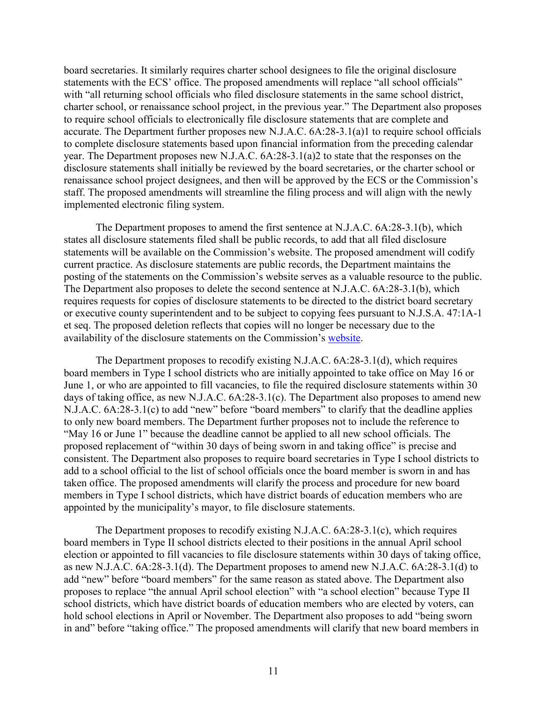board secretaries. It similarly requires charter school designees to file the original disclosure statements with the ECS' office. The proposed amendments will replace "all school officials" with "all returning school officials who filed disclosure statements in the same school district, charter school, or renaissance school project, in the previous year." The Department also proposes to require school officials to electronically file disclosure statements that are complete and accurate. The Department further proposes new N.J.A.C. 6A:28-3.1(a)1 to require school officials to complete disclosure statements based upon financial information from the preceding calendar year. The Department proposes new N.J.A.C. 6A:28-3.1(a)2 to state that the responses on the disclosure statements shall initially be reviewed by the board secretaries, or the charter school or renaissance school project designees, and then will be approved by the ECS or the Commission's staff. The proposed amendments will streamline the filing process and will align with the newly implemented electronic filing system.

The Department proposes to amend the first sentence at N.J.A.C. 6A:28-3.1(b), which states all disclosure statements filed shall be public records, to add that all filed disclosure statements will be available on the Commission's website. The proposed amendment will codify current practice. As disclosure statements are public records, the Department maintains the posting of the statements on the Commission's website serves as a valuable resource to the public. The Department also proposes to delete the second sentence at N.J.A.C. 6A:28-3.1(b), which requires requests for copies of disclosure statements to be directed to the district board secretary or executive county superintendent and to be subject to copying fees pursuant to N.J.S.A. 47:1A-1 et seq. The proposed deletion reflects that copies will no longer be necessary due to the availability of the disclosure statements on the Commission's [website.](https://homeroom5.doe.state.nj.us/ethics/)

The Department proposes to recodify existing N.J.A.C. 6A:28-3.1(d), which requires board members in Type I school districts who are initially appointed to take office on May 16 or June 1, or who are appointed to fill vacancies, to file the required disclosure statements within 30 days of taking office, as new N.J.A.C. 6A:28-3.1(c). The Department also proposes to amend new N.J.A.C. 6A:28-3.1(c) to add "new" before "board members" to clarify that the deadline applies to only new board members. The Department further proposes not to include the reference to "May 16 or June 1" because the deadline cannot be applied to all new school officials. The proposed replacement of "within 30 days of being sworn in and taking office" is precise and consistent. The Department also proposes to require board secretaries in Type I school districts to add to a school official to the list of school officials once the board member is sworn in and has taken office. The proposed amendments will clarify the process and procedure for new board members in Type I school districts, which have district boards of education members who are appointed by the municipality's mayor, to file disclosure statements.

The Department proposes to recodify existing N.J.A.C. 6A:28-3.1(c), which requires board members in Type II school districts elected to their positions in the annual April school election or appointed to fill vacancies to file disclosure statements within 30 days of taking office, as new N.J.A.C. 6A:28-3.1(d). The Department proposes to amend new N.J.A.C. 6A:28-3.1(d) to add "new" before "board members" for the same reason as stated above. The Department also proposes to replace "the annual April school election" with "a school election" because Type II school districts, which have district boards of education members who are elected by voters, can hold school elections in April or November. The Department also proposes to add "being sworn in and" before "taking office." The proposed amendments will clarify that new board members in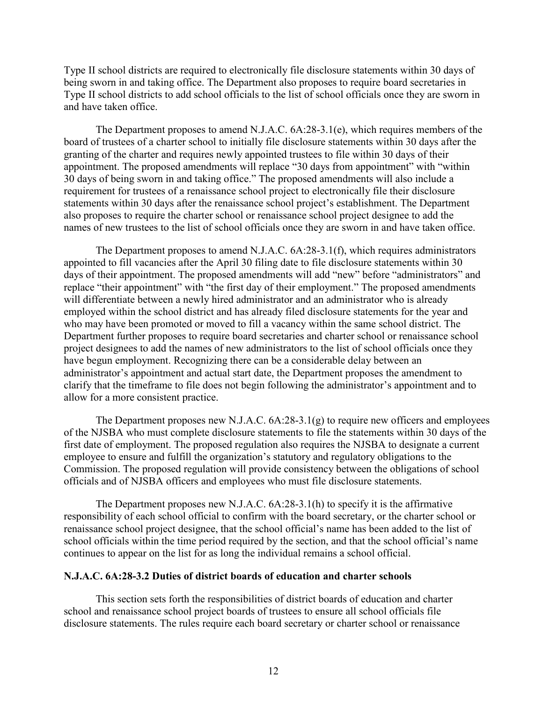Type II school districts are required to electronically file disclosure statements within 30 days of being sworn in and taking office. The Department also proposes to require board secretaries in Type II school districts to add school officials to the list of school officials once they are sworn in and have taken office.

The Department proposes to amend N.J.A.C. 6A:28-3.1(e), which requires members of the board of trustees of a charter school to initially file disclosure statements within 30 days after the granting of the charter and requires newly appointed trustees to file within 30 days of their appointment. The proposed amendments will replace "30 days from appointment" with "within 30 days of being sworn in and taking office." The proposed amendments will also include a requirement for trustees of a renaissance school project to electronically file their disclosure statements within 30 days after the renaissance school project's establishment. The Department also proposes to require the charter school or renaissance school project designee to add the names of new trustees to the list of school officials once they are sworn in and have taken office.

The Department proposes to amend N.J.A.C. 6A:28-3.1(f), which requires administrators appointed to fill vacancies after the April 30 filing date to file disclosure statements within 30 days of their appointment. The proposed amendments will add "new" before "administrators" and replace "their appointment" with "the first day of their employment." The proposed amendments will differentiate between a newly hired administrator and an administrator who is already employed within the school district and has already filed disclosure statements for the year and who may have been promoted or moved to fill a vacancy within the same school district. The Department further proposes to require board secretaries and charter school or renaissance school project designees to add the names of new administrators to the list of school officials once they have begun employment. Recognizing there can be a considerable delay between an administrator's appointment and actual start date, the Department proposes the amendment to clarify that the timeframe to file does not begin following the administrator's appointment and to allow for a more consistent practice.

The Department proposes new N.J.A.C. 6A:28-3.1(g) to require new officers and employees of the NJSBA who must complete disclosure statements to file the statements within 30 days of the first date of employment. The proposed regulation also requires the NJSBA to designate a current employee to ensure and fulfill the organization's statutory and regulatory obligations to the Commission. The proposed regulation will provide consistency between the obligations of school officials and of NJSBA officers and employees who must file disclosure statements.

The Department proposes new N.J.A.C. 6A:28-3.1(h) to specify it is the affirmative responsibility of each school official to confirm with the board secretary, or the charter school or renaissance school project designee, that the school official's name has been added to the list of school officials within the time period required by the section, and that the school official's name continues to appear on the list for as long the individual remains a school official.

# **N.J.A.C. 6A:28-3.2 Duties of district boards of education and charter schools**

This section sets forth the responsibilities of district boards of education and charter school and renaissance school project boards of trustees to ensure all school officials file disclosure statements. The rules require each board secretary or charter school or renaissance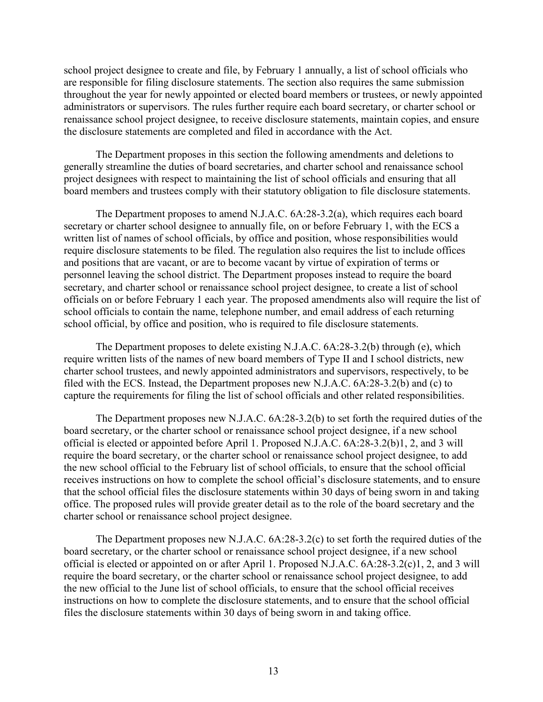school project designee to create and file, by February 1 annually, a list of school officials who are responsible for filing disclosure statements. The section also requires the same submission throughout the year for newly appointed or elected board members or trustees, or newly appointed administrators or supervisors. The rules further require each board secretary, or charter school or renaissance school project designee, to receive disclosure statements, maintain copies, and ensure the disclosure statements are completed and filed in accordance with the Act.

The Department proposes in this section the following amendments and deletions to generally streamline the duties of board secretaries, and charter school and renaissance school project designees with respect to maintaining the list of school officials and ensuring that all board members and trustees comply with their statutory obligation to file disclosure statements.

The Department proposes to amend N.J.A.C. 6A:28-3.2(a), which requires each board secretary or charter school designee to annually file, on or before February 1, with the ECS a written list of names of school officials, by office and position, whose responsibilities would require disclosure statements to be filed. The regulation also requires the list to include offices and positions that are vacant, or are to become vacant by virtue of expiration of terms or personnel leaving the school district. The Department proposes instead to require the board secretary, and charter school or renaissance school project designee, to create a list of school officials on or before February 1 each year. The proposed amendments also will require the list of school officials to contain the name, telephone number, and email address of each returning school official, by office and position, who is required to file disclosure statements.

The Department proposes to delete existing N.J.A.C. 6A:28-3.2(b) through (e), which require written lists of the names of new board members of Type II and I school districts, new charter school trustees, and newly appointed administrators and supervisors, respectively, to be filed with the ECS. Instead, the Department proposes new N.J.A.C. 6A:28-3.2(b) and (c) to capture the requirements for filing the list of school officials and other related responsibilities.

The Department proposes new N.J.A.C. 6A:28-3.2(b) to set forth the required duties of the board secretary, or the charter school or renaissance school project designee, if a new school official is elected or appointed before April 1. Proposed N.J.A.C. 6A:28-3.2(b)1, 2, and 3 will require the board secretary, or the charter school or renaissance school project designee, to add the new school official to the February list of school officials, to ensure that the school official receives instructions on how to complete the school official's disclosure statements, and to ensure that the school official files the disclosure statements within 30 days of being sworn in and taking office. The proposed rules will provide greater detail as to the role of the board secretary and the charter school or renaissance school project designee.

The Department proposes new N.J.A.C. 6A:28-3.2(c) to set forth the required duties of the board secretary, or the charter school or renaissance school project designee, if a new school official is elected or appointed on or after April 1. Proposed N.J.A.C. 6A:28-3.2(c)1, 2, and 3 will require the board secretary, or the charter school or renaissance school project designee, to add the new official to the June list of school officials, to ensure that the school official receives instructions on how to complete the disclosure statements, and to ensure that the school official files the disclosure statements within 30 days of being sworn in and taking office.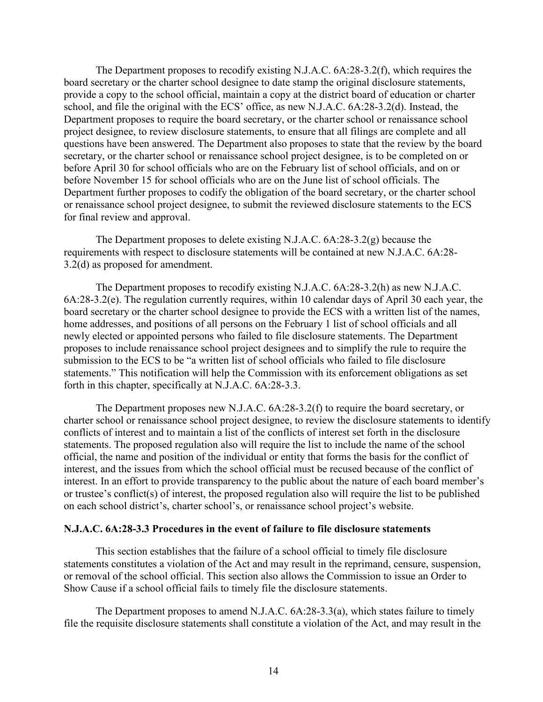The Department proposes to recodify existing N.J.A.C. 6A:28-3.2(f), which requires the board secretary or the charter school designee to date stamp the original disclosure statements, provide a copy to the school official, maintain a copy at the district board of education or charter school, and file the original with the ECS' office, as new N.J.A.C. 6A:28-3.2(d). Instead, the Department proposes to require the board secretary, or the charter school or renaissance school project designee, to review disclosure statements, to ensure that all filings are complete and all questions have been answered. The Department also proposes to state that the review by the board secretary, or the charter school or renaissance school project designee, is to be completed on or before April 30 for school officials who are on the February list of school officials, and on or before November 15 for school officials who are on the June list of school officials. The Department further proposes to codify the obligation of the board secretary, or the charter school or renaissance school project designee, to submit the reviewed disclosure statements to the ECS for final review and approval.

The Department proposes to delete existing N.J.A.C. 6A:28-3.2(g) because the requirements with respect to disclosure statements will be contained at new N.J.A.C. 6A:28- 3.2(d) as proposed for amendment.

The Department proposes to recodify existing N.J.A.C. 6A:28-3.2(h) as new N.J.A.C. 6A:28-3.2(e). The regulation currently requires, within 10 calendar days of April 30 each year, the board secretary or the charter school designee to provide the ECS with a written list of the names, home addresses, and positions of all persons on the February 1 list of school officials and all newly elected or appointed persons who failed to file disclosure statements. The Department proposes to include renaissance school project designees and to simplify the rule to require the submission to the ECS to be "a written list of school officials who failed to file disclosure statements." This notification will help the Commission with its enforcement obligations as set forth in this chapter, specifically at N.J.A.C. 6A:28-3.3.

The Department proposes new N.J.A.C. 6A:28-3.2(f) to require the board secretary, or charter school or renaissance school project designee, to review the disclosure statements to identify conflicts of interest and to maintain a list of the conflicts of interest set forth in the disclosure statements. The proposed regulation also will require the list to include the name of the school official, the name and position of the individual or entity that forms the basis for the conflict of interest, and the issues from which the school official must be recused because of the conflict of interest. In an effort to provide transparency to the public about the nature of each board member's or trustee's conflict(s) of interest, the proposed regulation also will require the list to be published on each school district's, charter school's, or renaissance school project's website.

### **N.J.A.C. 6A:28-3.3 Procedures in the event of failure to file disclosure statements**

This section establishes that the failure of a school official to timely file disclosure statements constitutes a violation of the Act and may result in the reprimand, censure, suspension, or removal of the school official. This section also allows the Commission to issue an Order to Show Cause if a school official fails to timely file the disclosure statements.

The Department proposes to amend N.J.A.C. 6A:28-3.3(a), which states failure to timely file the requisite disclosure statements shall constitute a violation of the Act, and may result in the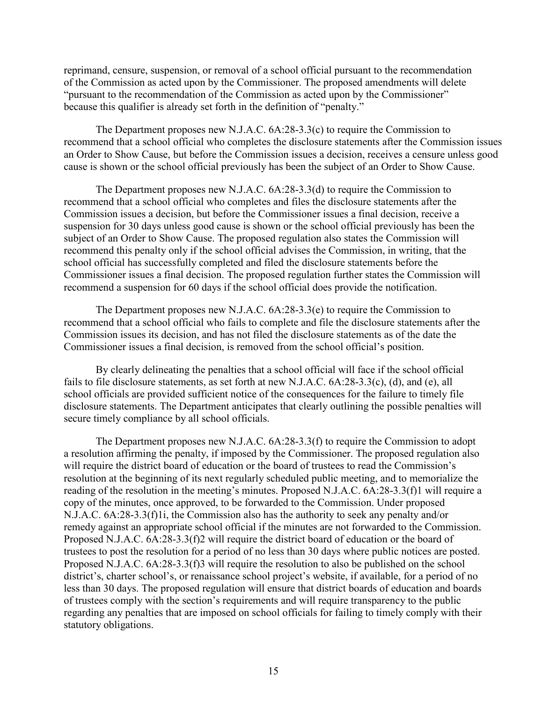reprimand, censure, suspension, or removal of a school official pursuant to the recommendation of the Commission as acted upon by the Commissioner. The proposed amendments will delete "pursuant to the recommendation of the Commission as acted upon by the Commissioner" because this qualifier is already set forth in the definition of "penalty."

The Department proposes new N.J.A.C. 6A:28-3.3(c) to require the Commission to recommend that a school official who completes the disclosure statements after the Commission issues an Order to Show Cause, but before the Commission issues a decision, receives a censure unless good cause is shown or the school official previously has been the subject of an Order to Show Cause.

The Department proposes new N.J.A.C. 6A:28-3.3(d) to require the Commission to recommend that a school official who completes and files the disclosure statements after the Commission issues a decision, but before the Commissioner issues a final decision, receive a suspension for 30 days unless good cause is shown or the school official previously has been the subject of an Order to Show Cause. The proposed regulation also states the Commission will recommend this penalty only if the school official advises the Commission, in writing, that the school official has successfully completed and filed the disclosure statements before the Commissioner issues a final decision. The proposed regulation further states the Commission will recommend a suspension for 60 days if the school official does provide the notification.

The Department proposes new N.J.A.C. 6A:28-3.3(e) to require the Commission to recommend that a school official who fails to complete and file the disclosure statements after the Commission issues its decision, and has not filed the disclosure statements as of the date the Commissioner issues a final decision, is removed from the school official's position.

By clearly delineating the penalties that a school official will face if the school official fails to file disclosure statements, as set forth at new N.J.A.C. 6A:28-3.3(c), (d), and (e), all school officials are provided sufficient notice of the consequences for the failure to timely file disclosure statements. The Department anticipates that clearly outlining the possible penalties will secure timely compliance by all school officials.

The Department proposes new N.J.A.C. 6A:28-3.3(f) to require the Commission to adopt a resolution affirming the penalty, if imposed by the Commissioner. The proposed regulation also will require the district board of education or the board of trustees to read the Commission's resolution at the beginning of its next regularly scheduled public meeting, and to memorialize the reading of the resolution in the meeting's minutes. Proposed N.J.A.C. 6A:28-3.3(f)1 will require a copy of the minutes, once approved, to be forwarded to the Commission. Under proposed N.J.A.C. 6A:28-3.3(f)1i, the Commission also has the authority to seek any penalty and/or remedy against an appropriate school official if the minutes are not forwarded to the Commission. Proposed N.J.A.C. 6A:28-3.3(f)2 will require the district board of education or the board of trustees to post the resolution for a period of no less than 30 days where public notices are posted. Proposed N.J.A.C. 6A:28-3.3(f)3 will require the resolution to also be published on the school district's, charter school's, or renaissance school project's website, if available, for a period of no less than 30 days. The proposed regulation will ensure that district boards of education and boards of trustees comply with the section's requirements and will require transparency to the public regarding any penalties that are imposed on school officials for failing to timely comply with their statutory obligations.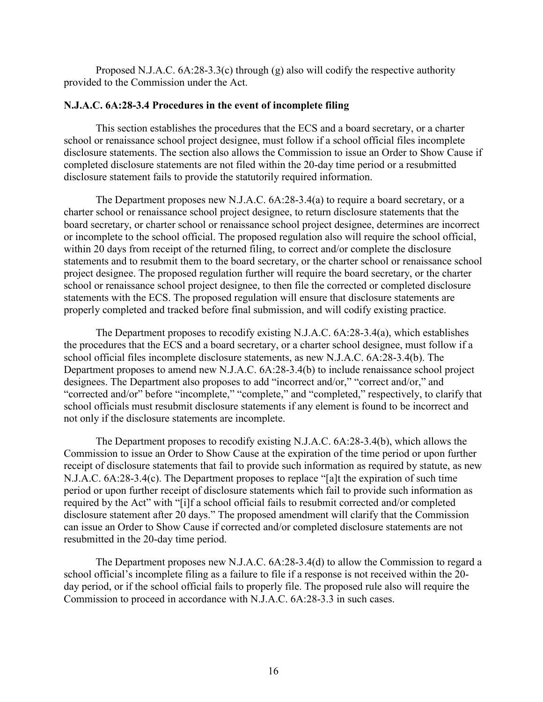Proposed N.J.A.C. 6A:28-3.3(c) through (g) also will codify the respective authority provided to the Commission under the Act.

# **N.J.A.C. 6A:28-3.4 Procedures in the event of incomplete filing**

This section establishes the procedures that the ECS and a board secretary, or a charter school or renaissance school project designee, must follow if a school official files incomplete disclosure statements. The section also allows the Commission to issue an Order to Show Cause if completed disclosure statements are not filed within the 20-day time period or a resubmitted disclosure statement fails to provide the statutorily required information.

The Department proposes new N.J.A.C. 6A:28-3.4(a) to require a board secretary, or a charter school or renaissance school project designee, to return disclosure statements that the board secretary, or charter school or renaissance school project designee, determines are incorrect or incomplete to the school official. The proposed regulation also will require the school official, within 20 days from receipt of the returned filing, to correct and/or complete the disclosure statements and to resubmit them to the board secretary, or the charter school or renaissance school project designee. The proposed regulation further will require the board secretary, or the charter school or renaissance school project designee, to then file the corrected or completed disclosure statements with the ECS. The proposed regulation will ensure that disclosure statements are properly completed and tracked before final submission, and will codify existing practice.

The Department proposes to recodify existing N.J.A.C. 6A:28-3.4(a), which establishes the procedures that the ECS and a board secretary, or a charter school designee, must follow if a school official files incomplete disclosure statements, as new N.J.A.C. 6A:28-3.4(b). The Department proposes to amend new N.J.A.C. 6A:28-3.4(b) to include renaissance school project designees. The Department also proposes to add "incorrect and/or," "correct and/or," and "corrected and/or" before "incomplete," "complete," and "completed," respectively, to clarify that school officials must resubmit disclosure statements if any element is found to be incorrect and not only if the disclosure statements are incomplete.

The Department proposes to recodify existing N.J.A.C. 6A:28-3.4(b), which allows the Commission to issue an Order to Show Cause at the expiration of the time period or upon further receipt of disclosure statements that fail to provide such information as required by statute, as new N.J.A.C. 6A:28-3.4(c). The Department proposes to replace "[a]t the expiration of such time period or upon further receipt of disclosure statements which fail to provide such information as required by the Act" with "[i]f a school official fails to resubmit corrected and/or completed disclosure statement after 20 days." The proposed amendment will clarify that the Commission can issue an Order to Show Cause if corrected and/or completed disclosure statements are not resubmitted in the 20-day time period.

The Department proposes new N.J.A.C. 6A:28-3.4(d) to allow the Commission to regard a school official's incomplete filing as a failure to file if a response is not received within the 20 day period, or if the school official fails to properly file. The proposed rule also will require the Commission to proceed in accordance with N.J.A.C. 6A:28-3.3 in such cases.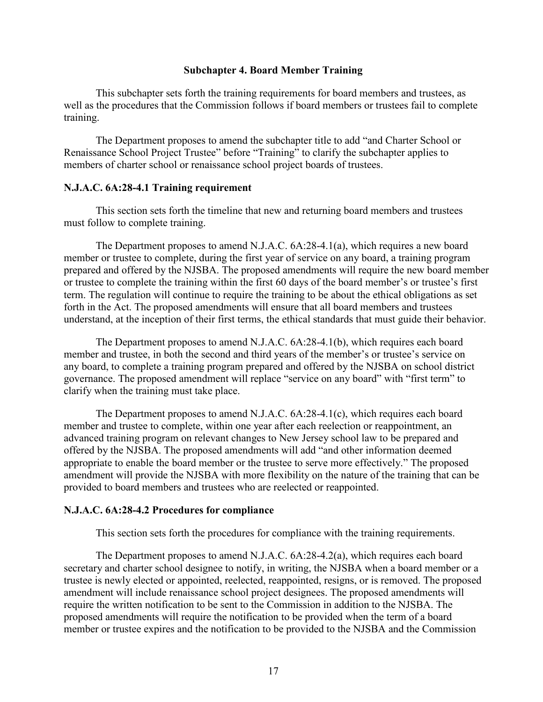#### **Subchapter 4. Board Member Training**

This subchapter sets forth the training requirements for board members and trustees, as well as the procedures that the Commission follows if board members or trustees fail to complete training.

The Department proposes to amend the subchapter title to add "and Charter School or Renaissance School Project Trustee" before "Training" to clarify the subchapter applies to members of charter school or renaissance school project boards of trustees.

#### **N.J.A.C. 6A:28-4.1 Training requirement**

This section sets forth the timeline that new and returning board members and trustees must follow to complete training.

The Department proposes to amend N.J.A.C. 6A:28-4.1(a), which requires a new board member or trustee to complete, during the first year of service on any board, a training program prepared and offered by the NJSBA. The proposed amendments will require the new board member or trustee to complete the training within the first 60 days of the board member's or trustee's first term. The regulation will continue to require the training to be about the ethical obligations as set forth in the Act. The proposed amendments will ensure that all board members and trustees understand, at the inception of their first terms, the ethical standards that must guide their behavior.

The Department proposes to amend N.J.A.C. 6A:28-4.1(b), which requires each board member and trustee, in both the second and third years of the member's or trustee's service on any board, to complete a training program prepared and offered by the NJSBA on school district governance. The proposed amendment will replace "service on any board" with "first term" to clarify when the training must take place.

The Department proposes to amend N.J.A.C. 6A:28-4.1(c), which requires each board member and trustee to complete, within one year after each reelection or reappointment, an advanced training program on relevant changes to New Jersey school law to be prepared and offered by the NJSBA. The proposed amendments will add "and other information deemed appropriate to enable the board member or the trustee to serve more effectively." The proposed amendment will provide the NJSBA with more flexibility on the nature of the training that can be provided to board members and trustees who are reelected or reappointed.

### **N.J.A.C. 6A:28-4.2 Procedures for compliance**

This section sets forth the procedures for compliance with the training requirements.

The Department proposes to amend N.J.A.C. 6A:28-4.2(a), which requires each board secretary and charter school designee to notify, in writing, the NJSBA when a board member or a trustee is newly elected or appointed, reelected, reappointed, resigns, or is removed. The proposed amendment will include renaissance school project designees. The proposed amendments will require the written notification to be sent to the Commission in addition to the NJSBA. The proposed amendments will require the notification to be provided when the term of a board member or trustee expires and the notification to be provided to the NJSBA and the Commission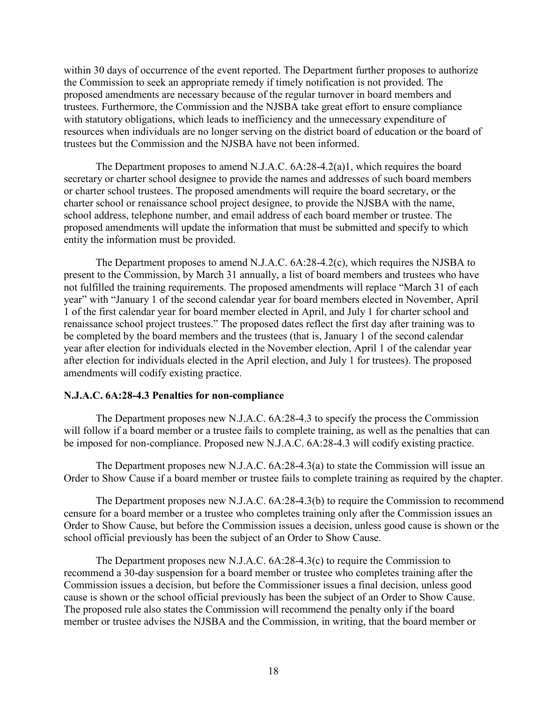within 30 days of occurrence of the event reported. The Department further proposes to authorize the Commission to seek an appropriate remedy if timely notification is not provided. The proposed amendments are necessary because of the regular turnover in board members and trustees. Furthermore, the Commission and the NJSBA take great effort to ensure compliance with statutory obligations, which leads to inefficiency and the unnecessary expenditure of resources when individuals are no longer serving on the district board of education or the board of trustees but the Commission and the NJSBA have not been informed.

The Department proposes to amend N.J.A.C. 6A:28-4.2(a)1, which requires the board secretary or charter school designee to provide the names and addresses of such board members or charter school trustees. The proposed amendments will require the board secretary, or the charter school or renaissance school project designee, to provide the NJSBA with the name, school address, telephone number, and email address of each board member or trustee. The proposed amendments will update the information that must be submitted and specify to which entity the information must be provided.

The Department proposes to amend N.J.A.C. 6A:28-4.2(c), which requires the NJSBA to present to the Commission, by March 31 annually, a list of board members and trustees who have not fulfilled the training requirements. The proposed amendments will replace "March 31 of each year" with "January 1 of the second calendar year for board members elected in November, April 1 of the first calendar year for board member elected in April, and July 1 for charter school and renaissance school project trustees." The proposed dates reflect the first day after training was to be completed by the board members and the trustees (that is, January 1 of the second calendar year after election for individuals elected in the November election, April 1 of the calendar year after election for individuals elected in the April election, and July 1 for trustees). The proposed amendments will codify existing practice.

# **N.J.A.C. 6A:28-4.3 Penalties for non-compliance**

The Department proposes new N.J.A.C. 6A:28-4.3 to specify the process the Commission will follow if a board member or a trustee fails to complete training, as well as the penalties that can be imposed for non-compliance. Proposed new N.J.A.C. 6A:28-4.3 will codify existing practice.

The Department proposes new N.J.A.C. 6A:28-4.3(a) to state the Commission will issue an Order to Show Cause if a board member or trustee fails to complete training as required by the chapter.

The Department proposes new N.J.A.C. 6A:28-4.3(b) to require the Commission to recommend censure for a board member or a trustee who completes training only after the Commission issues an Order to Show Cause, but before the Commission issues a decision, unless good cause is shown or the school official previously has been the subject of an Order to Show Cause.

The Department proposes new N.J.A.C. 6A:28-4.3(c) to require the Commission to recommend a 30-day suspension for a board member or trustee who completes training after the Commission issues a decision, but before the Commissioner issues a final decision, unless good cause is shown or the school official previously has been the subject of an Order to Show Cause. The proposed rule also states the Commission will recommend the penalty only if the board member or trustee advises the NJSBA and the Commission, in writing, that the board member or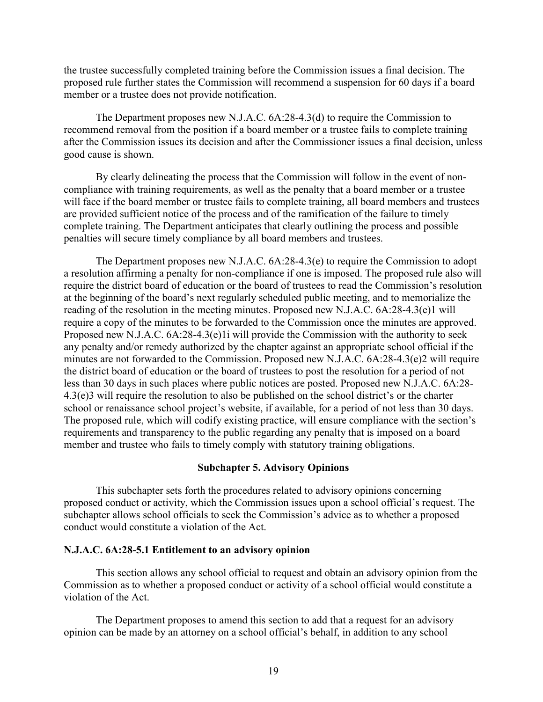the trustee successfully completed training before the Commission issues a final decision. The proposed rule further states the Commission will recommend a suspension for 60 days if a board member or a trustee does not provide notification.

The Department proposes new N.J.A.C. 6A:28-4.3(d) to require the Commission to recommend removal from the position if a board member or a trustee fails to complete training after the Commission issues its decision and after the Commissioner issues a final decision, unless good cause is shown.

By clearly delineating the process that the Commission will follow in the event of noncompliance with training requirements, as well as the penalty that a board member or a trustee will face if the board member or trustee fails to complete training, all board members and trustees are provided sufficient notice of the process and of the ramification of the failure to timely complete training. The Department anticipates that clearly outlining the process and possible penalties will secure timely compliance by all board members and trustees.

The Department proposes new N.J.A.C. 6A:28-4.3(e) to require the Commission to adopt a resolution affirming a penalty for non-compliance if one is imposed. The proposed rule also will require the district board of education or the board of trustees to read the Commission's resolution at the beginning of the board's next regularly scheduled public meeting, and to memorialize the reading of the resolution in the meeting minutes. Proposed new N.J.A.C. 6A:28-4.3(e)1 will require a copy of the minutes to be forwarded to the Commission once the minutes are approved. Proposed new N.J.A.C. 6A:28-4.3(e)1i will provide the Commission with the authority to seek any penalty and/or remedy authorized by the chapter against an appropriate school official if the minutes are not forwarded to the Commission. Proposed new N.J.A.C. 6A:28-4.3(e)2 will require the district board of education or the board of trustees to post the resolution for a period of not less than 30 days in such places where public notices are posted. Proposed new N.J.A.C. 6A:28- 4.3(e)3 will require the resolution to also be published on the school district's or the charter school or renaissance school project's website, if available, for a period of not less than 30 days. The proposed rule, which will codify existing practice, will ensure compliance with the section's requirements and transparency to the public regarding any penalty that is imposed on a board member and trustee who fails to timely comply with statutory training obligations.

### **Subchapter 5. Advisory Opinions**

This subchapter sets forth the procedures related to advisory opinions concerning proposed conduct or activity, which the Commission issues upon a school official's request. The subchapter allows school officials to seek the Commission's advice as to whether a proposed conduct would constitute a violation of the Act.

#### **N.J.A.C. 6A:28-5.1 Entitlement to an advisory opinion**

This section allows any school official to request and obtain an advisory opinion from the Commission as to whether a proposed conduct or activity of a school official would constitute a violation of the Act.

The Department proposes to amend this section to add that a request for an advisory opinion can be made by an attorney on a school official's behalf, in addition to any school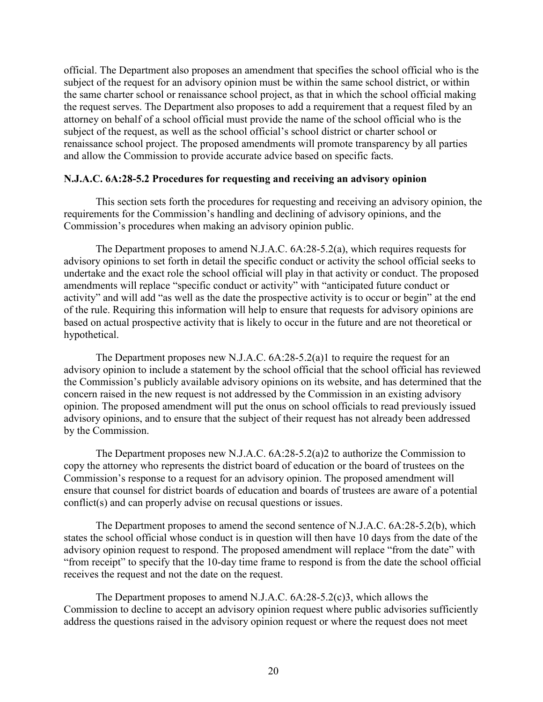official. The Department also proposes an amendment that specifies the school official who is the subject of the request for an advisory opinion must be within the same school district, or within the same charter school or renaissance school project, as that in which the school official making the request serves. The Department also proposes to add a requirement that a request filed by an attorney on behalf of a school official must provide the name of the school official who is the subject of the request, as well as the school official's school district or charter school or renaissance school project. The proposed amendments will promote transparency by all parties and allow the Commission to provide accurate advice based on specific facts.

### **N.J.A.C. 6A:28-5.2 Procedures for requesting and receiving an advisory opinion**

This section sets forth the procedures for requesting and receiving an advisory opinion, the requirements for the Commission's handling and declining of advisory opinions, and the Commission's procedures when making an advisory opinion public.

The Department proposes to amend N.J.A.C. 6A:28-5.2(a), which requires requests for advisory opinions to set forth in detail the specific conduct or activity the school official seeks to undertake and the exact role the school official will play in that activity or conduct. The proposed amendments will replace "specific conduct or activity" with "anticipated future conduct or activity" and will add "as well as the date the prospective activity is to occur or begin" at the end of the rule. Requiring this information will help to ensure that requests for advisory opinions are based on actual prospective activity that is likely to occur in the future and are not theoretical or hypothetical.

The Department proposes new N.J.A.C. 6A:28-5.2(a)1 to require the request for an advisory opinion to include a statement by the school official that the school official has reviewed the Commission's publicly available advisory opinions on its website, and has determined that the concern raised in the new request is not addressed by the Commission in an existing advisory opinion. The proposed amendment will put the onus on school officials to read previously issued advisory opinions, and to ensure that the subject of their request has not already been addressed by the Commission.

The Department proposes new N.J.A.C. 6A:28-5.2(a)2 to authorize the Commission to copy the attorney who represents the district board of education or the board of trustees on the Commission's response to a request for an advisory opinion. The proposed amendment will ensure that counsel for district boards of education and boards of trustees are aware of a potential conflict(s) and can properly advise on recusal questions or issues.

The Department proposes to amend the second sentence of N.J.A.C. 6A:28-5.2(b), which states the school official whose conduct is in question will then have 10 days from the date of the advisory opinion request to respond. The proposed amendment will replace "from the date" with "from receipt" to specify that the 10-day time frame to respond is from the date the school official receives the request and not the date on the request.

The Department proposes to amend N.J.A.C. 6A:28-5.2(c)3, which allows the Commission to decline to accept an advisory opinion request where public advisories sufficiently address the questions raised in the advisory opinion request or where the request does not meet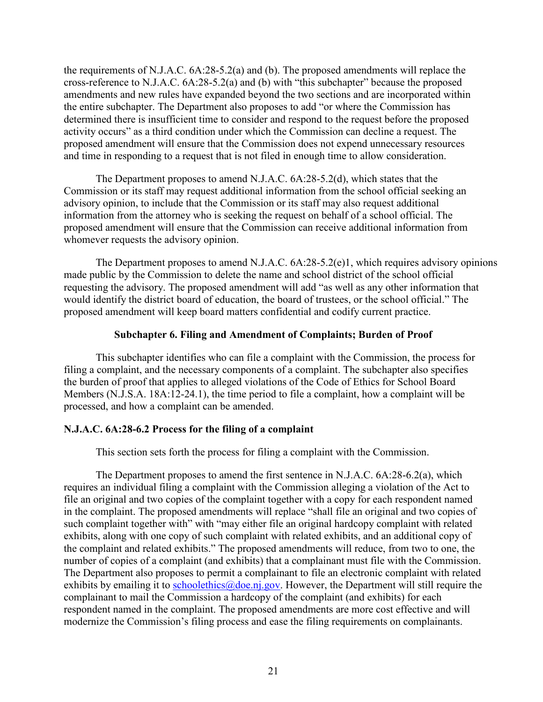the requirements of N.J.A.C. 6A:28-5.2(a) and (b). The proposed amendments will replace the cross-reference to N.J.A.C. 6A:28-5.2(a) and (b) with "this subchapter" because the proposed amendments and new rules have expanded beyond the two sections and are incorporated within the entire subchapter. The Department also proposes to add "or where the Commission has determined there is insufficient time to consider and respond to the request before the proposed activity occurs" as a third condition under which the Commission can decline a request. The proposed amendment will ensure that the Commission does not expend unnecessary resources and time in responding to a request that is not filed in enough time to allow consideration.

The Department proposes to amend N.J.A.C. 6A:28-5.2(d), which states that the Commission or its staff may request additional information from the school official seeking an advisory opinion, to include that the Commission or its staff may also request additional information from the attorney who is seeking the request on behalf of a school official. The proposed amendment will ensure that the Commission can receive additional information from whomever requests the advisory opinion.

The Department proposes to amend N.J.A.C. 6A:28-5.2(e)1, which requires advisory opinions made public by the Commission to delete the name and school district of the school official requesting the advisory. The proposed amendment will add "as well as any other information that would identify the district board of education, the board of trustees, or the school official." The proposed amendment will keep board matters confidential and codify current practice.

# **Subchapter 6. Filing and Amendment of Complaints; Burden of Proof**

This subchapter identifies who can file a complaint with the Commission, the process for filing a complaint, and the necessary components of a complaint. The subchapter also specifies the burden of proof that applies to alleged violations of the Code of Ethics for School Board Members (N.J.S.A. 18A:12-24.1), the time period to file a complaint, how a complaint will be processed, and how a complaint can be amended.

# **N.J.A.C. 6A:28-6.2 Process for the filing of a complaint**

This section sets forth the process for filing a complaint with the Commission.

The Department proposes to amend the first sentence in N.J.A.C. 6A:28-6.2(a), which requires an individual filing a complaint with the Commission alleging a violation of the Act to file an original and two copies of the complaint together with a copy for each respondent named in the complaint. The proposed amendments will replace "shall file an original and two copies of such complaint together with" with "may either file an original hardcopy complaint with related exhibits, along with one copy of such complaint with related exhibits, and an additional copy of the complaint and related exhibits." The proposed amendments will reduce, from two to one, the number of copies of a complaint (and exhibits) that a complainant must file with the Commission. The Department also proposes to permit a complainant to file an electronic complaint with related exhibits by emailing it to [schoolethics@doe.nj.gov.](mailto:schoolethics@doe.nj.gov) However, the Department will still require the complainant to mail the Commission a hardcopy of the complaint (and exhibits) for each respondent named in the complaint. The proposed amendments are more cost effective and will modernize the Commission's filing process and ease the filing requirements on complainants.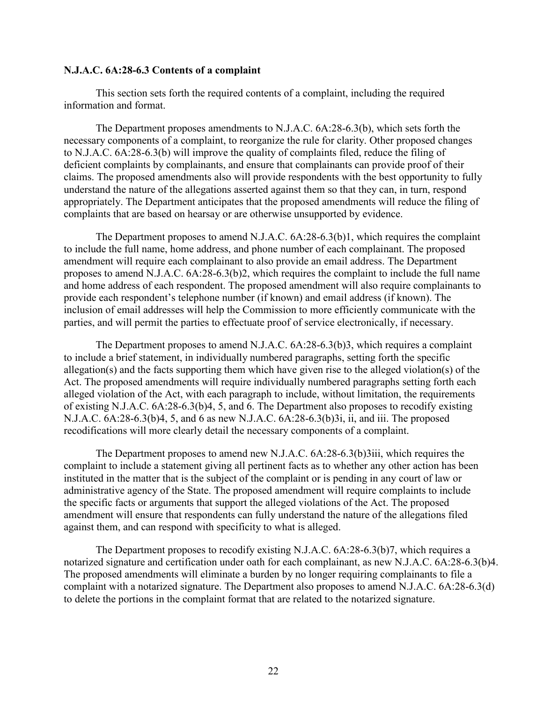#### **N.J.A.C. 6A:28-6.3 Contents of a complaint**

This section sets forth the required contents of a complaint, including the required information and format.

The Department proposes amendments to N.J.A.C. 6A:28-6.3(b), which sets forth the necessary components of a complaint, to reorganize the rule for clarity. Other proposed changes to N.J.A.C. 6A:28-6.3(b) will improve the quality of complaints filed, reduce the filing of deficient complaints by complainants, and ensure that complainants can provide proof of their claims. The proposed amendments also will provide respondents with the best opportunity to fully understand the nature of the allegations asserted against them so that they can, in turn, respond appropriately. The Department anticipates that the proposed amendments will reduce the filing of complaints that are based on hearsay or are otherwise unsupported by evidence.

The Department proposes to amend N.J.A.C. 6A:28-6.3(b)1, which requires the complaint to include the full name, home address, and phone number of each complainant. The proposed amendment will require each complainant to also provide an email address. The Department proposes to amend N.J.A.C. 6A:28-6.3(b)2, which requires the complaint to include the full name and home address of each respondent. The proposed amendment will also require complainants to provide each respondent's telephone number (if known) and email address (if known). The inclusion of email addresses will help the Commission to more efficiently communicate with the parties, and will permit the parties to effectuate proof of service electronically, if necessary.

The Department proposes to amend N.J.A.C. 6A:28-6.3(b)3, which requires a complaint to include a brief statement, in individually numbered paragraphs, setting forth the specific allegation(s) and the facts supporting them which have given rise to the alleged violation(s) of the Act. The proposed amendments will require individually numbered paragraphs setting forth each alleged violation of the Act, with each paragraph to include, without limitation, the requirements of existing N.J.A.C. 6A:28-6.3(b)4, 5, and 6. The Department also proposes to recodify existing N.J.A.C. 6A:28-6.3(b)4, 5, and 6 as new N.J.A.C. 6A:28-6.3(b)3i, ii, and iii. The proposed recodifications will more clearly detail the necessary components of a complaint.

The Department proposes to amend new N.J.A.C. 6A:28-6.3(b)3iii, which requires the complaint to include a statement giving all pertinent facts as to whether any other action has been instituted in the matter that is the subject of the complaint or is pending in any court of law or administrative agency of the State. The proposed amendment will require complaints to include the specific facts or arguments that support the alleged violations of the Act. The proposed amendment will ensure that respondents can fully understand the nature of the allegations filed against them, and can respond with specificity to what is alleged.

The Department proposes to recodify existing N.J.A.C. 6A:28-6.3(b)7, which requires a notarized signature and certification under oath for each complainant, as new N.J.A.C. 6A:28-6.3(b)4. The proposed amendments will eliminate a burden by no longer requiring complainants to file a complaint with a notarized signature. The Department also proposes to amend N.J.A.C. 6A:28-6.3(d) to delete the portions in the complaint format that are related to the notarized signature.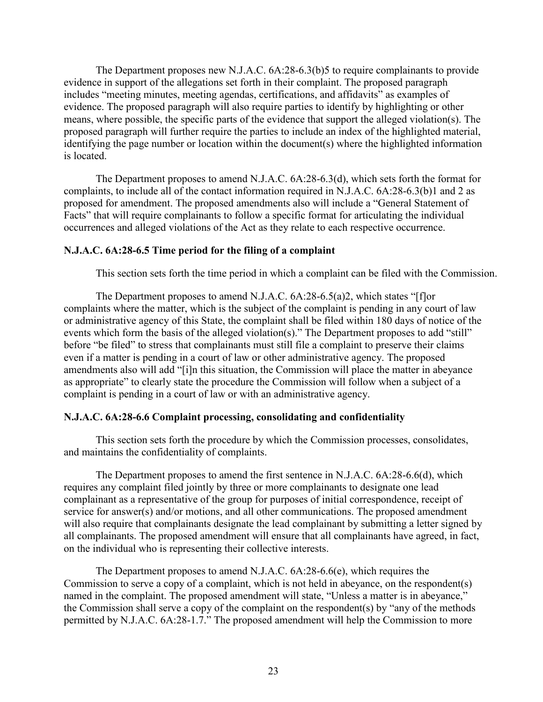The Department proposes new N.J.A.C.  $6A:28-6.3(b)5$  to require complainants to provide evidence in support of the allegations set forth in their complaint. The proposed paragraph includes "meeting minutes, meeting agendas, certifications, and affidavits" as examples of evidence. The proposed paragraph will also require parties to identify by highlighting or other means, where possible, the specific parts of the evidence that support the alleged violation(s). The proposed paragraph will further require the parties to include an index of the highlighted material, identifying the page number or location within the document(s) where the highlighted information is located.

The Department proposes to amend N.J.A.C. 6A:28-6.3(d), which sets forth the format for complaints, to include all of the contact information required in N.J.A.C. 6A:28-6.3(b)1 and 2 as proposed for amendment. The proposed amendments also will include a "General Statement of Facts" that will require complainants to follow a specific format for articulating the individual occurrences and alleged violations of the Act as they relate to each respective occurrence.

# **N.J.A.C. 6A:28-6.5 Time period for the filing of a complaint**

This section sets forth the time period in which a complaint can be filed with the Commission.

The Department proposes to amend N.J.A.C. 6A:28-6.5(a)2, which states "[f]or complaints where the matter, which is the subject of the complaint is pending in any court of law or administrative agency of this State, the complaint shall be filed within 180 days of notice of the events which form the basis of the alleged violation(s)." The Department proposes to add "still" before "be filed" to stress that complainants must still file a complaint to preserve their claims even if a matter is pending in a court of law or other administrative agency. The proposed amendments also will add "[i]n this situation, the Commission will place the matter in abeyance as appropriate" to clearly state the procedure the Commission will follow when a subject of a complaint is pending in a court of law or with an administrative agency.

# **N.J.A.C. 6A:28-6.6 Complaint processing, consolidating and confidentiality**

This section sets forth the procedure by which the Commission processes, consolidates, and maintains the confidentiality of complaints.

The Department proposes to amend the first sentence in N.J.A.C. 6A:28-6.6(d), which requires any complaint filed jointly by three or more complainants to designate one lead complainant as a representative of the group for purposes of initial correspondence, receipt of service for answer(s) and/or motions, and all other communications. The proposed amendment will also require that complainants designate the lead complainant by submitting a letter signed by all complainants. The proposed amendment will ensure that all complainants have agreed, in fact, on the individual who is representing their collective interests.

The Department proposes to amend N.J.A.C. 6A:28-6.6(e), which requires the Commission to serve a copy of a complaint, which is not held in abeyance, on the respondent(s) named in the complaint. The proposed amendment will state, "Unless a matter is in abeyance," the Commission shall serve a copy of the complaint on the respondent(s) by "any of the methods permitted by N.J.A.C. 6A:28-1.7." The proposed amendment will help the Commission to more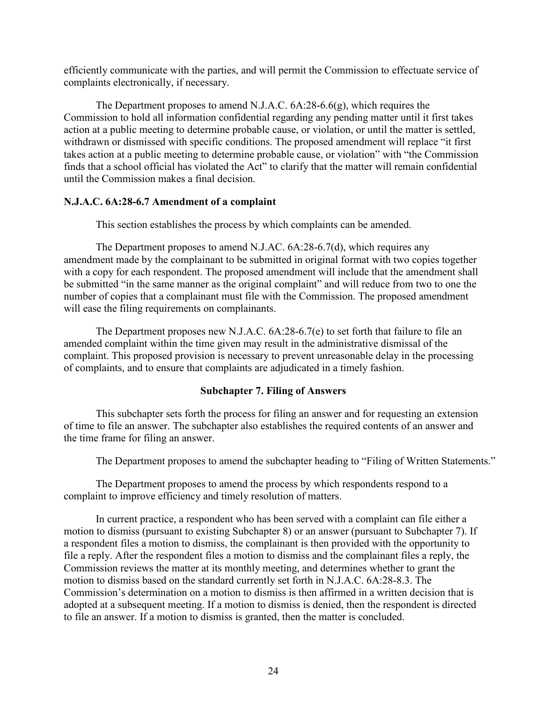efficiently communicate with the parties, and will permit the Commission to effectuate service of complaints electronically, if necessary.

The Department proposes to amend N.J.A.C. 6A:28-6.6(g), which requires the Commission to hold all information confidential regarding any pending matter until it first takes action at a public meeting to determine probable cause, or violation, or until the matter is settled, withdrawn or dismissed with specific conditions. The proposed amendment will replace "it first takes action at a public meeting to determine probable cause, or violation" with "the Commission finds that a school official has violated the Act" to clarify that the matter will remain confidential until the Commission makes a final decision.

# **N.J.A.C. 6A:28-6.7 Amendment of a complaint**

This section establishes the process by which complaints can be amended.

The Department proposes to amend N.J.AC. 6A:28-6.7(d), which requires any amendment made by the complainant to be submitted in original format with two copies together with a copy for each respondent. The proposed amendment will include that the amendment shall be submitted "in the same manner as the original complaint" and will reduce from two to one the number of copies that a complainant must file with the Commission. The proposed amendment will ease the filing requirements on complainants.

The Department proposes new N.J.A.C. 6A:28-6.7(e) to set forth that failure to file an amended complaint within the time given may result in the administrative dismissal of the complaint. This proposed provision is necessary to prevent unreasonable delay in the processing of complaints, and to ensure that complaints are adjudicated in a timely fashion.

# **Subchapter 7. Filing of Answers**

This subchapter sets forth the process for filing an answer and for requesting an extension of time to file an answer. The subchapter also establishes the required contents of an answer and the time frame for filing an answer.

The Department proposes to amend the subchapter heading to "Filing of Written Statements."

The Department proposes to amend the process by which respondents respond to a complaint to improve efficiency and timely resolution of matters.

In current practice, a respondent who has been served with a complaint can file either a motion to dismiss (pursuant to existing Subchapter 8) or an answer (pursuant to Subchapter 7). If a respondent files a motion to dismiss, the complainant is then provided with the opportunity to file a reply. After the respondent files a motion to dismiss and the complainant files a reply, the Commission reviews the matter at its monthly meeting, and determines whether to grant the motion to dismiss based on the standard currently set forth in N.J.A.C. 6A:28-8.3. The Commission's determination on a motion to dismiss is then affirmed in a written decision that is adopted at a subsequent meeting. If a motion to dismiss is denied, then the respondent is directed to file an answer. If a motion to dismiss is granted, then the matter is concluded.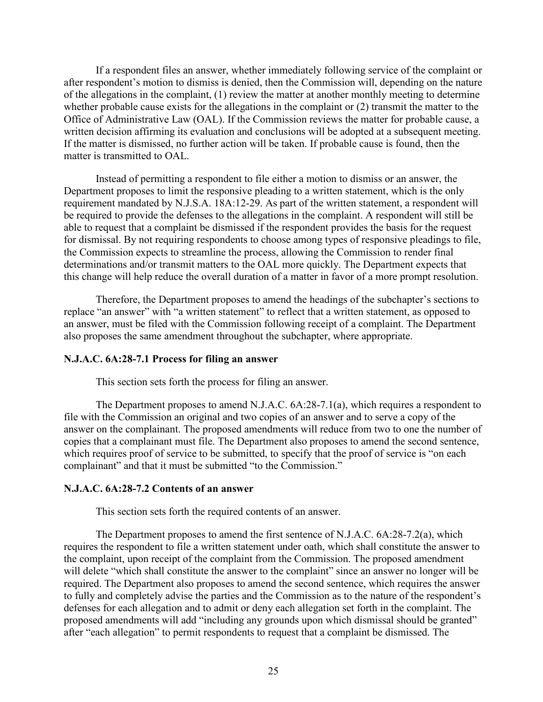If a respondent files an answer, whether immediately following service of the complaint or after respondent's motion to dismiss is denied, then the Commission will, depending on the nature of the allegations in the complaint, (1) review the matter at another monthly meeting to determine whether probable cause exists for the allegations in the complaint or (2) transmit the matter to the Office of Administrative Law (OAL). If the Commission reviews the matter for probable cause, a written decision affirming its evaluation and conclusions will be adopted at a subsequent meeting. If the matter is dismissed, no further action will be taken. If probable cause is found, then the matter is transmitted to OAL.

Instead of permitting a respondent to file either a motion to dismiss or an answer, the Department proposes to limit the responsive pleading to a written statement, which is the only requirement mandated by N.J.S.A. 18A:12-29. As part of the written statement, a respondent will be required to provide the defenses to the allegations in the complaint. A respondent will still be able to request that a complaint be dismissed if the respondent provides the basis for the request for dismissal. By not requiring respondents to choose among types of responsive pleadings to file, the Commission expects to streamline the process, allowing the Commission to render final determinations and/or transmit matters to the OAL more quickly. The Department expects that this change will help reduce the overall duration of a matter in favor of a more prompt resolution.

Therefore, the Department proposes to amend the headings of the subchapter's sections to replace "an answer" with "a written statement" to reflect that a written statement, as opposed to an answer, must be filed with the Commission following receipt of a complaint. The Department also proposes the same amendment throughout the subchapter, where appropriate.

# **N.J.A.C. 6A:28-7.1 Process for filing an answer**

This section sets forth the process for filing an answer.

The Department proposes to amend N.J.A.C. 6A:28-7.1(a), which requires a respondent to file with the Commission an original and two copies of an answer and to serve a copy of the answer on the complainant. The proposed amendments will reduce from two to one the number of copies that a complainant must file. The Department also proposes to amend the second sentence, which requires proof of service to be submitted, to specify that the proof of service is "on each complainant" and that it must be submitted "to the Commission."

# **N.J.A.C. 6A:28-7.2 Contents of an answer**

This section sets forth the required contents of an answer.

The Department proposes to amend the first sentence of N.J.A.C. 6A:28-7.2(a), which requires the respondent to file a written statement under oath, which shall constitute the answer to the complaint, upon receipt of the complaint from the Commission. The proposed amendment will delete "which shall constitute the answer to the complaint" since an answer no longer will be required. The Department also proposes to amend the second sentence, which requires the answer to fully and completely advise the parties and the Commission as to the nature of the respondent's defenses for each allegation and to admit or deny each allegation set forth in the complaint. The proposed amendments will add "including any grounds upon which dismissal should be granted" after "each allegation" to permit respondents to request that a complaint be dismissed. The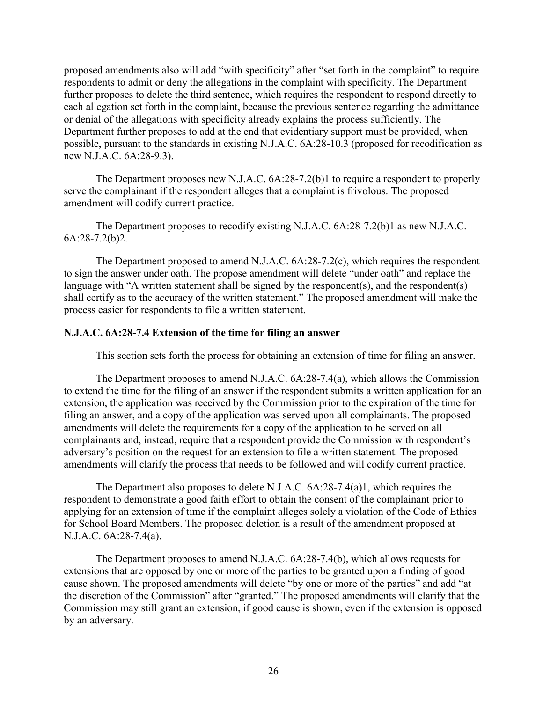proposed amendments also will add "with specificity" after "set forth in the complaint" to require respondents to admit or deny the allegations in the complaint with specificity. The Department further proposes to delete the third sentence, which requires the respondent to respond directly to each allegation set forth in the complaint, because the previous sentence regarding the admittance or denial of the allegations with specificity already explains the process sufficiently. The Department further proposes to add at the end that evidentiary support must be provided, when possible, pursuant to the standards in existing N.J.A.C. 6A:28-10.3 (proposed for recodification as new N.J.A.C. 6A:28-9.3).

The Department proposes new N.J.A.C. 6A:28-7.2(b)1 to require a respondent to properly serve the complainant if the respondent alleges that a complaint is frivolous. The proposed amendment will codify current practice.

The Department proposes to recodify existing N.J.A.C. 6A:28-7.2(b)1 as new N.J.A.C. 6A:28-7.2(b)2.

The Department proposed to amend N.J.A.C. 6A:28-7.2(c), which requires the respondent to sign the answer under oath. The propose amendment will delete "under oath" and replace the language with "A written statement shall be signed by the respondent(s), and the respondent(s) shall certify as to the accuracy of the written statement." The proposed amendment will make the process easier for respondents to file a written statement.

# **N.J.A.C. 6A:28-7.4 Extension of the time for filing an answer**

This section sets forth the process for obtaining an extension of time for filing an answer.

The Department proposes to amend N.J.A.C. 6A:28-7.4(a), which allows the Commission to extend the time for the filing of an answer if the respondent submits a written application for an extension, the application was received by the Commission prior to the expiration of the time for filing an answer, and a copy of the application was served upon all complainants. The proposed amendments will delete the requirements for a copy of the application to be served on all complainants and, instead, require that a respondent provide the Commission with respondent's adversary's position on the request for an extension to file a written statement. The proposed amendments will clarify the process that needs to be followed and will codify current practice.

The Department also proposes to delete N.J.A.C. 6A:28-7.4(a)1, which requires the respondent to demonstrate a good faith effort to obtain the consent of the complainant prior to applying for an extension of time if the complaint alleges solely a violation of the Code of Ethics for School Board Members. The proposed deletion is a result of the amendment proposed at N.J.A.C. 6A:28-7.4(a).

The Department proposes to amend N.J.A.C. 6A:28-7.4(b), which allows requests for extensions that are opposed by one or more of the parties to be granted upon a finding of good cause shown. The proposed amendments will delete "by one or more of the parties" and add "at the discretion of the Commission" after "granted." The proposed amendments will clarify that the Commission may still grant an extension, if good cause is shown, even if the extension is opposed by an adversary.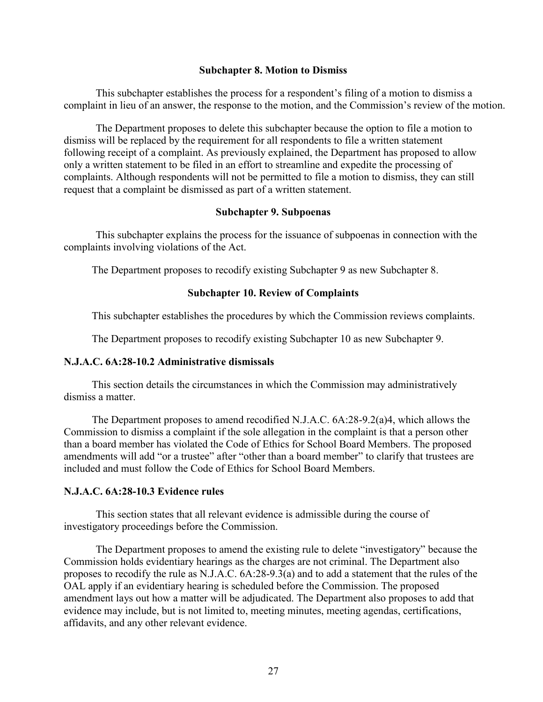# **Subchapter 8. Motion to Dismiss**

This subchapter establishes the process for a respondent's filing of a motion to dismiss a complaint in lieu of an answer, the response to the motion, and the Commission's review of the motion.

The Department proposes to delete this subchapter because the option to file a motion to dismiss will be replaced by the requirement for all respondents to file a written statement following receipt of a complaint. As previously explained, the Department has proposed to allow only a written statement to be filed in an effort to streamline and expedite the processing of complaints. Although respondents will not be permitted to file a motion to dismiss, they can still request that a complaint be dismissed as part of a written statement.

# **Subchapter 9. Subpoenas**

This subchapter explains the process for the issuance of subpoenas in connection with the complaints involving violations of the Act.

The Department proposes to recodify existing Subchapter 9 as new Subchapter 8.

# **Subchapter 10. Review of Complaints**

This subchapter establishes the procedures by which the Commission reviews complaints.

The Department proposes to recodify existing Subchapter 10 as new Subchapter 9.

# **N.J.A.C. 6A:28-10.2 Administrative dismissals**

This section details the circumstances in which the Commission may administratively dismiss a matter.

The Department proposes to amend recodified N.J.A.C. 6A:28-9.2(a)4, which allows the Commission to dismiss a complaint if the sole allegation in the complaint is that a person other than a board member has violated the Code of Ethics for School Board Members. The proposed amendments will add "or a trustee" after "other than a board member" to clarify that trustees are included and must follow the Code of Ethics for School Board Members.

# **N.J.A.C. 6A:28-10.3 Evidence rules**

This section states that all relevant evidence is admissible during the course of investigatory proceedings before the Commission.

The Department proposes to amend the existing rule to delete "investigatory" because the Commission holds evidentiary hearings as the charges are not criminal. The Department also proposes to recodify the rule as N.J.A.C. 6A:28-9.3(a) and to add a statement that the rules of the OAL apply if an evidentiary hearing is scheduled before the Commission. The proposed amendment lays out how a matter will be adjudicated. The Department also proposes to add that evidence may include, but is not limited to, meeting minutes, meeting agendas, certifications, affidavits, and any other relevant evidence.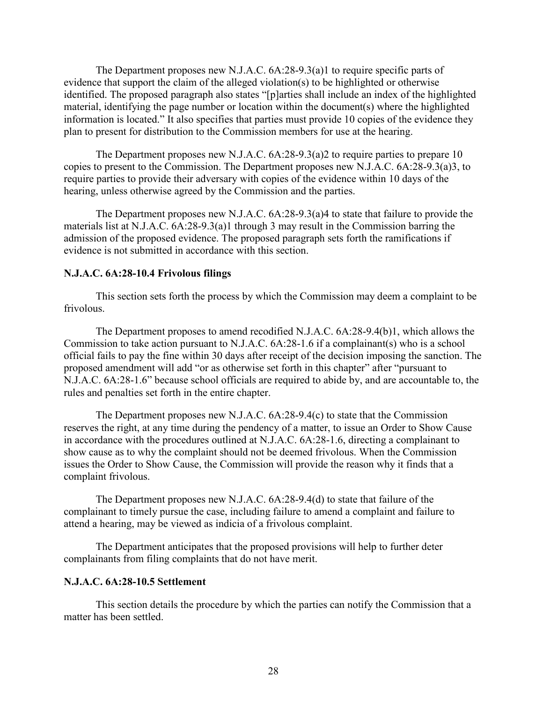The Department proposes new N.J.A.C. 6A:28-9.3(a)1 to require specific parts of evidence that support the claim of the alleged violation(s) to be highlighted or otherwise identified. The proposed paragraph also states "[p]arties shall include an index of the highlighted material, identifying the page number or location within the document(s) where the highlighted information is located." It also specifies that parties must provide 10 copies of the evidence they plan to present for distribution to the Commission members for use at the hearing.

The Department proposes new N.J.A.C. 6A:28-9.3(a)2 to require parties to prepare 10 copies to present to the Commission. The Department proposes new N.J.A.C. 6A:28-9.3(a)3, to require parties to provide their adversary with copies of the evidence within 10 days of the hearing, unless otherwise agreed by the Commission and the parties.

The Department proposes new N.J.A.C. 6A:28-9.3(a)4 to state that failure to provide the materials list at N.J.A.C. 6A:28-9.3(a)1 through 3 may result in the Commission barring the admission of the proposed evidence. The proposed paragraph sets forth the ramifications if evidence is not submitted in accordance with this section.

### **N.J.A.C. 6A:28-10.4 Frivolous filings**

This section sets forth the process by which the Commission may deem a complaint to be frivolous.

The Department proposes to amend recodified N.J.A.C. 6A:28-9.4(b)1, which allows the Commission to take action pursuant to N.J.A.C. 6A:28-1.6 if a complainant(s) who is a school official fails to pay the fine within 30 days after receipt of the decision imposing the sanction. The proposed amendment will add "or as otherwise set forth in this chapter" after "pursuant to N.J.A.C. 6A:28-1.6" because school officials are required to abide by, and are accountable to, the rules and penalties set forth in the entire chapter.

The Department proposes new N.J.A.C. 6A:28-9.4(c) to state that the Commission reserves the right, at any time during the pendency of a matter, to issue an Order to Show Cause in accordance with the procedures outlined at N.J.A.C. 6A:28-1.6, directing a complainant to show cause as to why the complaint should not be deemed frivolous. When the Commission issues the Order to Show Cause, the Commission will provide the reason why it finds that a complaint frivolous.

The Department proposes new N.J.A.C. 6A:28-9.4(d) to state that failure of the complainant to timely pursue the case, including failure to amend a complaint and failure to attend a hearing, may be viewed as indicia of a frivolous complaint.

The Department anticipates that the proposed provisions will help to further deter complainants from filing complaints that do not have merit.

### **N.J.A.C. 6A:28-10.5 Settlement**

This section details the procedure by which the parties can notify the Commission that a matter has been settled.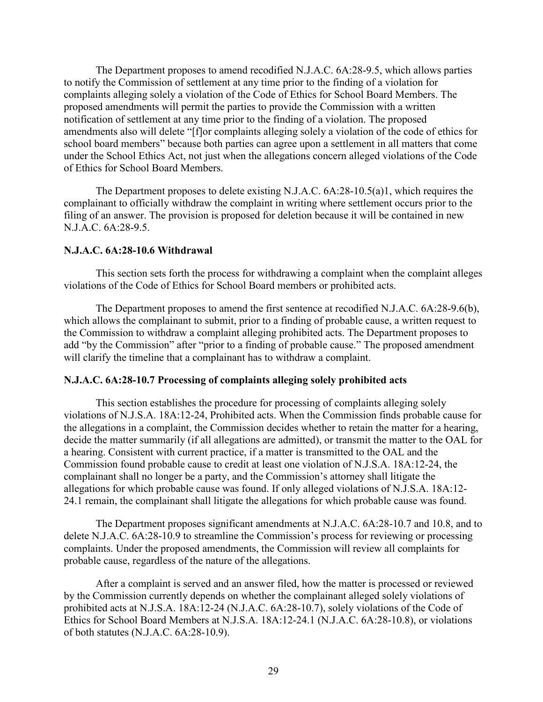The Department proposes to amend recodified N.J.A.C. 6A:28-9.5, which allows parties to notify the Commission of settlement at any time prior to the finding of a violation for complaints alleging solely a violation of the Code of Ethics for School Board Members. The proposed amendments will permit the parties to provide the Commission with a written notification of settlement at any time prior to the finding of a violation. The proposed amendments also will delete "[f]or complaints alleging solely a violation of the code of ethics for school board members" because both parties can agree upon a settlement in all matters that come under the School Ethics Act, not just when the allegations concern alleged violations of the Code of Ethics for School Board Members.

The Department proposes to delete existing N.J.A.C. 6A:28-10.5(a)1, which requires the complainant to officially withdraw the complaint in writing where settlement occurs prior to the filing of an answer. The provision is proposed for deletion because it will be contained in new N.J.A.C. 6A:28-9.5.

### **N.J.A.C. 6A:28-10.6 Withdrawal**

This section sets forth the process for withdrawing a complaint when the complaint alleges violations of the Code of Ethics for School Board members or prohibited acts.

The Department proposes to amend the first sentence at recodified N.J.A.C. 6A:28-9.6(b), which allows the complainant to submit, prior to a finding of probable cause, a written request to the Commission to withdraw a complaint alleging prohibited acts. The Department proposes to add "by the Commission" after "prior to a finding of probable cause." The proposed amendment will clarify the timeline that a complainant has to withdraw a complaint.

### **N.J.A.C. 6A:28-10.7 Processing of complaints alleging solely prohibited acts**

This section establishes the procedure for processing of complaints alleging solely violations of N.J.S.A. 18A:12-24, Prohibited acts. When the Commission finds probable cause for the allegations in a complaint, the Commission decides whether to retain the matter for a hearing, decide the matter summarily (if all allegations are admitted), or transmit the matter to the OAL for a hearing. Consistent with current practice, if a matter is transmitted to the OAL and the Commission found probable cause to credit at least one violation of N.J.S.A. 18A:12-24, the complainant shall no longer be a party, and the Commission's attorney shall litigate the allegations for which probable cause was found. If only alleged violations of N.J.S.A. 18A:12- 24.1 remain, the complainant shall litigate the allegations for which probable cause was found.

The Department proposes significant amendments at N.J.A.C. 6A:28-10.7 and 10.8, and to delete N.J.A.C. 6A:28-10.9 to streamline the Commission's process for reviewing or processing complaints. Under the proposed amendments, the Commission will review all complaints for probable cause, regardless of the nature of the allegations.

After a complaint is served and an answer filed, how the matter is processed or reviewed by the Commission currently depends on whether the complainant alleged solely violations of prohibited acts at N.J.S.A. 18A:12-24 (N.J.A.C. 6A:28-10.7), solely violations of the Code of Ethics for School Board Members at N.J.S.A. 18A:12-24.1 (N.J.A.C. 6A:28-10.8), or violations of both statutes (N.J.A.C. 6A:28-10.9).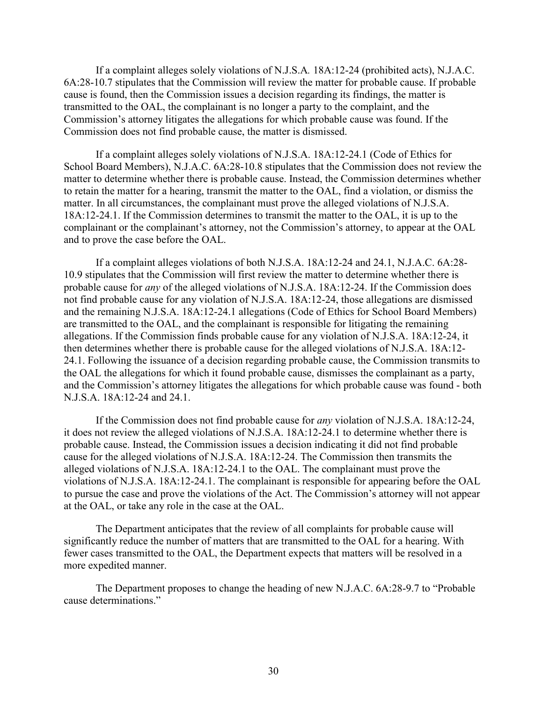If a complaint alleges solely violations of N.J.S.A*.* 18A:12-24 (prohibited acts), N.J.A.C. 6A:28-10.7 stipulates that the Commission will review the matter for probable cause. If probable cause is found, then the Commission issues a decision regarding its findings, the matter is transmitted to the OAL, the complainant is no longer a party to the complaint, and the Commission's attorney litigates the allegations for which probable cause was found. If the Commission does not find probable cause, the matter is dismissed.

If a complaint alleges solely violations of N.J.S.A. 18A:12-24.1 (Code of Ethics for School Board Members), N.J.A.C. 6A:28-10.8 stipulates that the Commission does not review the matter to determine whether there is probable cause. Instead, the Commission determines whether to retain the matter for a hearing, transmit the matter to the OAL, find a violation, or dismiss the matter. In all circumstances, the complainant must prove the alleged violations of N.J.S.A. 18A:12-24.1. If the Commission determines to transmit the matter to the OAL, it is up to the complainant or the complainant's attorney, not the Commission's attorney, to appear at the OAL and to prove the case before the OAL.

If a complaint alleges violations of both N.J.S.A. 18A:12-24 and 24.1, N.J.A.C. 6A:28- 10.9 stipulates that the Commission will first review the matter to determine whether there is probable cause for *any* of the alleged violations of N.J.S.A. 18A:12-24. If the Commission does not find probable cause for any violation of N.J.S.A. 18A:12-24, those allegations are dismissed and the remaining N.J.S.A. 18A:12-24.1 allegations (Code of Ethics for School Board Members) are transmitted to the OAL, and the complainant is responsible for litigating the remaining allegations. If the Commission finds probable cause for any violation of N.J.S.A. 18A:12-24, it then determines whether there is probable cause for the alleged violations of N.J.S.A. 18A:12- 24.1. Following the issuance of a decision regarding probable cause, the Commission transmits to the OAL the allegations for which it found probable cause, dismisses the complainant as a party, and the Commission's attorney litigates the allegations for which probable cause was found - both N.J.S.A. 18A:12-24 and 24.1.

If the Commission does not find probable cause for *any* violation of N.J.S.A. 18A:12-24, it does not review the alleged violations of N.J.S.A. 18A:12-24.1 to determine whether there is probable cause. Instead, the Commission issues a decision indicating it did not find probable cause for the alleged violations of N.J.S.A. 18A:12-24. The Commission then transmits the alleged violations of N.J.S.A. 18A:12-24.1 to the OAL. The complainant must prove the violations of N.J.S.A. 18A:12-24.1. The complainant is responsible for appearing before the OAL to pursue the case and prove the violations of the Act. The Commission's attorney will not appear at the OAL, or take any role in the case at the OAL.

The Department anticipates that the review of all complaints for probable cause will significantly reduce the number of matters that are transmitted to the OAL for a hearing. With fewer cases transmitted to the OAL, the Department expects that matters will be resolved in a more expedited manner.

The Department proposes to change the heading of new N.J.A.C. 6A:28-9.7 to "Probable cause determinations."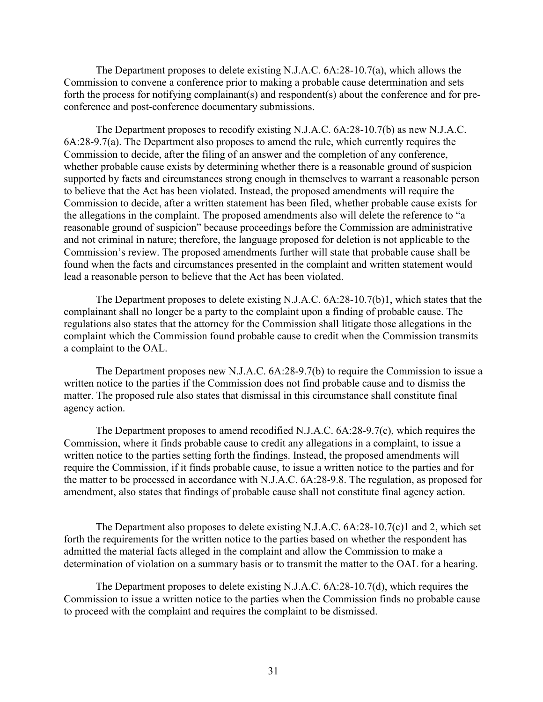The Department proposes to delete existing N.J.A.C. 6A:28-10.7(a), which allows the Commission to convene a conference prior to making a probable cause determination and sets forth the process for notifying complainant(s) and respondent(s) about the conference and for preconference and post-conference documentary submissions.

The Department proposes to recodify existing N.J.A.C. 6A:28-10.7(b) as new N.J.A.C. 6A:28-9.7(a). The Department also proposes to amend the rule, which currently requires the Commission to decide, after the filing of an answer and the completion of any conference, whether probable cause exists by determining whether there is a reasonable ground of suspicion supported by facts and circumstances strong enough in themselves to warrant a reasonable person to believe that the Act has been violated. Instead, the proposed amendments will require the Commission to decide, after a written statement has been filed, whether probable cause exists for the allegations in the complaint. The proposed amendments also will delete the reference to "a reasonable ground of suspicion" because proceedings before the Commission are administrative and not criminal in nature; therefore, the language proposed for deletion is not applicable to the Commission's review. The proposed amendments further will state that probable cause shall be found when the facts and circumstances presented in the complaint and written statement would lead a reasonable person to believe that the Act has been violated.

The Department proposes to delete existing N.J.A.C. 6A:28-10.7(b)1, which states that the complainant shall no longer be a party to the complaint upon a finding of probable cause. The regulations also states that the attorney for the Commission shall litigate those allegations in the complaint which the Commission found probable cause to credit when the Commission transmits a complaint to the OAL.

The Department proposes new N.J.A.C. 6A:28-9.7(b) to require the Commission to issue a written notice to the parties if the Commission does not find probable cause and to dismiss the matter. The proposed rule also states that dismissal in this circumstance shall constitute final agency action.

The Department proposes to amend recodified N.J.A.C. 6A:28-9.7(c), which requires the Commission, where it finds probable cause to credit any allegations in a complaint, to issue a written notice to the parties setting forth the findings. Instead, the proposed amendments will require the Commission, if it finds probable cause, to issue a written notice to the parties and for the matter to be processed in accordance with N.J.A.C. 6A:28-9.8. The regulation, as proposed for amendment, also states that findings of probable cause shall not constitute final agency action.

The Department also proposes to delete existing N.J.A.C. 6A:28-10.7(c)1 and 2, which set forth the requirements for the written notice to the parties based on whether the respondent has admitted the material facts alleged in the complaint and allow the Commission to make a determination of violation on a summary basis or to transmit the matter to the OAL for a hearing.

The Department proposes to delete existing N.J.A.C. 6A:28-10.7(d), which requires the Commission to issue a written notice to the parties when the Commission finds no probable cause to proceed with the complaint and requires the complaint to be dismissed.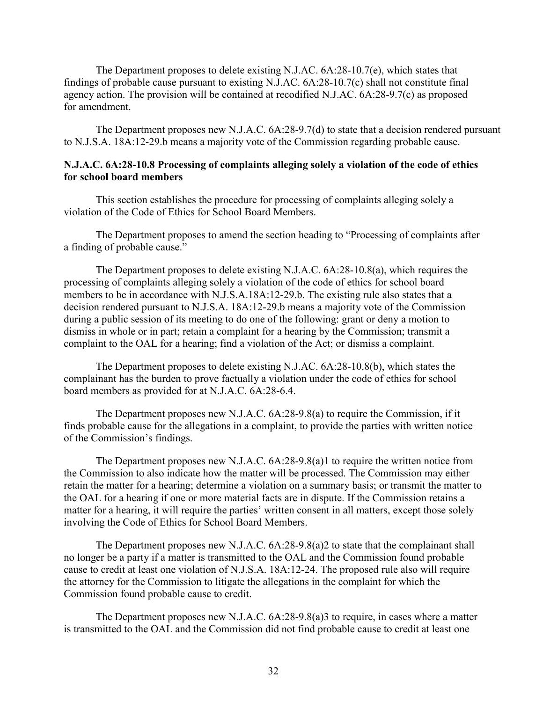The Department proposes to delete existing N.J.AC. 6A:28-10.7(e), which states that findings of probable cause pursuant to existing N.J.AC. 6A:28-10.7(c) shall not constitute final agency action. The provision will be contained at recodified N.J.AC. 6A:28-9.7(c) as proposed for amendment.

The Department proposes new N.J.A.C. 6A:28-9.7(d) to state that a decision rendered pursuant to N.J.S.A. 18A:12-29.b means a majority vote of the Commission regarding probable cause.

# **N.J.A.C. 6A:28-10.8 Processing of complaints alleging solely a violation of the code of ethics for school board members**

This section establishes the procedure for processing of complaints alleging solely a violation of the Code of Ethics for School Board Members.

The Department proposes to amend the section heading to "Processing of complaints after a finding of probable cause."

The Department proposes to delete existing N.J.A.C. 6A:28-10.8(a), which requires the processing of complaints alleging solely a violation of the code of ethics for school board members to be in accordance with N.J.S.A.18A:12-29.b. The existing rule also states that a decision rendered pursuant to N.J.S.A. 18A:12-29.b means a majority vote of the Commission during a public session of its meeting to do one of the following: grant or deny a motion to dismiss in whole or in part; retain a complaint for a hearing by the Commission; transmit a complaint to the OAL for a hearing; find a violation of the Act; or dismiss a complaint.

The Department proposes to delete existing N.J.AC. 6A:28-10.8(b), which states the complainant has the burden to prove factually a violation under the code of ethics for school board members as provided for at N.J.A.C. 6A:28-6.4.

The Department proposes new N.J.A.C. 6A:28-9.8(a) to require the Commission, if it finds probable cause for the allegations in a complaint, to provide the parties with written notice of the Commission's findings.

The Department proposes new N.J.A.C. 6A:28-9.8(a)1 to require the written notice from the Commission to also indicate how the matter will be processed. The Commission may either retain the matter for a hearing; determine a violation on a summary basis; or transmit the matter to the OAL for a hearing if one or more material facts are in dispute. If the Commission retains a matter for a hearing, it will require the parties' written consent in all matters, except those solely involving the Code of Ethics for School Board Members.

The Department proposes new N.J.A.C. 6A:28-9.8(a)2 to state that the complainant shall no longer be a party if a matter is transmitted to the OAL and the Commission found probable cause to credit at least one violation of N.J.S.A. 18A:12-24. The proposed rule also will require the attorney for the Commission to litigate the allegations in the complaint for which the Commission found probable cause to credit.

The Department proposes new N.J.A.C. 6A:28-9.8(a)3 to require, in cases where a matter is transmitted to the OAL and the Commission did not find probable cause to credit at least one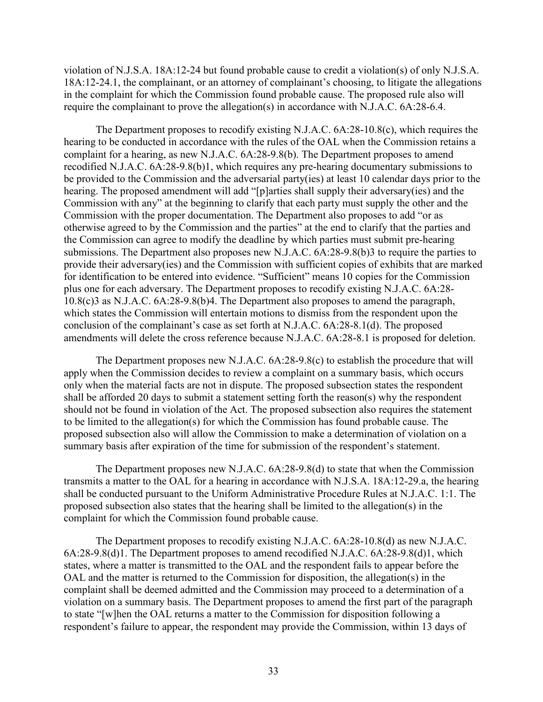violation of N.J.S.A. 18A:12-24 but found probable cause to credit a violation(s) of only N.J.S.A. 18A:12-24.1, the complainant, or an attorney of complainant's choosing, to litigate the allegations in the complaint for which the Commission found probable cause. The proposed rule also will require the complainant to prove the allegation(s) in accordance with N.J.A.C. 6A:28-6.4.

The Department proposes to recodify existing N.J.A.C. 6A:28-10.8(c), which requires the hearing to be conducted in accordance with the rules of the OAL when the Commission retains a complaint for a hearing, as new N.J.A.C. 6A:28-9.8(b). The Department proposes to amend recodified N.J.A.C. 6A:28-9.8(b)1, which requires any pre-hearing documentary submissions to be provided to the Commission and the adversarial party(ies) at least 10 calendar days prior to the hearing. The proposed amendment will add "[p]arties shall supply their adversary(ies) and the Commission with any" at the beginning to clarify that each party must supply the other and the Commission with the proper documentation. The Department also proposes to add "or as otherwise agreed to by the Commission and the parties" at the end to clarify that the parties and the Commission can agree to modify the deadline by which parties must submit pre-hearing submissions. The Department also proposes new N.J.A.C. 6A:28-9.8(b)3 to require the parties to provide their adversary(ies) and the Commission with sufficient copies of exhibits that are marked for identification to be entered into evidence. "Sufficient" means 10 copies for the Commission plus one for each adversary. The Department proposes to recodify existing N.J.A.C. 6A:28- 10.8(c)3 as N.J.A.C. 6A:28-9.8(b)4. The Department also proposes to amend the paragraph, which states the Commission will entertain motions to dismiss from the respondent upon the conclusion of the complainant's case as set forth at N.J.A.C. 6A:28-8.1(d). The proposed amendments will delete the cross reference because N.J.A.C. 6A:28-8.1 is proposed for deletion.

The Department proposes new N.J.A.C. 6A:28-9.8(c) to establish the procedure that will apply when the Commission decides to review a complaint on a summary basis, which occurs only when the material facts are not in dispute. The proposed subsection states the respondent shall be afforded 20 days to submit a statement setting forth the reason(s) why the respondent should not be found in violation of the Act. The proposed subsection also requires the statement to be limited to the allegation(s) for which the Commission has found probable cause. The proposed subsection also will allow the Commission to make a determination of violation on a summary basis after expiration of the time for submission of the respondent's statement.

The Department proposes new N.J.A.C. 6A:28-9.8(d) to state that when the Commission transmits a matter to the OAL for a hearing in accordance with N.J.S.A. 18A:12-29.a, the hearing shall be conducted pursuant to the Uniform Administrative Procedure Rules at N.J.A.C. 1:1. The proposed subsection also states that the hearing shall be limited to the allegation(s) in the complaint for which the Commission found probable cause.

The Department proposes to recodify existing N.J.A.C. 6A:28-10.8(d) as new N.J.A.C. 6A:28-9.8(d)1. The Department proposes to amend recodified N.J.A.C. 6A:28-9.8(d)1, which states, where a matter is transmitted to the OAL and the respondent fails to appear before the OAL and the matter is returned to the Commission for disposition, the allegation(s) in the complaint shall be deemed admitted and the Commission may proceed to a determination of a violation on a summary basis. The Department proposes to amend the first part of the paragraph to state "[w]hen the OAL returns a matter to the Commission for disposition following a respondent's failure to appear, the respondent may provide the Commission, within 13 days of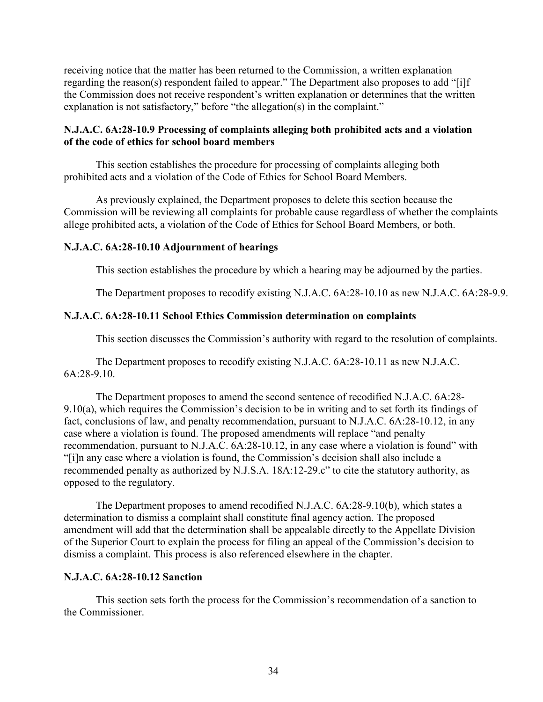receiving notice that the matter has been returned to the Commission, a written explanation regarding the reason(s) respondent failed to appear." The Department also proposes to add "[i]f the Commission does not receive respondent's written explanation or determines that the written explanation is not satisfactory," before "the allegation(s) in the complaint."

# **N.J.A.C. 6A:28-10.9 Processing of complaints alleging both prohibited acts and a violation of the code of ethics for school board members**

This section establishes the procedure for processing of complaints alleging both prohibited acts and a violation of the Code of Ethics for School Board Members.

As previously explained, the Department proposes to delete this section because the Commission will be reviewing all complaints for probable cause regardless of whether the complaints allege prohibited acts, a violation of the Code of Ethics for School Board Members, or both.

# **N.J.A.C. 6A:28-10.10 Adjournment of hearings**

This section establishes the procedure by which a hearing may be adjourned by the parties.

The Department proposes to recodify existing N.J.A.C. 6A:28-10.10 as new N.J.A.C. 6A:28-9.9.

# **N.J.A.C. 6A:28-10.11 School Ethics Commission determination on complaints**

This section discusses the Commission's authority with regard to the resolution of complaints.

The Department proposes to recodify existing N.J.A.C. 6A:28-10.11 as new N.J.A.C. 6A:28-9.10.

The Department proposes to amend the second sentence of recodified N.J.A.C. 6A:28- 9.10(a), which requires the Commission's decision to be in writing and to set forth its findings of fact, conclusions of law, and penalty recommendation, pursuant to N.J.A.C. 6A:28-10.12, in any case where a violation is found. The proposed amendments will replace "and penalty recommendation, pursuant to N.J.A.C. 6A:28-10.12, in any case where a violation is found" with "[i]n any case where a violation is found, the Commission's decision shall also include a recommended penalty as authorized by N.J.S.A. 18A:12-29.c" to cite the statutory authority, as opposed to the regulatory.

The Department proposes to amend recodified N.J.A.C. 6A:28-9.10(b), which states a determination to dismiss a complaint shall constitute final agency action. The proposed amendment will add that the determination shall be appealable directly to the Appellate Division of the Superior Court to explain the process for filing an appeal of the Commission's decision to dismiss a complaint. This process is also referenced elsewhere in the chapter.

#### **N.J.A.C. 6A:28-10.12 Sanction**

This section sets forth the process for the Commission's recommendation of a sanction to the Commissioner.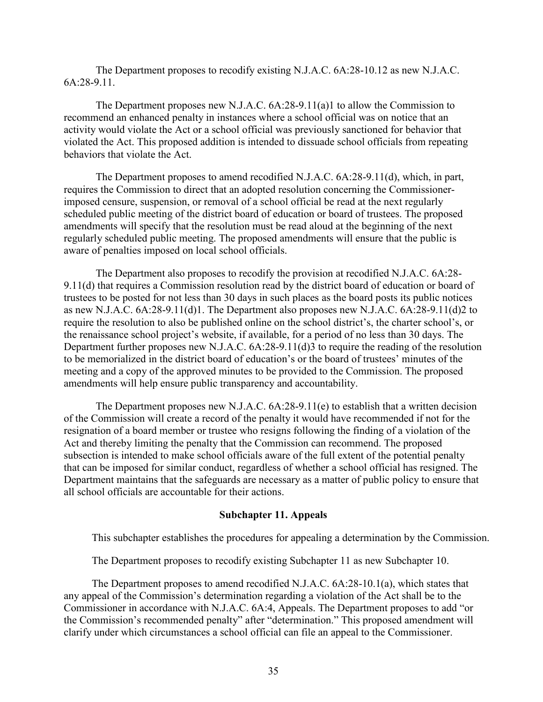The Department proposes to recodify existing N.J.A.C. 6A:28-10.12 as new N.J.A.C. 6A:28-9.11.

The Department proposes new N.J.A.C. 6A:28-9.11(a)1 to allow the Commission to recommend an enhanced penalty in instances where a school official was on notice that an activity would violate the Act or a school official was previously sanctioned for behavior that violated the Act. This proposed addition is intended to dissuade school officials from repeating behaviors that violate the Act.

The Department proposes to amend recodified N.J.A.C. 6A:28-9.11(d), which, in part, requires the Commission to direct that an adopted resolution concerning the Commissionerimposed censure, suspension, or removal of a school official be read at the next regularly scheduled public meeting of the district board of education or board of trustees. The proposed amendments will specify that the resolution must be read aloud at the beginning of the next regularly scheduled public meeting. The proposed amendments will ensure that the public is aware of penalties imposed on local school officials.

The Department also proposes to recodify the provision at recodified N.J.A.C. 6A:28- 9.11(d) that requires a Commission resolution read by the district board of education or board of trustees to be posted for not less than 30 days in such places as the board posts its public notices as new N.J.A.C. 6A:28-9.11(d)1. The Department also proposes new N.J.A.C. 6A:28-9.11(d)2 to require the resolution to also be published online on the school district's, the charter school's, or the renaissance school project's website, if available, for a period of no less than 30 days. The Department further proposes new N.J.A.C. 6A:28-9.11(d)3 to require the reading of the resolution to be memorialized in the district board of education's or the board of trustees' minutes of the meeting and a copy of the approved minutes to be provided to the Commission. The proposed amendments will help ensure public transparency and accountability.

The Department proposes new N.J.A.C. 6A:28-9.11(e) to establish that a written decision of the Commission will create a record of the penalty it would have recommended if not for the resignation of a board member or trustee who resigns following the finding of a violation of the Act and thereby limiting the penalty that the Commission can recommend. The proposed subsection is intended to make school officials aware of the full extent of the potential penalty that can be imposed for similar conduct, regardless of whether a school official has resigned. The Department maintains that the safeguards are necessary as a matter of public policy to ensure that all school officials are accountable for their actions.

### **Subchapter 11. Appeals**

This subchapter establishes the procedures for appealing a determination by the Commission.

The Department proposes to recodify existing Subchapter 11 as new Subchapter 10.

The Department proposes to amend recodified N.J.A.C. 6A:28-10.1(a), which states that any appeal of the Commission's determination regarding a violation of the Act shall be to the Commissioner in accordance with N.J.A.C. 6A:4, Appeals. The Department proposes to add "or the Commission's recommended penalty" after "determination." This proposed amendment will clarify under which circumstances a school official can file an appeal to the Commissioner.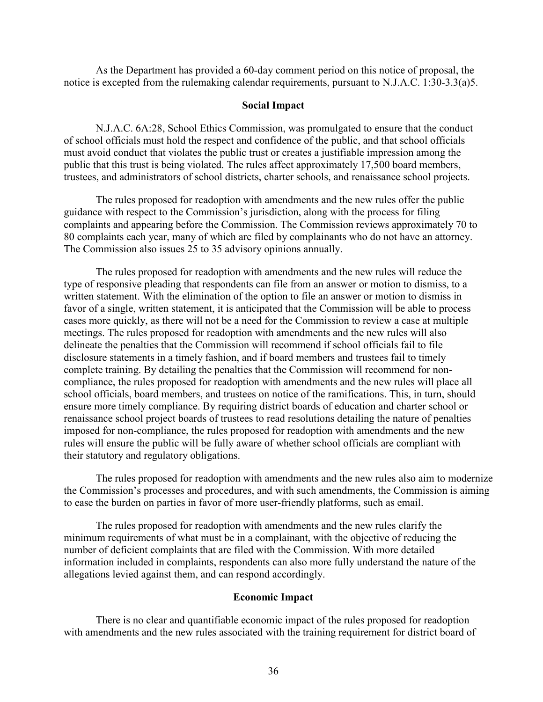As the Department has provided a 60-day comment period on this notice of proposal, the notice is excepted from the rulemaking calendar requirements, pursuant to N.J.A.C. 1:30-3.3(a)5.

#### **Social Impact**

N.J.A.C. 6A:28, School Ethics Commission, was promulgated to ensure that the conduct of school officials must hold the respect and confidence of the public, and that school officials must avoid conduct that violates the public trust or creates a justifiable impression among the public that this trust is being violated. The rules affect approximately 17,500 board members, trustees, and administrators of school districts, charter schools, and renaissance school projects.

The rules proposed for readoption with amendments and the new rules offer the public guidance with respect to the Commission's jurisdiction, along with the process for filing complaints and appearing before the Commission. The Commission reviews approximately 70 to 80 complaints each year, many of which are filed by complainants who do not have an attorney. The Commission also issues 25 to 35 advisory opinions annually.

The rules proposed for readoption with amendments and the new rules will reduce the type of responsive pleading that respondents can file from an answer or motion to dismiss, to a written statement. With the elimination of the option to file an answer or motion to dismiss in favor of a single, written statement, it is anticipated that the Commission will be able to process cases more quickly, as there will not be a need for the Commission to review a case at multiple meetings. The rules proposed for readoption with amendments and the new rules will also delineate the penalties that the Commission will recommend if school officials fail to file disclosure statements in a timely fashion, and if board members and trustees fail to timely complete training. By detailing the penalties that the Commission will recommend for noncompliance, the rules proposed for readoption with amendments and the new rules will place all school officials, board members, and trustees on notice of the ramifications. This, in turn, should ensure more timely compliance. By requiring district boards of education and charter school or renaissance school project boards of trustees to read resolutions detailing the nature of penalties imposed for non-compliance, the rules proposed for readoption with amendments and the new rules will ensure the public will be fully aware of whether school officials are compliant with their statutory and regulatory obligations.

The rules proposed for readoption with amendments and the new rules also aim to modernize the Commission's processes and procedures, and with such amendments, the Commission is aiming to ease the burden on parties in favor of more user-friendly platforms, such as email.

The rules proposed for readoption with amendments and the new rules clarify the minimum requirements of what must be in a complainant, with the objective of reducing the number of deficient complaints that are filed with the Commission. With more detailed information included in complaints, respondents can also more fully understand the nature of the allegations levied against them, and can respond accordingly.

### **Economic Impact**

There is no clear and quantifiable economic impact of the rules proposed for readoption with amendments and the new rules associated with the training requirement for district board of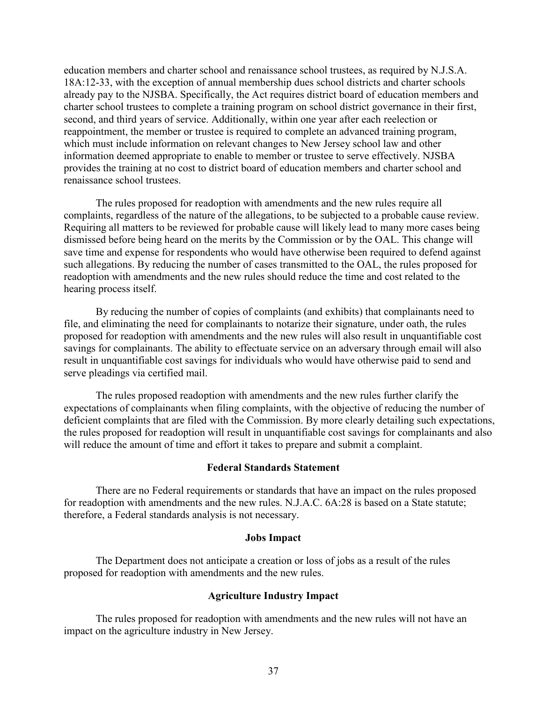education members and charter school and renaissance school trustees, as required by N.J.S.A. 18A:12-33, with the exception of annual membership dues school districts and charter schools already pay to the NJSBA. Specifically, the Act requires district board of education members and charter school trustees to complete a training program on school district governance in their first, second, and third years of service. Additionally, within one year after each reelection or reappointment, the member or trustee is required to complete an advanced training program, which must include information on relevant changes to New Jersey school law and other information deemed appropriate to enable to member or trustee to serve effectively. NJSBA provides the training at no cost to district board of education members and charter school and renaissance school trustees.

The rules proposed for readoption with amendments and the new rules require all complaints, regardless of the nature of the allegations, to be subjected to a probable cause review. Requiring all matters to be reviewed for probable cause will likely lead to many more cases being dismissed before being heard on the merits by the Commission or by the OAL. This change will save time and expense for respondents who would have otherwise been required to defend against such allegations. By reducing the number of cases transmitted to the OAL, the rules proposed for readoption with amendments and the new rules should reduce the time and cost related to the hearing process itself.

By reducing the number of copies of complaints (and exhibits) that complainants need to file, and eliminating the need for complainants to notarize their signature, under oath, the rules proposed for readoption with amendments and the new rules will also result in unquantifiable cost savings for complainants. The ability to effectuate service on an adversary through email will also result in unquantifiable cost savings for individuals who would have otherwise paid to send and serve pleadings via certified mail.

The rules proposed readoption with amendments and the new rules further clarify the expectations of complainants when filing complaints, with the objective of reducing the number of deficient complaints that are filed with the Commission. By more clearly detailing such expectations, the rules proposed for readoption will result in unquantifiable cost savings for complainants and also will reduce the amount of time and effort it takes to prepare and submit a complaint.

### **Federal Standards Statement**

There are no Federal requirements or standards that have an impact on the rules proposed for readoption with amendments and the new rules. N.J.A.C. 6A:28 is based on a State statute; therefore, a Federal standards analysis is not necessary.

#### **Jobs Impact**

The Department does not anticipate a creation or loss of jobs as a result of the rules proposed for readoption with amendments and the new rules.

### **Agriculture Industry Impact**

The rules proposed for readoption with amendments and the new rules will not have an impact on the agriculture industry in New Jersey.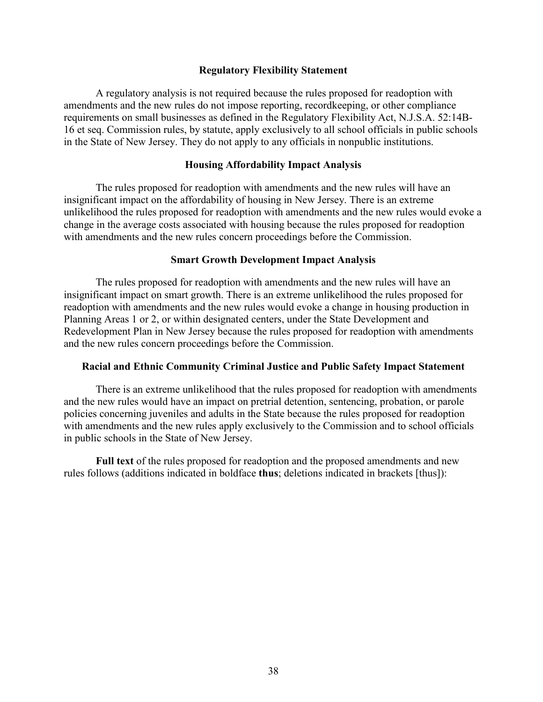# **Regulatory Flexibility Statement**

A regulatory analysis is not required because the rules proposed for readoption with amendments and the new rules do not impose reporting, recordkeeping, or other compliance requirements on small businesses as defined in the Regulatory Flexibility Act, N.J.S.A. 52:14B-16 et seq. Commission rules, by statute, apply exclusively to all school officials in public schools in the State of New Jersey. They do not apply to any officials in nonpublic institutions.

### **Housing Affordability Impact Analysis**

The rules proposed for readoption with amendments and the new rules will have an insignificant impact on the affordability of housing in New Jersey. There is an extreme unlikelihood the rules proposed for readoption with amendments and the new rules would evoke a change in the average costs associated with housing because the rules proposed for readoption with amendments and the new rules concern proceedings before the Commission.

# **Smart Growth Development Impact Analysis**

The rules proposed for readoption with amendments and the new rules will have an insignificant impact on smart growth. There is an extreme unlikelihood the rules proposed for readoption with amendments and the new rules would evoke a change in housing production in Planning Areas 1 or 2, or within designated centers, under the State Development and Redevelopment Plan in New Jersey because the rules proposed for readoption with amendments and the new rules concern proceedings before the Commission.

# **Racial and Ethnic Community Criminal Justice and Public Safety Impact Statement**

There is an extreme unlikelihood that the rules proposed for readoption with amendments and the new rules would have an impact on pretrial detention, sentencing, probation, or parole policies concerning juveniles and adults in the State because the rules proposed for readoption with amendments and the new rules apply exclusively to the Commission and to school officials in public schools in the State of New Jersey.

**Full text** of the rules proposed for readoption and the proposed amendments and new rules follows (additions indicated in boldface **thus**; deletions indicated in brackets [thus]):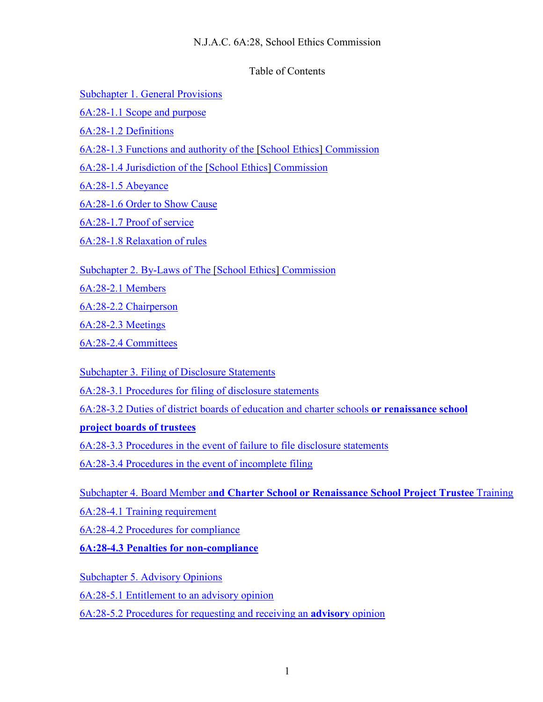# N.J.A.C. 6A:28, School Ethics Commission

# Table of Contents

[Subchapter 1. General Provisions](#page-44-0)

[6A:28-1.1 Scope and purpose](#page-44-1)

[6A:28-1.2 Definitions](#page-44-2)

[6A:28-1.3 Functions and authority of the](#page-53-0) [School Ethics] Commission

[6A:28-1.4 Jurisdiction of the \[School Ethics\]](#page-55-0) Commission

[6A:28-1.5 Abeyance](#page-56-0)

6A:28-1.6 [Order to Show Cause](#page-56-1)

6A:28-1.7 [Proof of service](#page-57-0)

6A:28-1.8 [Relaxation of rules](#page-58-0)

[Subchapter 2. By-Laws of The \[School Ethics\]](#page-59-0) Commission

[6A:28-2.1](#page-59-1) Members

6A:28-2.2 [Chairperson](#page-59-2)

[6A:28-2.3 Meetings](#page-60-0)

[6A:28-2.4 Committees](#page-61-0)

[Subchapter 3. Filing of](#page-61-1) Disclosure Statements

[6A:28-3.1 Procedures for filing of disclosure statements](#page-61-2)

[6A:28-3.2 Duties of district boards of education and charter schools](#page-64-0) **or renaissance school**

**project [boards of trustees](#page-64-0)**

[6A:28-3.3 Procedures in the event of failure to file](#page-67-0) disclosure statements

[6A:28-3.4 Procedures in the event of incomplete filing](#page-68-0)

Subchapter 4. Board Member a**[nd Charter School or Renaissance School Project Trustee](#page-70-0)** Training

[6A:28-4.1 Training requirement](#page-70-1)

[6A:28-4.2 Procedures for compliance](#page-70-2)

**[6A:28-4.3 Penalties for non-compliance](#page-72-0)**

[Subchapter 5. Advisory Opinions](#page-73-0)

[6A:28-5.1 Entitlement](#page-73-1) to an advisory opinion

[6A:28-5.2 Procedures for requesting and receiving an](#page-74-0) **advisory** opinion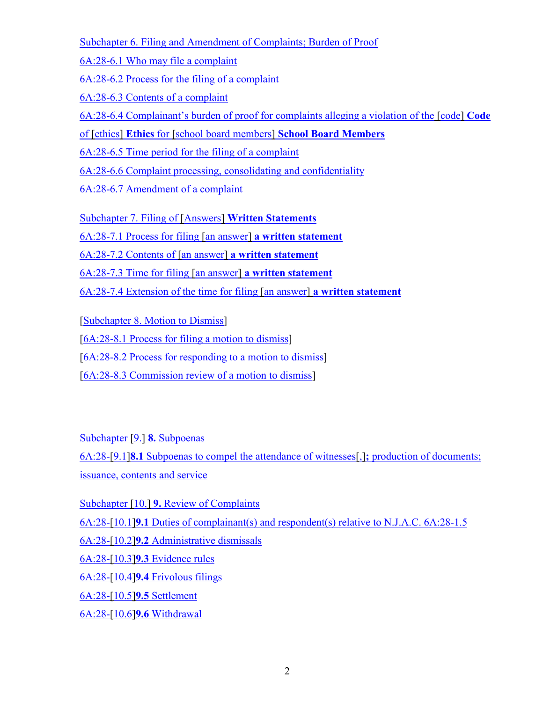[Subchapter 6. Filing and Amendment of Complaints; Burden of Proof](#page-75-0)

[6A:28-6.1 Who may file a complaint](#page-75-0)

[6A:28-6.2 Process for the filing of a complaint](#page-76-0)

[6A:28-6.3 Contents of a complaint](#page-77-0)

[6A:28-6.4 Complainant's burden of proof for complaints alleging a violation of the](#page-81-0) [code] **Code**

of [ethics] **Ethics** [for \[school board members\]](#page-81-0) **School Board Members**

[6A:28-6.5 Time period for the filing of a complaint](#page-83-0)

6A:28-6.6 [Complaint processing, consolidating](#page-84-0) and confidentiality

6A:28-6.7 [Amendment of a](#page-86-0) complaint

[Subchapter 7. Filing of \[Answers\]](#page-87-0) **Written Statements**

[6A:28-7.1 Process for filing \[an answer\]](#page-87-1) **a written statement**

[6A:28-7.2 Contents of \[an answer\]](#page-87-2) **a written statement**

[6A:28-7.3 Time for filing \[an answer\]](#page-89-0) **a written statement**

[6A:28-7.4 Extension of the time for filing \[an answer\]](#page-89-1) **a written statement**

[\[Subchapter 8. Motion to Dismiss\]](#page-90-0)

[\[6A:28-8.1 Process for filing a motion to dismiss\]](#page-90-1)

[\[6A:28-8.2 Process for responding to a motion to dismiss\]](#page-90-2)

[6A:28-8.3 Commission [review of a motion to dismiss\]](#page-91-0)

[Subchapter \[9.\]](#page-91-1) **8.** Subpoenas

6A:28-[9.1]**8.1** [Subpoenas to compel the attendance of witnesses\[,\]](#page-91-2)**;** production of documents; issuance, [contents and service](#page-91-2)

Subchapter [10.] **9.** [Review of Complaints](#page-91-3)

6A:28-[10.1]**9.1** [Duties of complainant\(s\) and respondent\(s\) relative to](#page-91-4) N.J.A.C. 6A:28-1.5

6A:28-[10.2]**9.2** [Administrative dismissals](#page-92-0)

6A:28-[10.3]**9.3** [Evidence rules](#page-93-0)

6A:28-[10.4]**9.4** [Frivolous filings](#page-93-1)

[6A:28-\[10.5\]](#page-94-0)**9.5** Settlement

[6A:28-\[10.6\]](#page-95-0)**9.6** Withdrawal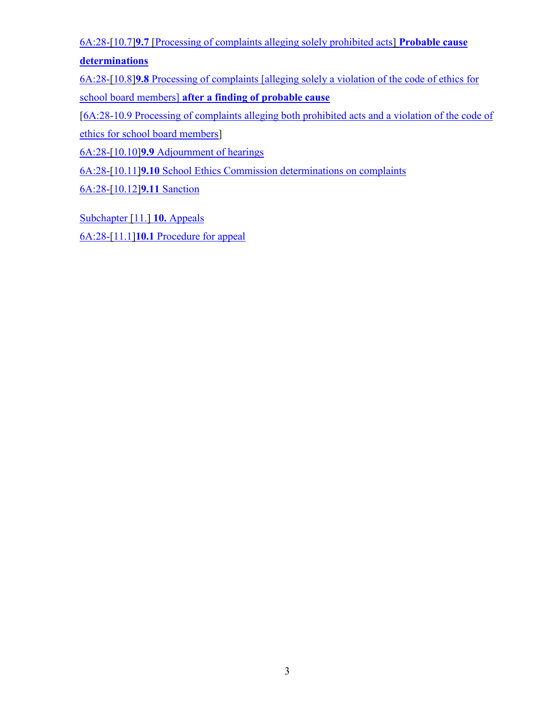6A:28-[10.7]**9.7** [Processing of [complaints alleging solely prohibited acts\]](#page-95-1) **Probable cause** 

# **[determinations](#page-95-1)**

6A:28-[10.8]**9.8** Processing of complaints [\[alleging solely a violation](#page-97-0) of the code of ethics for school board members] **[after a finding of probable](#page-97-0) cause**

[\[6A:28-10.9 Processing of complaints alleging both prohibited acts and a violation of the code of](#page-100-0) 

[ethics for school board members\]](#page-100-0)

6A:28-[10.10]**9.9** [Adjournment of hearings](#page-101-0)

6A:28-[10.11]**9.10** [School Ethics Commission determinations on complaints](#page-101-1)

[6A:28-\[10.12\]](#page-102-0)**9.11** Sanction

[Subchapter](#page-103-0) [11.] **10.** Appeals

6A:28-[11.1]**10.1** [Procedure for appeal](#page-103-1)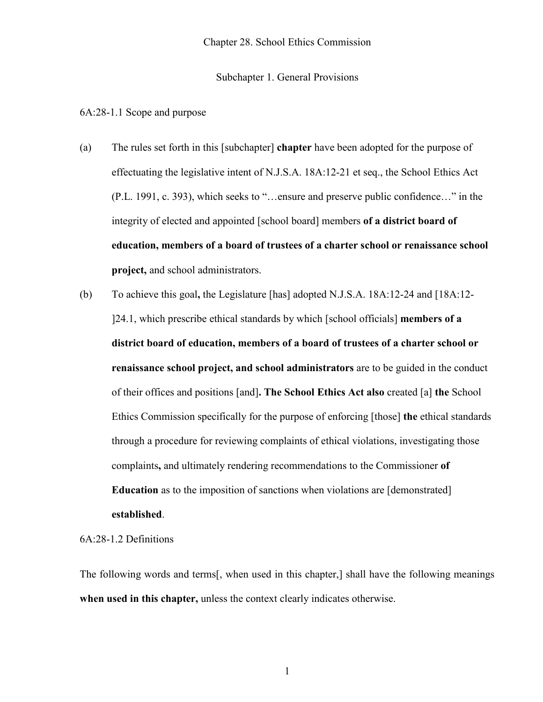#### Subchapter 1. General Provisions

<span id="page-44-1"></span><span id="page-44-0"></span>6A:28-1.1 Scope and purpose

- (a) The rules set forth in this [subchapter] **chapter** have been adopted for the purpose of effectuating the legislative intent of N.J.S.A. 18A:12-21 et seq., the School Ethics Act (P.L. 1991, c. 393), which seeks to "…ensure and preserve public confidence…" in the integrity of elected and appointed [school board] members **of a district board of education, members of a board of trustees of a charter school or renaissance school project,** and school administrators.
- (b) To achieve this goal**,** the Legislature [has] adopted N.J.S.A. 18A:12-24 and [18A:12- ]24.1, which prescribe ethical standards by which [school officials] **members of a district board of education, members of a board of trustees of a charter school or renaissance school project, and school administrators** are to be guided in the conduct of their offices and positions [and]**. The School Ethics Act also** created [a] **the** School Ethics Commission specifically for the purpose of enforcing [those] **the** ethical standards through a procedure for reviewing complaints of ethical violations, investigating those complaints**,** and ultimately rendering recommendations to the Commissioner **of Education** as to the imposition of sanctions when violations are [demonstrated] **established**.

<span id="page-44-2"></span>6A:28-1.2 Definitions

The following words and terms[, when used in this chapter,] shall have the following meanings **when used in this chapter,** unless the context clearly indicates otherwise.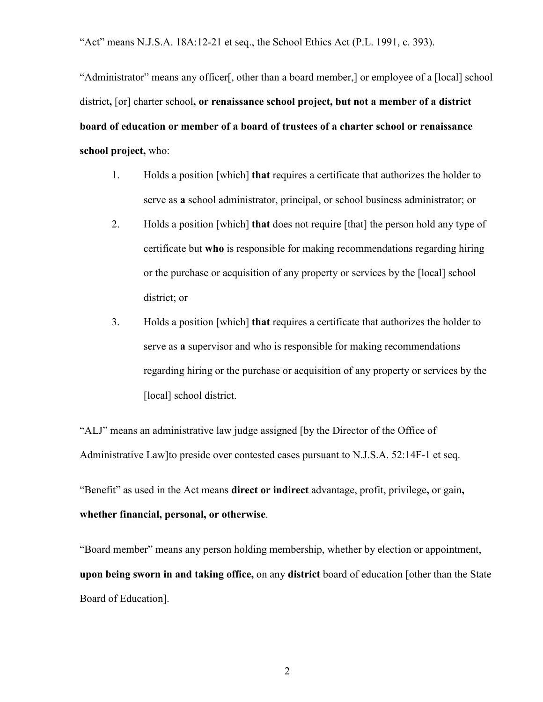"Act" means N.J.S.A. 18A:12-21 et seq., the School Ethics Act (P.L. 1991, c. 393).

"Administrator" means any officer[, other than a board member,] or employee of a [local] school district**,** [or] charter school**, or renaissance school project, but not a member of a district board of education or member of a board of trustees of a charter school or renaissance school project,** who:

- 1. Holds a position [which] **that** requires a certificate that authorizes the holder to serve as **a** school administrator, principal, or school business administrator; or
- 2. Holds a position [which] **that** does not require [that] the person hold any type of certificate but **who** is responsible for making recommendations regarding hiring or the purchase or acquisition of any property or services by the [local] school district; or
- 3. Holds a position [which] **that** requires a certificate that authorizes the holder to serve as **a** supervisor and who is responsible for making recommendations regarding hiring or the purchase or acquisition of any property or services by the [local] school district.

"ALJ" means an administrative law judge assigned [by the Director of the Office of Administrative Law]to preside over contested cases pursuant to N.J.S.A. 52:14F-1 et seq.

"Benefit" as used in the Act means **direct or indirect** advantage, profit, privilege**,** or gain**, whether financial, personal, or otherwise**.

"Board member" means any person holding membership, whether by election or appointment, **upon being sworn in and taking office,** on any **district** board of education [other than the State Board of Education].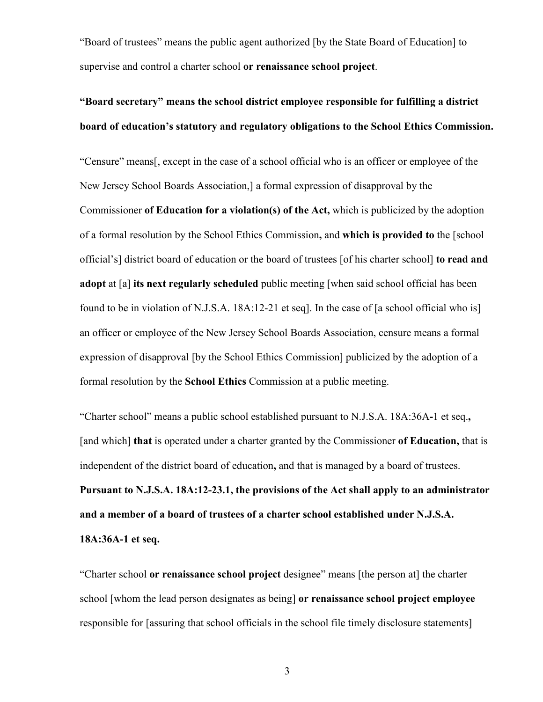"Board of trustees" means the public agent authorized [by the State Board of Education] to supervise and control a charter school **or renaissance school project**.

# **"Board secretary" means the school district employee responsible for fulfilling a district board of education's statutory and regulatory obligations to the School Ethics Commission.**

"Censure" means[, except in the case of a school official who is an officer or employee of the New Jersey School Boards Association,] a formal expression of disapproval by the Commissioner **of Education for a violation(s) of the Act,** which is publicized by the adoption of a formal resolution by the School Ethics Commission**,** and **which is provided to** the [school official's] district board of education or the board of trustees [of his charter school] **to read and adopt** at [a] **its next regularly scheduled** public meeting [when said school official has been found to be in violation of N.J.S.A. 18A:12-21 et seq]. In the case of [a school official who is] an officer or employee of the New Jersey School Boards Association, censure means a formal expression of disapproval [by the School Ethics Commission] publicized by the adoption of a formal resolution by the **School Ethics** Commission at a public meeting.

"Charter school" means a public school established pursuant to N.J.S.A. 18A:36A**-**1 et seq.**,** [and which] **that** is operated under a charter granted by the Commissioner **of Education,** that is independent of the district board of education**,** and that is managed by a board of trustees. **Pursuant to N.J.S.A. 18A:12-23.1, the provisions of the Act shall apply to an administrator and a member of a board of trustees of a charter school established under N.J.S.A. 18A:36A-1 et seq.**

"Charter school **or renaissance school project** designee" means [the person at] the charter school [whom the lead person designates as being] **or renaissance school project employee** responsible for [assuring that school officials in the school file timely disclosure statements]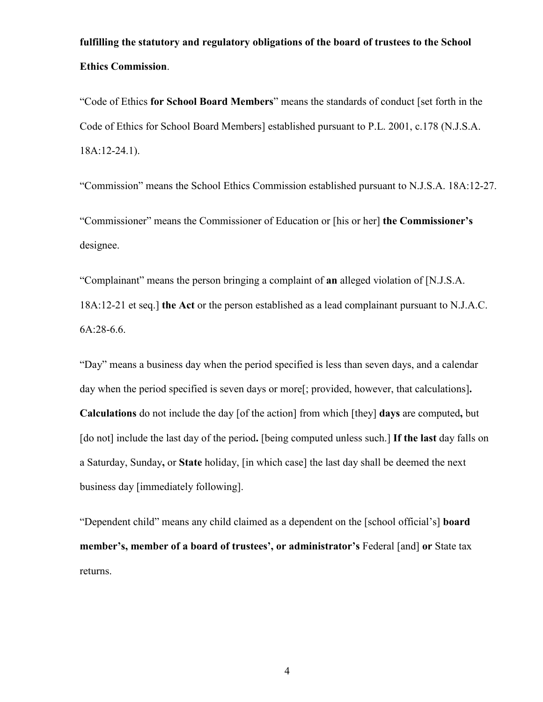# **fulfilling the statutory and regulatory obligations of the board of trustees to the School Ethics Commission**.

"Code of Ethics **for School Board Members**" means the standards of conduct [set forth in the Code of Ethics for School Board Members] established pursuant to P.L. 2001, c.178 (N.J.S.A. 18A:12-24.1).

"Commission" means the School Ethics Commission established pursuant to N.J.S.A. 18A:12-27. "Commissioner" means the Commissioner of Education or [his or her] **the Commissioner's** designee.

"Complainant" means the person bringing a complaint of **an** alleged violation of [N.J.S.A. 18A:12-21 et seq.] **the Act** or the person established as a lead complainant pursuant to N.J.A.C. 6A:28-6.6.

"Day" means a business day when the period specified is less than seven days, and a calendar day when the period specified is seven days or more[; provided, however, that calculations]**. Calculations** do not include the day [of the action] from which [they] **days** are computed**,** but [do not] include the last day of the period**.** [being computed unless such.] **If the last** day falls on a Saturday, Sunday**,** or **State** holiday, [in which case] the last day shall be deemed the next business day [immediately following].

"Dependent child" means any child claimed as a dependent on the [school official's] **board member's, member of a board of trustees', or administrator's** Federal [and] **or** State tax returns.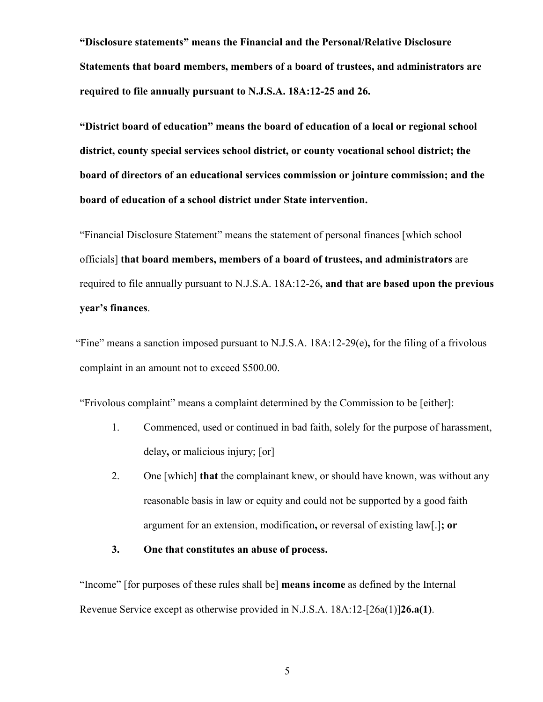**"Disclosure statements" means the Financial and the Personal/Relative Disclosure Statements that board members, members of a board of trustees, and administrators are required to file annually pursuant to N.J.S.A. 18A:12-25 and 26.**

**"District board of education" means the board of education of a local or regional school district, county special services school district, or county vocational school district; the board of directors of an educational services commission or jointure commission; and the board of education of a school district under State intervention.**

"Financial Disclosure Statement" means the statement of personal finances [which school officials] **that board members, members of a board of trustees, and administrators** are required to file annually pursuant to N.J.S.A. 18A:12-26**, and that are based upon the previous year's finances**.

"Fine" means a sanction imposed pursuant to N.J.S.A. 18A:12-29(e)**,** for the filing of a frivolous complaint in an amount not to exceed \$500.00.

"Frivolous complaint" means a complaint determined by the Commission to be [either]:

- 1. Commenced, used or continued in bad faith, solely for the purpose of harassment, delay**,** or malicious injury; [or]
- 2. One [which] **that** the complainant knew, or should have known, was without any reasonable basis in law or equity and could not be supported by a good faith argument for an extension, modification**,** or reversal of existing law[.]**; or**
- **3. One that constitutes an abuse of process.**

"Income" [for purposes of these rules shall be] **means income** as defined by the Internal Revenue Service except as otherwise provided in N.J.S.A. 18A:12-[26a(1)]**26.a(1)**.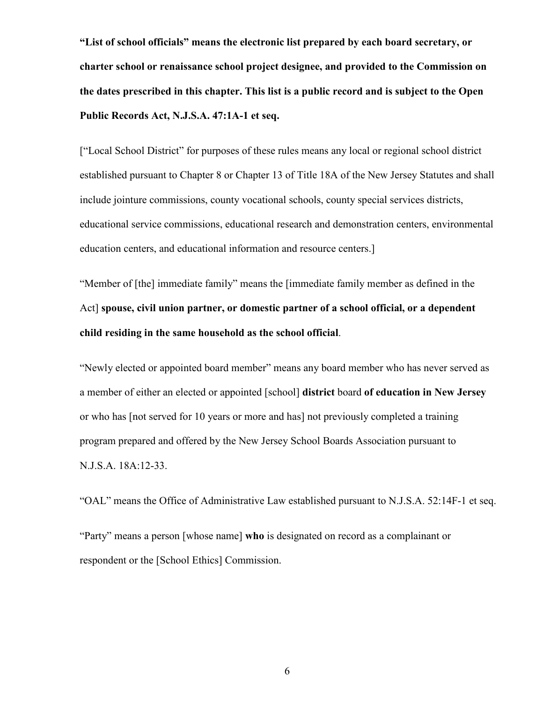**"List of school officials" means the electronic list prepared by each board secretary, or charter school or renaissance school project designee, and provided to the Commission on the dates prescribed in this chapter. This list is a public record and is subject to the Open Public Records Act, N.J.S.A. 47:1A-1 et seq.**

["Local School District" for purposes of these rules means any local or regional school district established pursuant to Chapter 8 or Chapter 13 of Title 18A of the New Jersey Statutes and shall include jointure commissions, county vocational schools, county special services districts, educational service commissions, educational research and demonstration centers, environmental education centers, and educational information and resource centers.]

"Member of [the] immediate family" means the [immediate family member as defined in the Act] **spouse, civil union partner, or domestic partner of a school official, or a dependent child residing in the same household as the school official**.

"Newly elected or appointed board member" means any board member who has never served as a member of either an elected or appointed [school] **district** board **of education in New Jersey** or who has [not served for 10 years or more and has] not previously completed a training program prepared and offered by the New Jersey School Boards Association pursuant to N.J.S.A. 18A:12-33.

"OAL" means the Office of Administrative Law established pursuant to N.J.S.A. 52:14F-1 et seq.

"Party" means a person [whose name] **who** is designated on record as a complainant or respondent or the [School Ethics] Commission.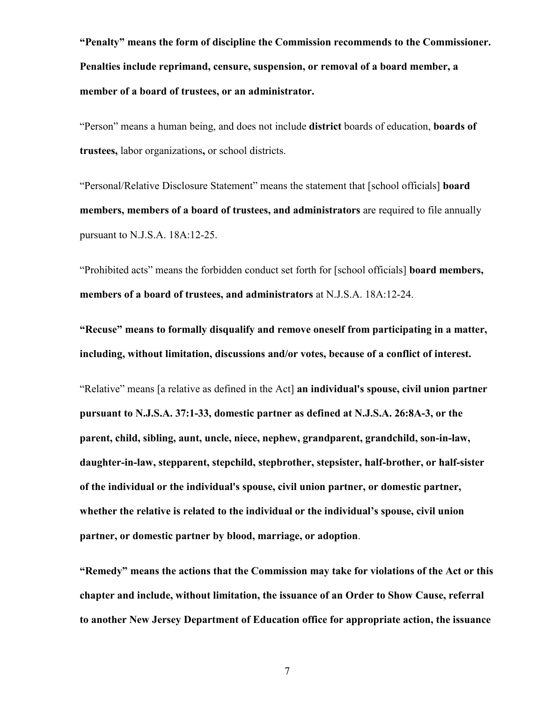**"Penalty" means the form of discipline the Commission recommends to the Commissioner. Penalties include reprimand, censure, suspension, or removal of a board member, a member of a board of trustees, or an administrator.**

"Person" means a human being, and does not include **district** boards of education, **boards of trustees,** labor organizations**,** or school districts.

"Personal/Relative Disclosure Statement" means the statement that [school officials] **board members, members of a board of trustees, and administrators** are required to file annually pursuant to N.J.S.A. 18A:12-25.

"Prohibited acts" means the forbidden conduct set forth for [school officials] **board members, members of a board of trustees, and administrators** at N.J.S.A. 18A:12-24.

**"Recuse" means to formally disqualify and remove oneself from participating in a matter, including, without limitation, discussions and/or votes, because of a conflict of interest.**

"Relative" means [a relative as defined in the Act] **an individual's spouse, civil union partner pursuant to N.J.S.A. 37:1-33, domestic partner as defined at N.J.S.A. 26:8A-3, or the parent, child, sibling, aunt, uncle, niece, nephew, grandparent, grandchild, son-in-law, daughter-in-law, stepparent, stepchild, stepbrother, stepsister, half-brother, or half-sister of the individual or the individual's spouse, civil union partner, or domestic partner, whether the relative is related to the individual or the individual's spouse, civil union partner, or domestic partner by blood, marriage, or adoption**.

**"Remedy" means the actions that the Commission may take for violations of the Act or this chapter and include, without limitation, the issuance of an Order to Show Cause, referral to another New Jersey Department of Education office for appropriate action, the issuance**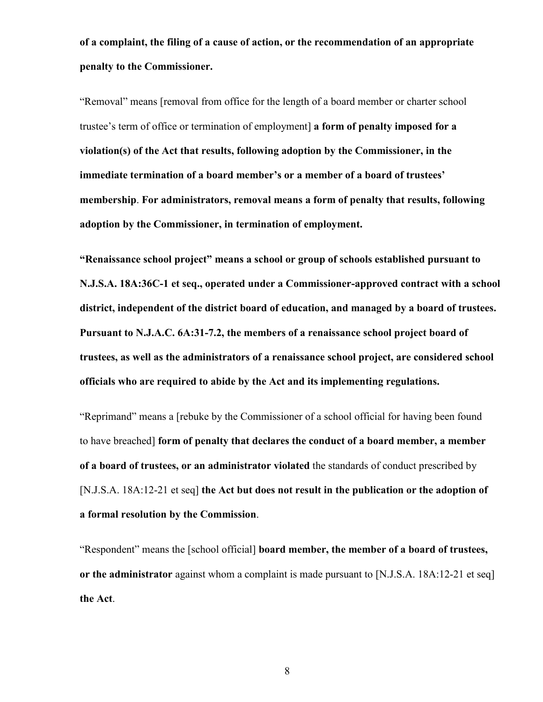**of a complaint, the filing of a cause of action, or the recommendation of an appropriate penalty to the Commissioner.**

"Removal" means [removal from office for the length of a board member or charter school trustee's term of office or termination of employment] **a form of penalty imposed for a violation(s) of the Act that results, following adoption by the Commissioner, in the immediate termination of a board member's or a member of a board of trustees' membership**. **For administrators, removal means a form of penalty that results, following adoption by the Commissioner, in termination of employment.**

**"Renaissance school project" means a school or group of schools established pursuant to N.J.S.A. 18A:36C-1 et seq., operated under a Commissioner-approved contract with a school district, independent of the district board of education, and managed by a board of trustees. Pursuant to N.J.A.C. 6A:31-7.2, the members of a renaissance school project board of trustees, as well as the administrators of a renaissance school project, are considered school officials who are required to abide by the Act and its implementing regulations.**

"Reprimand" means a [rebuke by the Commissioner of a school official for having been found to have breached] **form of penalty that declares the conduct of a board member, a member of a board of trustees, or an administrator violated** the standards of conduct prescribed by [N.J.S.A. 18A:12-21 et seq] **the Act but does not result in the publication or the adoption of a formal resolution by the Commission**.

"Respondent" means the [school official] **board member, the member of a board of trustees, or the administrator** against whom a complaint is made pursuant to [N.J.S.A. 18A:12-21 et seq] **the Act**.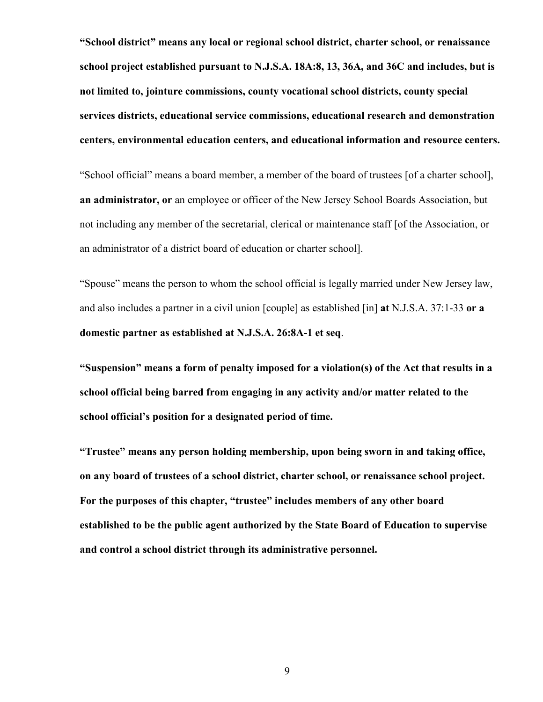**"School district" means any local or regional school district, charter school, or renaissance school project established pursuant to N.J.S.A. 18A:8, 13, 36A, and 36C and includes, but is not limited to, jointure commissions, county vocational school districts, county special services districts, educational service commissions, educational research and demonstration centers, environmental education centers, and educational information and resource centers.**

"School official" means a board member, a member of the board of trustees [of a charter school], **an administrator, or** an employee or officer of the New Jersey School Boards Association, but not including any member of the secretarial, clerical or maintenance staff [of the Association, or an administrator of a district board of education or charter school].

"Spouse" means the person to whom the school official is legally married under New Jersey law, and also includes a partner in a civil union [couple] as established [in] **at** N.J.S.A. 37:1-33 **or a domestic partner as established at N.J.S.A. 26:8A-1 et seq**.

**"Suspension" means a form of penalty imposed for a violation(s) of the Act that results in a school official being barred from engaging in any activity and/or matter related to the school official's position for a designated period of time.**

**"Trustee" means any person holding membership, upon being sworn in and taking office, on any board of trustees of a school district, charter school, or renaissance school project. For the purposes of this chapter, "trustee" includes members of any other board established to be the public agent authorized by the State Board of Education to supervise and control a school district through its administrative personnel.**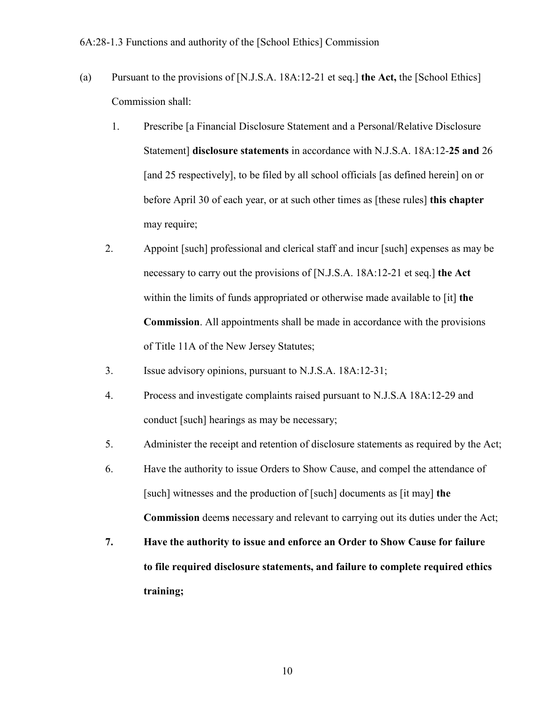- <span id="page-53-0"></span>(a) Pursuant to the provisions of [N.J.S.A. 18A:12-21 et seq.] **the Act,** the [School Ethics] Commission shall:
	- 1. Prescribe [a Financial Disclosure Statement and a Personal/Relative Disclosure Statement] **disclosure statements** in accordance with N.J.S.A. 18A:12-**25 and** 26 [and 25 respectively], to be filed by all school officials [as defined herein] on or before April 30 of each year, or at such other times as [these rules] **this chapter** may require;
	- 2. Appoint [such] professional and clerical staff and incur [such] expenses as may be necessary to carry out the provisions of [N.J.S.A. 18A:12-21 et seq.] **the Act** within the limits of funds appropriated or otherwise made available to [it] **the Commission**. All appointments shall be made in accordance with the provisions of Title 11A of the New Jersey Statutes;
	- 3. Issue advisory opinions, pursuant to N.J.S.A. 18A:12-31;
	- 4. Process and investigate complaints raised pursuant to N.J.S.A 18A:12-29 and conduct [such] hearings as may be necessary;
	- 5. Administer the receipt and retention of disclosure statements as required by the Act;
	- 6. Have the authority to issue Orders to Show Cause, and compel the attendance of [such] witnesses and the production of [such] documents as [it may] **the Commission** deem**s** necessary and relevant to carrying out its duties under the Act;
	- **7. Have the authority to issue and enforce an Order to Show Cause for failure to file required disclosure statements, and failure to complete required ethics training;**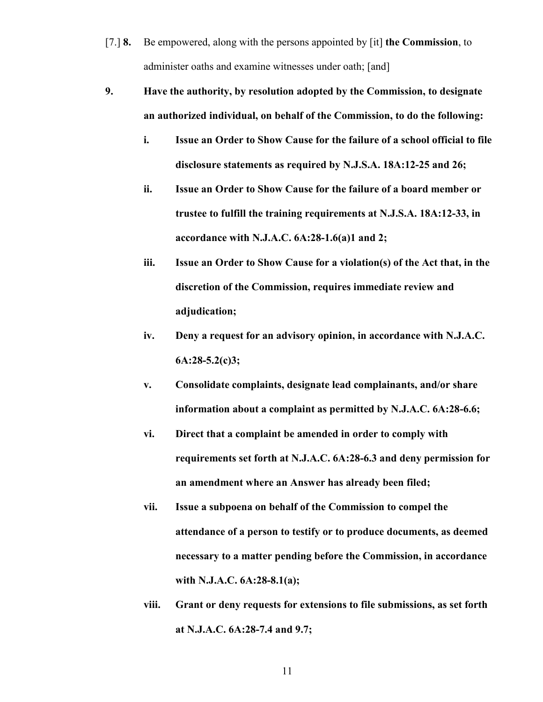- [7.] **8.** Be empowered, along with the persons appointed by [it] **the Commission**, to administer oaths and examine witnesses under oath; [and]
- **9. Have the authority, by resolution adopted by the Commission, to designate an authorized individual, on behalf of the Commission, to do the following:**
	- **i. Issue an Order to Show Cause for the failure of a school official to file disclosure statements as required by N.J.S.A. 18A:12-25 and 26;**
	- **ii. Issue an Order to Show Cause for the failure of a board member or trustee to fulfill the training requirements at N.J.S.A. 18A:12-33, in accordance with N.J.A.C. 6A:28-1.6(a)1 and 2;**
	- **iii. Issue an Order to Show Cause for a violation(s) of the Act that, in the discretion of the Commission, requires immediate review and adjudication;**
	- **iv. Deny a request for an advisory opinion, in accordance with N.J.A.C. 6A:28-5.2(c)3;**
	- **v. Consolidate complaints, designate lead complainants, and/or share information about a complaint as permitted by N.J.A.C. 6A:28-6.6;**
	- **vi. Direct that a complaint be amended in order to comply with requirements set forth at N.J.A.C. 6A:28-6.3 and deny permission for an amendment where an Answer has already been filed;**
	- **vii. Issue a subpoena on behalf of the Commission to compel the attendance of a person to testify or to produce documents, as deemed necessary to a matter pending before the Commission, in accordance with N.J.A.C. 6A:28-8.1(a);**
	- **viii. Grant or deny requests for extensions to file submissions, as set forth at N.J.A.C. 6A:28-7.4 and 9.7;**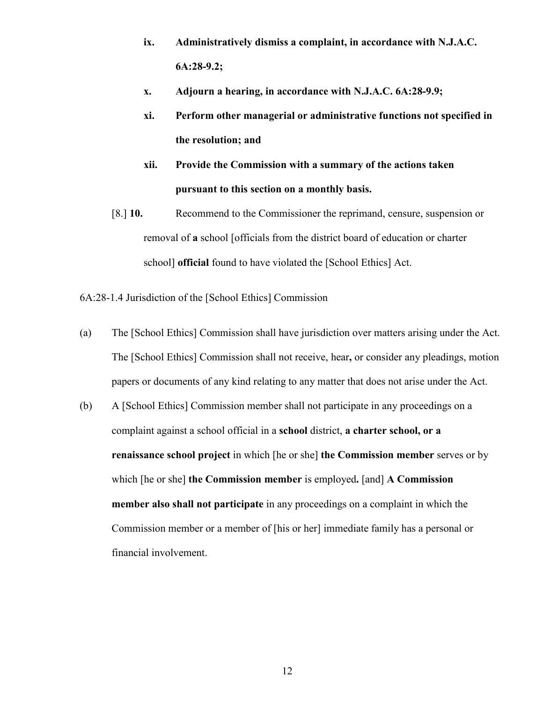- **ix. Administratively dismiss a complaint, in accordance with N.J.A.C. 6A:28-9.2;**
- **x. Adjourn a hearing, in accordance with N.J.A.C. 6A:28-9.9;**
- **xi. Perform other managerial or administrative functions not specified in the resolution; and**
- **xii. Provide the Commission with a summary of the actions taken pursuant to this section on a monthly basis.**
- [8.] **10.** Recommend to the Commissioner the reprimand, censure, suspension or removal of **a** school [officials from the district board of education or charter school] **official** found to have violated the [School Ethics] Act.

<span id="page-55-0"></span>6A:28-1.4 Jurisdiction of the [School Ethics] Commission

- (a) The [School Ethics] Commission shall have jurisdiction over matters arising under the Act. The [School Ethics] Commission shall not receive, hear**,** or consider any pleadings, motion papers or documents of any kind relating to any matter that does not arise under the Act.
- (b) A [School Ethics] Commission member shall not participate in any proceedings on a complaint against a school official in a **school** district, **a charter school, or a renaissance school project** in which [he or she] **the Commission member** serves or by which [he or she] **the Commission member** is employed**.** [and] **A Commission member also shall not participate** in any proceedings on a complaint in which the Commission member or a member of [his or her] immediate family has a personal or financial involvement.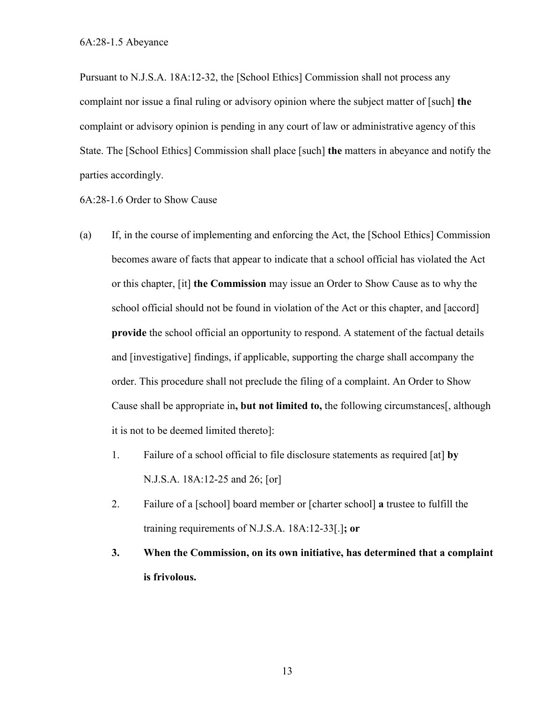<span id="page-56-0"></span>6A:28-1.5 Abeyance

Pursuant to N.J.S.A. 18A:12-32, the [School Ethics] Commission shall not process any complaint nor issue a final ruling or advisory opinion where the subject matter of [such] **the** complaint or advisory opinion is pending in any court of law or administrative agency of this State. The [School Ethics] Commission shall place [such] **the** matters in abeyance and notify the parties accordingly.

<span id="page-56-1"></span>6A:28-1.6 Order to Show Cause

- (a) If, in the course of implementing and enforcing the Act, the [School Ethics] Commission becomes aware of facts that appear to indicate that a school official has violated the Act or this chapter, [it] **the Commission** may issue an Order to Show Cause as to why the school official should not be found in violation of the Act or this chapter, and [accord] **provide** the school official an opportunity to respond. A statement of the factual details and [investigative] findings, if applicable, supporting the charge shall accompany the order. This procedure shall not preclude the filing of a complaint. An Order to Show Cause shall be appropriate in**, but not limited to,** the following circumstances[, although it is not to be deemed limited thereto]:
	- 1. Failure of a school official to file disclosure statements as required [at] **by** N.J.S.A. 18A:12-25 and 26; [or]
	- 2. Failure of a [school] board member or [charter school] **a** trustee to fulfill the training requirements of N.J.S.A. 18A:12-33[.]**; or**
	- **3. When the Commission, on its own initiative, has determined that a complaint is frivolous.**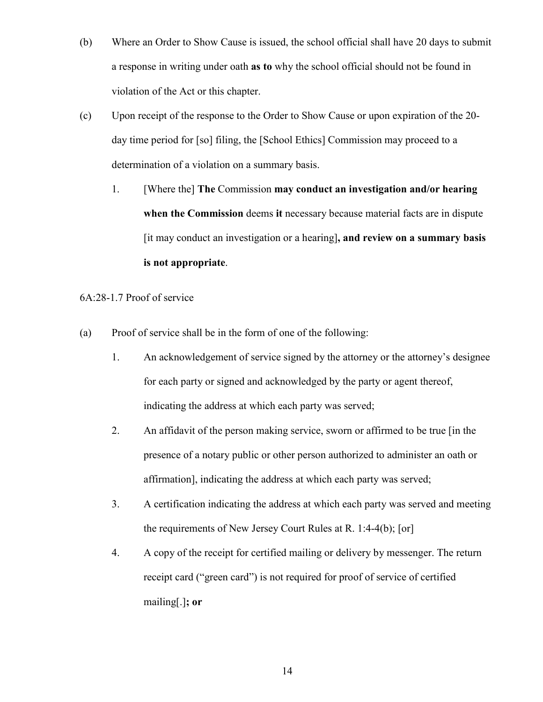- (b) Where an Order to Show Cause is issued, the school official shall have 20 days to submit a response in writing under oath **as to** why the school official should not be found in violation of the Act or this chapter.
- (c) Upon receipt of the response to the Order to Show Cause or upon expiration of the 20 day time period for [so] filing, the [School Ethics] Commission may proceed to a determination of a violation on a summary basis.
	- 1. [Where the] **The** Commission **may conduct an investigation and/or hearing when the Commission** deems **it** necessary because material facts are in dispute [it may conduct an investigation or a hearing]**, and review on a summary basis is not appropriate**.

<span id="page-57-0"></span>6A:28-1.7 Proof of service

- (a) Proof of service shall be in the form of one of the following:
	- 1. An acknowledgement of service signed by the attorney or the attorney's designee for each party or signed and acknowledged by the party or agent thereof, indicating the address at which each party was served;
	- 2. An affidavit of the person making service, sworn or affirmed to be true [in the presence of a notary public or other person authorized to administer an oath or affirmation], indicating the address at which each party was served;
	- 3. A certification indicating the address at which each party was served and meeting the requirements of New Jersey Court Rules at R. 1:4-4(b); [or]
	- 4. A copy of the receipt for certified mailing or delivery by messenger. The return receipt card ("green card") is not required for proof of service of certified mailing[.]**; or**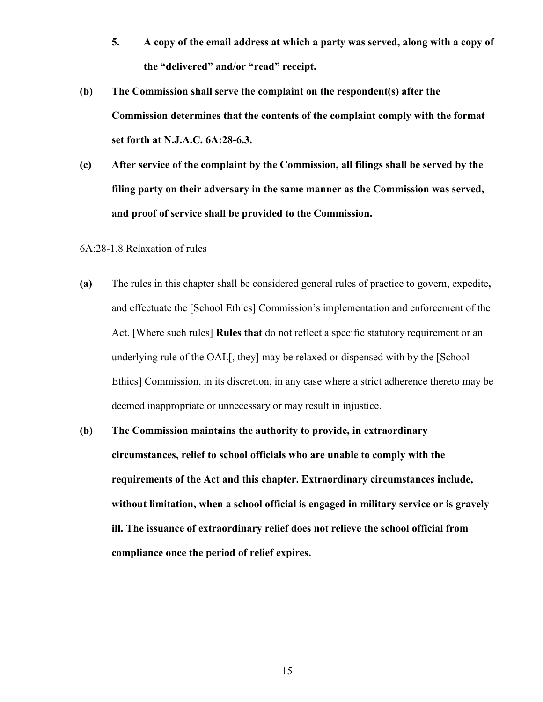- **5. A copy of the email address at which a party was served, along with a copy of the "delivered" and/or "read" receipt.**
- **(b) The Commission shall serve the complaint on the respondent(s) after the Commission determines that the contents of the complaint comply with the format set forth at N.J.A.C. 6A:28-6.3.**
- **(c) After service of the complaint by the Commission, all filings shall be served by the filing party on their adversary in the same manner as the Commission was served, and proof of service shall be provided to the Commission.**
- <span id="page-58-0"></span>6A:28-1.8 Relaxation of rules
- **(a)** The rules in this chapter shall be considered general rules of practice to govern, expedite**,** and effectuate the [School Ethics] Commission's implementation and enforcement of the Act. [Where such rules] **Rules that** do not reflect a specific statutory requirement or an underlying rule of the OAL[, they] may be relaxed or dispensed with by the [School Ethics] Commission, in its discretion, in any case where a strict adherence thereto may be deemed inappropriate or unnecessary or may result in injustice.
- **(b) The Commission maintains the authority to provide, in extraordinary circumstances, relief to school officials who are unable to comply with the requirements of the Act and this chapter. Extraordinary circumstances include, without limitation, when a school official is engaged in military service or is gravely ill. The issuance of extraordinary relief does not relieve the school official from compliance once the period of relief expires.**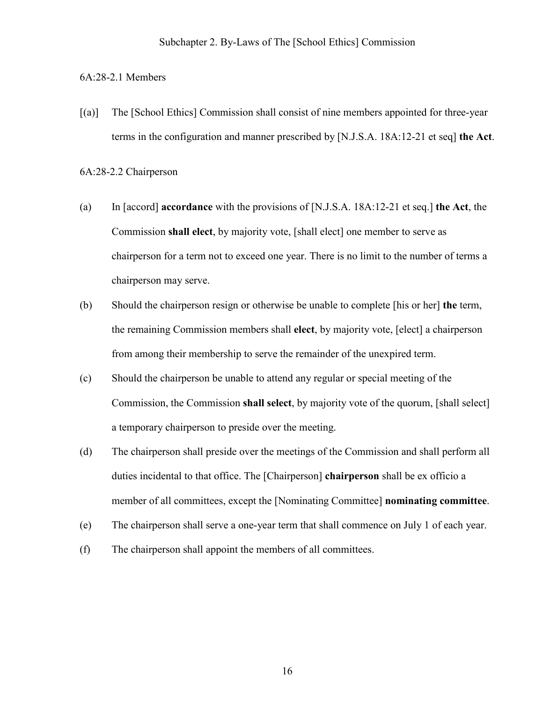### <span id="page-59-1"></span><span id="page-59-0"></span>6A:28-2.1 Members

[(a)] The [School Ethics] Commission shall consist of nine members appointed for three-year terms in the configuration and manner prescribed by [N.J.S.A. 18A:12-21 et seq] **the Act**.

#### <span id="page-59-2"></span>6A:28-2.2 Chairperson

- (a) In [accord] **accordance** with the provisions of [N.J.S.A. 18A:12-21 et seq.] **the Act**, the Commission **shall elect**, by majority vote, [shall elect] one member to serve as chairperson for a term not to exceed one year. There is no limit to the number of terms a chairperson may serve.
- (b) Should the chairperson resign or otherwise be unable to complete [his or her] **the** term, the remaining Commission members shall **elect**, by majority vote, [elect] a chairperson from among their membership to serve the remainder of the unexpired term.
- (c) Should the chairperson be unable to attend any regular or special meeting of the Commission, the Commission **shall select**, by majority vote of the quorum, [shall select] a temporary chairperson to preside over the meeting.
- (d) The chairperson shall preside over the meetings of the Commission and shall perform all duties incidental to that office. The [Chairperson] **chairperson** shall be ex officio a member of all committees, except the [Nominating Committee] **nominating committee**.
- (e) The chairperson shall serve a one-year term that shall commence on July 1 of each year.
- (f) The chairperson shall appoint the members of all committees.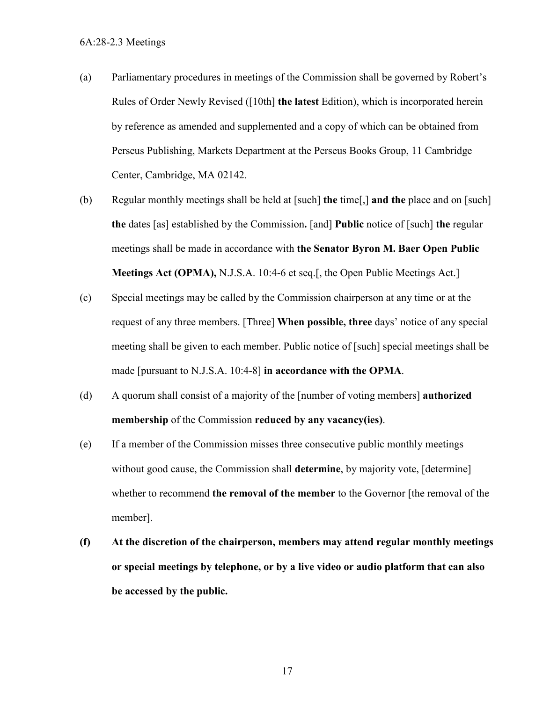- <span id="page-60-0"></span>(a) Parliamentary procedures in meetings of the Commission shall be governed by Robert's Rules of Order Newly Revised ([10th] **the latest** Edition), which is incorporated herein by reference as amended and supplemented and a copy of which can be obtained from Perseus Publishing, Markets Department at the Perseus Books Group, 11 Cambridge Center, Cambridge, MA 02142.
- (b) Regular monthly meetings shall be held at [such] **the** time[,] **and the** place and on [such] **the** dates [as] established by the Commission**.** [and] **Public** notice of [such] **the** regular meetings shall be made in accordance with **the Senator Byron M. Baer Open Public Meetings Act (OPMA),** N.J.S.A. 10:4-6 et seq.[, the Open Public Meetings Act.]
- (c) Special meetings may be called by the Commission chairperson at any time or at the request of any three members. [Three] **When possible, three** days' notice of any special meeting shall be given to each member. Public notice of [such] special meetings shall be made [pursuant to N.J.S.A. 10:4-8] **in accordance with the OPMA**.
- (d) A quorum shall consist of a majority of the [number of voting members] **authorized membership** of the Commission **reduced by any vacancy(ies)**.
- (e) If a member of the Commission misses three consecutive public monthly meetings without good cause, the Commission shall **determine**, by majority vote, [determine] whether to recommend **the removal of the member** to the Governor [the removal of the member].
- **(f) At the discretion of the chairperson, members may attend regular monthly meetings or special meetings by telephone, or by a live video or audio platform that can also be accessed by the public.**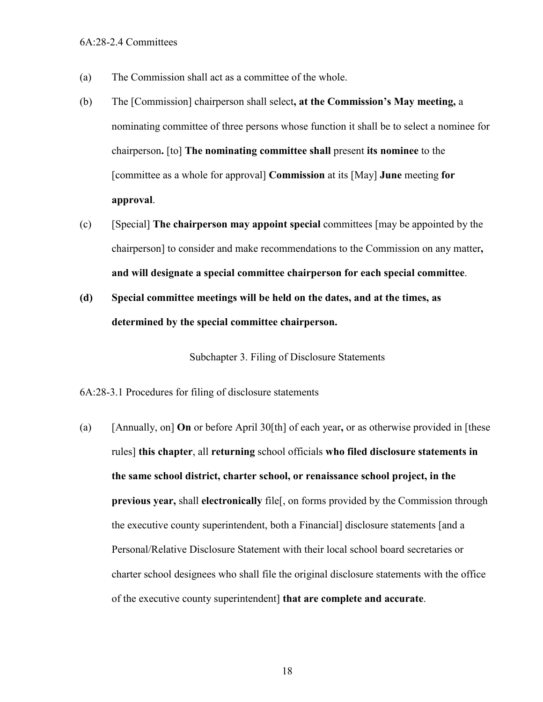- <span id="page-61-0"></span>(a) The Commission shall act as a committee of the whole.
- (b) The [Commission] chairperson shall select**, at the Commission's May meeting,** a nominating committee of three persons whose function it shall be to select a nominee for chairperson**.** [to] **The nominating committee shall** present **its nominee** to the [committee as a whole for approval] **Commission** at its [May] **June** meeting **for approval**.
- (c) [Special] **The chairperson may appoint special** committees [may be appointed by the chairperson] to consider and make recommendations to the Commission on any matter**, and will designate a special committee chairperson for each special committee**.
- **(d) Special committee meetings will be held on the dates, and at the times, as determined by the special committee chairperson.**

Subchapter 3. Filing of Disclosure Statements

<span id="page-61-2"></span><span id="page-61-1"></span>6A:28-3.1 Procedures for filing of disclosure statements

(a) [Annually, on] **On** or before April 30[th] of each year**,** or as otherwise provided in [these rules] **this chapter**, all **returning** school officials **who filed disclosure statements in the same school district, charter school, or renaissance school project, in the previous year,** shall **electronically** file[, on forms provided by the Commission through the executive county superintendent, both a Financial] disclosure statements [and a Personal/Relative Disclosure Statement with their local school board secretaries or charter school designees who shall file the original disclosure statements with the office of the executive county superintendent] **that are complete and accurate**.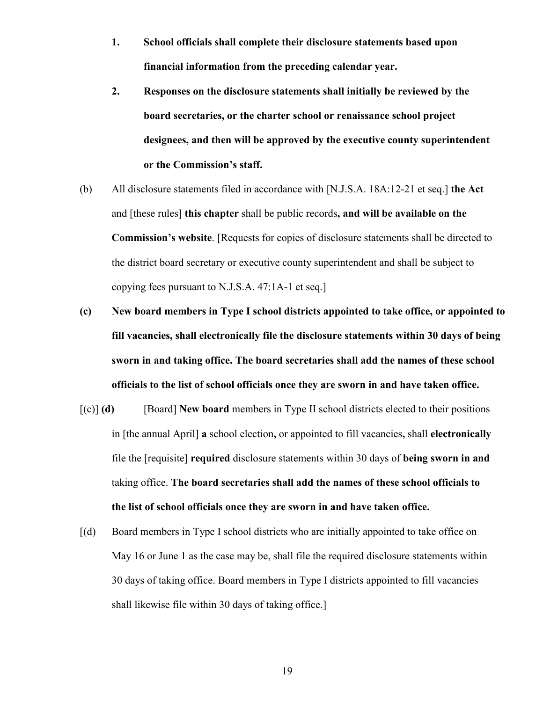- **1. School officials shall complete their disclosure statements based upon financial information from the preceding calendar year.**
- **2. Responses on the disclosure statements shall initially be reviewed by the board secretaries, or the charter school or renaissance school project designees, and then will be approved by the executive county superintendent or the Commission's staff.**
- (b) All disclosure statements filed in accordance with [N.J.S.A. 18A:12-21 et seq.] **the Act** and [these rules] **this chapter** shall be public records**, and will be available on the Commission's website**. [Requests for copies of disclosure statements shall be directed to the district board secretary or executive county superintendent and shall be subject to copying fees pursuant to N.J.S.A. 47:1A-1 et seq.]
- **(c) New board members in Type I school districts appointed to take office, or appointed to fill vacancies, shall electronically file the disclosure statements within 30 days of being sworn in and taking office. The board secretaries shall add the names of these school officials to the list of school officials once they are sworn in and have taken office.**
- [(c)] **(d)** [Board] **New board** members in Type II school districts elected to their positions in [the annual April] **a** school election**,** or appointed to fill vacancies**,** shall **electronically** file the [requisite] **required** disclosure statements within 30 days of **being sworn in and** taking office. **The board secretaries shall add the names of these school officials to the list of school officials once they are sworn in and have taken office.**
- [(d) Board members in Type I school districts who are initially appointed to take office on May 16 or June 1 as the case may be, shall file the required disclosure statements within 30 days of taking office. Board members in Type I districts appointed to fill vacancies shall likewise file within 30 days of taking office.]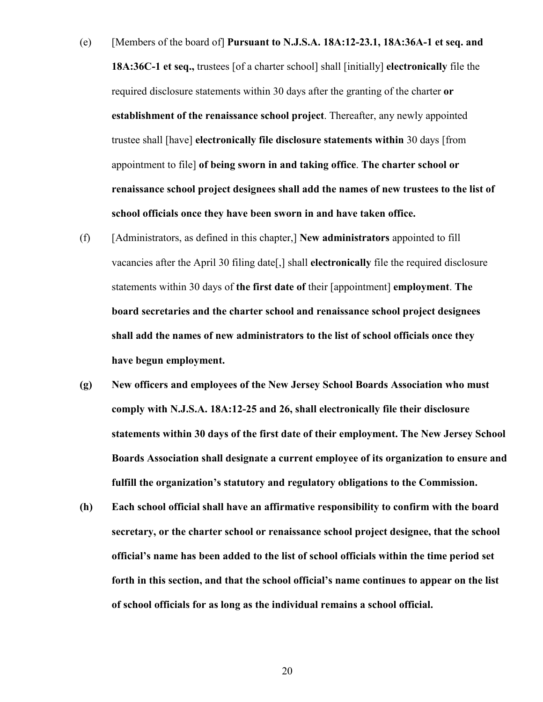- (e) [Members of the board of] **Pursuant to N.J.S.A. 18A:12-23.1, 18A:36A-1 et seq. and 18A:36C-1 et seq.,** trustees [of a charter school] shall [initially] **electronically** file the required disclosure statements within 30 days after the granting of the charter **or establishment of the renaissance school project**. Thereafter, any newly appointed trustee shall [have] **electronically file disclosure statements within** 30 days [from appointment to file] **of being sworn in and taking office**. **The charter school or renaissance school project designees shall add the names of new trustees to the list of school officials once they have been sworn in and have taken office.**
- (f) [Administrators, as defined in this chapter,] **New administrators** appointed to fill vacancies after the April 30 filing date[,] shall **electronically** file the required disclosure statements within 30 days of **the first date of** their [appointment] **employment**. **The board secretaries and the charter school and renaissance school project designees shall add the names of new administrators to the list of school officials once they have begun employment.**
- **(g) New officers and employees of the New Jersey School Boards Association who must comply with N.J.S.A. 18A:12-25 and 26, shall electronically file their disclosure statements within 30 days of the first date of their employment. The New Jersey School Boards Association shall designate a current employee of its organization to ensure and fulfill the organization's statutory and regulatory obligations to the Commission.**
- **(h) Each school official shall have an affirmative responsibility to confirm with the board secretary, or the charter school or renaissance school project designee, that the school official's name has been added to the list of school officials within the time period set forth in this section, and that the school official's name continues to appear on the list of school officials for as long as the individual remains a school official.**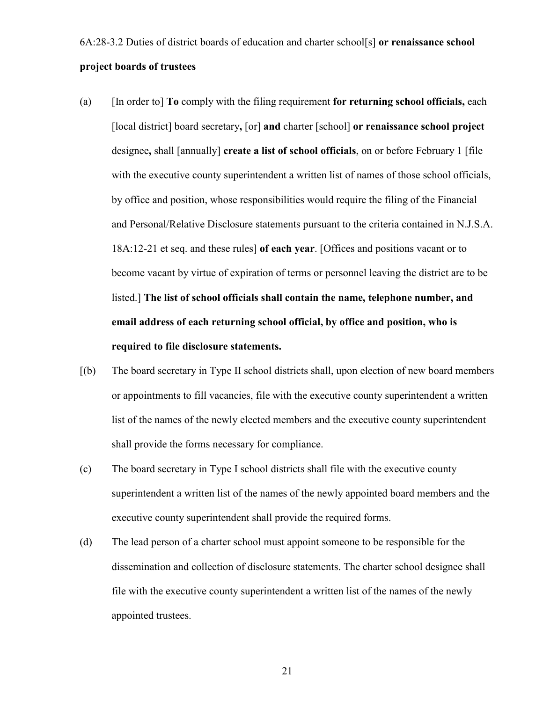<span id="page-64-0"></span>6A:28-3.2 Duties of district boards of education and charter school[s] **or renaissance school project boards of trustees**

- (a) [In order to] **To** comply with the filing requirement **for returning school officials,** each [local district] board secretary**,** [or] **and** charter [school] **or renaissance school project** designee**,** shall [annually] **create a list of school officials**, on or before February 1 [file with the executive county superintendent a written list of names of those school officials, by office and position, whose responsibilities would require the filing of the Financial and Personal/Relative Disclosure statements pursuant to the criteria contained in N.J.S.A. 18A:12-21 et seq. and these rules] **of each year**. [Offices and positions vacant or to become vacant by virtue of expiration of terms or personnel leaving the district are to be listed.] **The list of school officials shall contain the name, telephone number, and email address of each returning school official, by office and position, who is required to file disclosure statements.**
- [(b) The board secretary in Type II school districts shall, upon election of new board members or appointments to fill vacancies, file with the executive county superintendent a written list of the names of the newly elected members and the executive county superintendent shall provide the forms necessary for compliance.
- (c) The board secretary in Type I school districts shall file with the executive county superintendent a written list of the names of the newly appointed board members and the executive county superintendent shall provide the required forms.
- (d) The lead person of a charter school must appoint someone to be responsible for the dissemination and collection of disclosure statements. The charter school designee shall file with the executive county superintendent a written list of the names of the newly appointed trustees.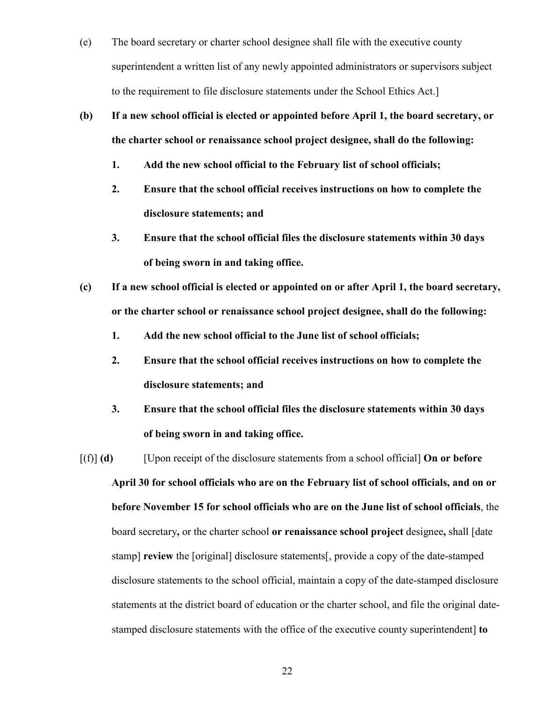- (e) The board secretary or charter school designee shall file with the executive county superintendent a written list of any newly appointed administrators or supervisors subject to the requirement to file disclosure statements under the School Ethics Act.]
- **(b) If a new school official is elected or appointed before April 1, the board secretary, or the charter school or renaissance school project designee, shall do the following:**
	- **1. Add the new school official to the February list of school officials;**
	- **2. Ensure that the school official receives instructions on how to complete the disclosure statements; and**
	- **3. Ensure that the school official files the disclosure statements within 30 days of being sworn in and taking office.**
- **(c) If a new school official is elected or appointed on or after April 1, the board secretary, or the charter school or renaissance school project designee, shall do the following:**
	- **1. Add the new school official to the June list of school officials;**
	- **2. Ensure that the school official receives instructions on how to complete the disclosure statements; and**
	- **3. Ensure that the school official files the disclosure statements within 30 days of being sworn in and taking office.**
- [(f)] **(d)** [Upon receipt of the disclosure statements from a school official] **On or before April 30 for school officials who are on the February list of school officials, and on or before November 15 for school officials who are on the June list of school officials**, the board secretary**,** or the charter school **or renaissance school project** designee**,** shall [date stamp] **review** the [original] disclosure statements[, provide a copy of the date-stamped disclosure statements to the school official, maintain a copy of the date-stamped disclosure statements at the district board of education or the charter school, and file the original datestamped disclosure statements with the office of the executive county superintendent] **to**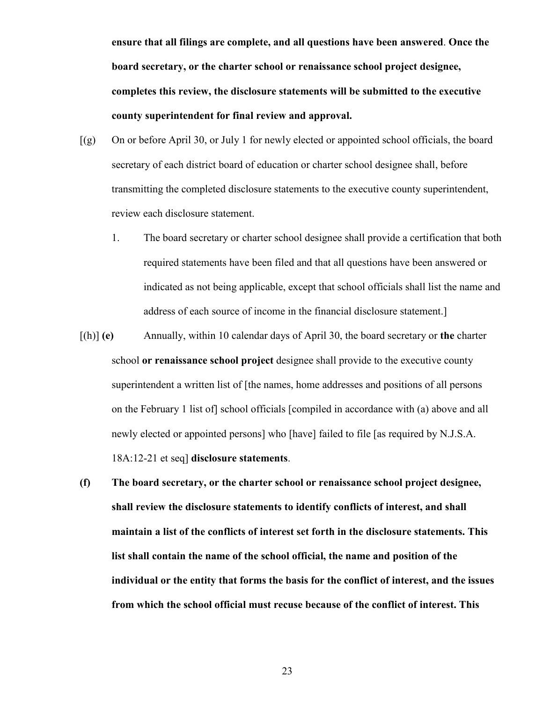**ensure that all filings are complete, and all questions have been answered**. **Once the board secretary, or the charter school or renaissance school project designee, completes this review, the disclosure statements will be submitted to the executive county superintendent for final review and approval.**

- [(g) On or before April 30, or July 1 for newly elected or appointed school officials, the board secretary of each district board of education or charter school designee shall, before transmitting the completed disclosure statements to the executive county superintendent, review each disclosure statement.
	- 1. The board secretary or charter school designee shall provide a certification that both required statements have been filed and that all questions have been answered or indicated as not being applicable, except that school officials shall list the name and address of each source of income in the financial disclosure statement.]
- [(h)] **(e)** Annually, within 10 calendar days of April 30, the board secretary or **the** charter school **or renaissance school project** designee shall provide to the executive county superintendent a written list of [the names, home addresses and positions of all persons on the February 1 list of] school officials [compiled in accordance with (a) above and all newly elected or appointed persons] who [have] failed to file [as required by N.J.S.A. 18A:12-21 et seq] **disclosure statements**.
- **(f) The board secretary, or the charter school or renaissance school project designee, shall review the disclosure statements to identify conflicts of interest, and shall maintain a list of the conflicts of interest set forth in the disclosure statements. This list shall contain the name of the school official, the name and position of the individual or the entity that forms the basis for the conflict of interest, and the issues from which the school official must recuse because of the conflict of interest. This**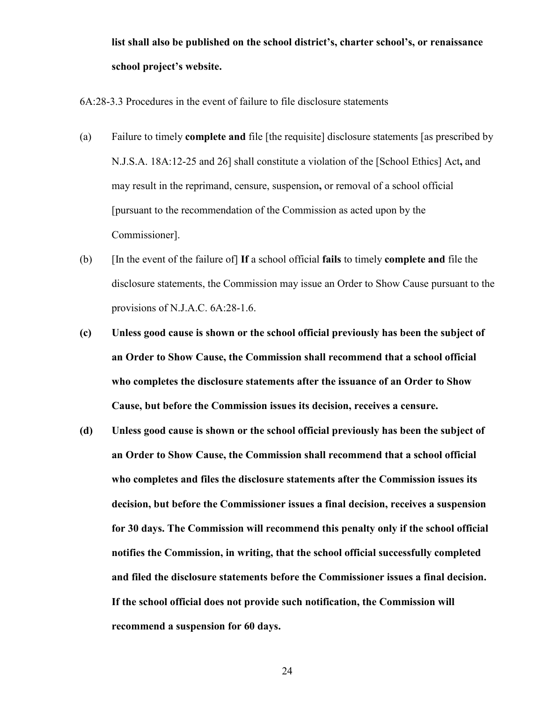# **list shall also be published on the school district's, charter school's, or renaissance school project's website.**

<span id="page-67-0"></span>6A:28-3.3 Procedures in the event of failure to file disclosure statements

- (a) Failure to timely **complete and** file [the requisite] disclosure statements [as prescribed by N.J.S.A. 18A:12-25 and 26] shall constitute a violation of the [School Ethics] Act**,** and may result in the reprimand, censure, suspension**,** or removal of a school official [pursuant to the recommendation of the Commission as acted upon by the Commissioner].
- (b) [In the event of the failure of] **If** a school official **fails** to timely **complete and** file the disclosure statements, the Commission may issue an Order to Show Cause pursuant to the provisions of N.J.A.C. 6A:28-1.6.
- **(c) Unless good cause is shown or the school official previously has been the subject of an Order to Show Cause, the Commission shall recommend that a school official who completes the disclosure statements after the issuance of an Order to Show Cause, but before the Commission issues its decision, receives a censure.**
- **(d) Unless good cause is shown or the school official previously has been the subject of an Order to Show Cause, the Commission shall recommend that a school official who completes and files the disclosure statements after the Commission issues its decision, but before the Commissioner issues a final decision, receives a suspension for 30 days. The Commission will recommend this penalty only if the school official notifies the Commission, in writing, that the school official successfully completed and filed the disclosure statements before the Commissioner issues a final decision. If the school official does not provide such notification, the Commission will recommend a suspension for 60 days.**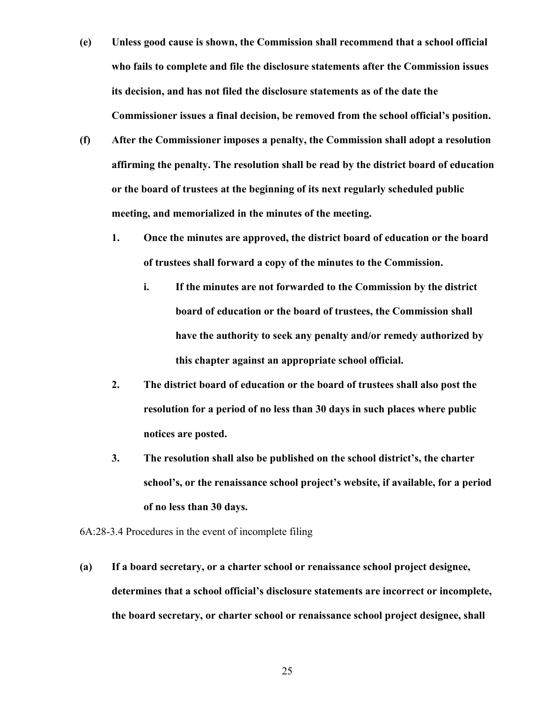- **(e) Unless good cause is shown, the Commission shall recommend that a school official who fails to complete and file the disclosure statements after the Commission issues its decision, and has not filed the disclosure statements as of the date the Commissioner issues a final decision, be removed from the school official's position.**
- **(f) After the Commissioner imposes a penalty, the Commission shall adopt a resolution affirming the penalty. The resolution shall be read by the district board of education or the board of trustees at the beginning of its next regularly scheduled public meeting, and memorialized in the minutes of the meeting.**
	- **1. Once the minutes are approved, the district board of education or the board of trustees shall forward a copy of the minutes to the Commission.**
		- **i. If the minutes are not forwarded to the Commission by the district board of education or the board of trustees, the Commission shall have the authority to seek any penalty and/or remedy authorized by this chapter against an appropriate school official.**
	- **2. The district board of education or the board of trustees shall also post the resolution for a period of no less than 30 days in such places where public notices are posted.**
	- **3. The resolution shall also be published on the school district's, the charter school's, or the renaissance school project's website, if available, for a period of no less than 30 days.**
- <span id="page-68-0"></span>6A:28-3.4 Procedures in the event of incomplete filing
- **(a) If a board secretary, or a charter school or renaissance school project designee, determines that a school official's disclosure statements are incorrect or incomplete, the board secretary, or charter school or renaissance school project designee, shall**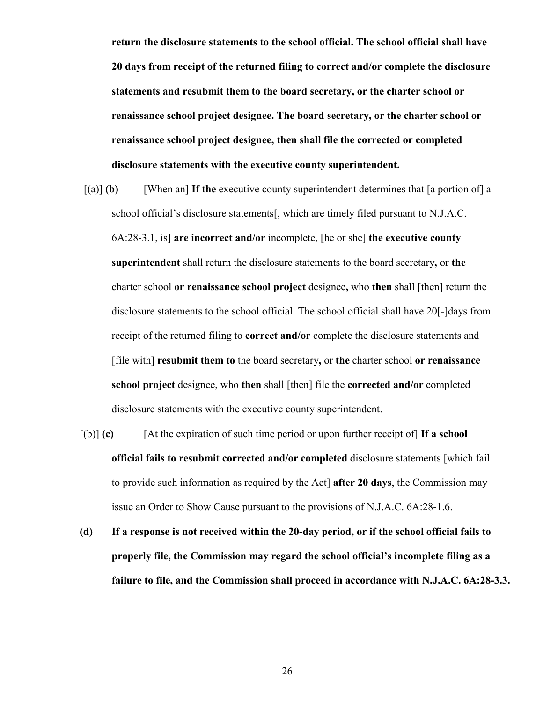**return the disclosure statements to the school official. The school official shall have 20 days from receipt of the returned filing to correct and/or complete the disclosure statements and resubmit them to the board secretary, or the charter school or renaissance school project designee. The board secretary, or the charter school or renaissance school project designee, then shall file the corrected or completed disclosure statements with the executive county superintendent.**

- [(a)] **(b)** [When an] **If the** executive county superintendent determines that [a portion of] a school official's disclosure statements[, which are timely filed pursuant to N.J.A.C. 6A:28-3.1, is] **are incorrect and/or** incomplete, [he or she] **the executive county superintendent** shall return the disclosure statements to the board secretary**,** or **the** charter school **or renaissance school project** designee**,** who **then** shall [then] return the disclosure statements to the school official. The school official shall have 20[-]days from receipt of the returned filing to **correct and/or** complete the disclosure statements and [file with] **resubmit them to** the board secretary**,** or **the** charter school **or renaissance school project** designee, who **then** shall [then] file the **corrected and/or** completed disclosure statements with the executive county superintendent.
- [(b)] **(c)** [At the expiration of such time period or upon further receipt of] **If a school official fails to resubmit corrected and/or completed** disclosure statements [which fail to provide such information as required by the Act] **after 20 days**, the Commission may issue an Order to Show Cause pursuant to the provisions of N.J.A.C. 6A:28-1.6.
- **(d) If a response is not received within the 20-day period, or if the school official fails to properly file, the Commission may regard the school official's incomplete filing as a failure to file, and the Commission shall proceed in accordance with N.J.A.C. 6A:28-3.3.**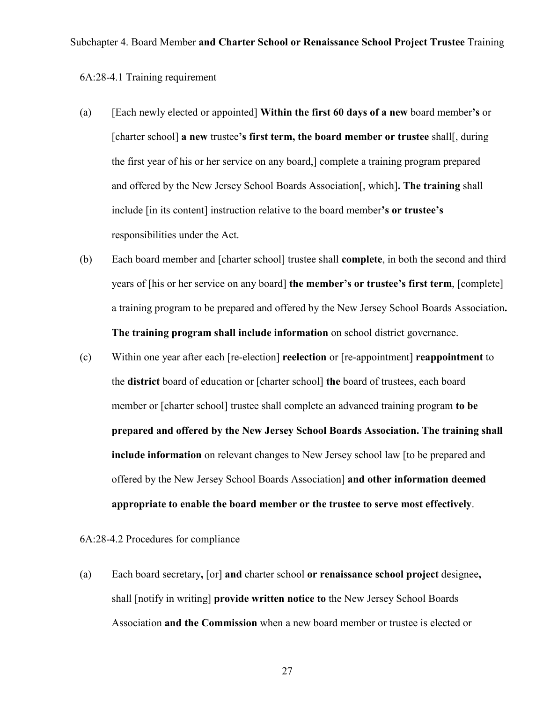<span id="page-70-1"></span><span id="page-70-0"></span>6A:28-4.1 Training requirement

- (a) [Each newly elected or appointed] **Within the first 60 days of a new** board member**'s** or [charter school] **a new** trustee**'s first term, the board member or trustee** shall[, during the first year of his or her service on any board,] complete a training program prepared and offered by the New Jersey School Boards Association[, which]**. The training** shall include [in its content] instruction relative to the board member**'s or trustee's** responsibilities under the Act.
- (b) Each board member and [charter school] trustee shall **complete**, in both the second and third years of [his or her service on any board] **the member's or trustee's first term**, [complete] a training program to be prepared and offered by the New Jersey School Boards Association**. The training program shall include information** on school district governance.
- (c) Within one year after each [re-election] **reelection** or [re-appointment] **reappointment** to the **district** board of education or [charter school] **the** board of trustees, each board member or [charter school] trustee shall complete an advanced training program **to be prepared and offered by the New Jersey School Boards Association. The training shall include information** on relevant changes to New Jersey school law [to be prepared and offered by the New Jersey School Boards Association] **and other information deemed appropriate to enable the board member or the trustee to serve most effectively**.

<span id="page-70-2"></span>6A:28-4.2 Procedures for compliance

(a) Each board secretary**,** [or] **and** charter school **or renaissance school project** designee**,** shall [notify in writing] **provide written notice to** the New Jersey School Boards Association **and the Commission** when a new board member or trustee is elected or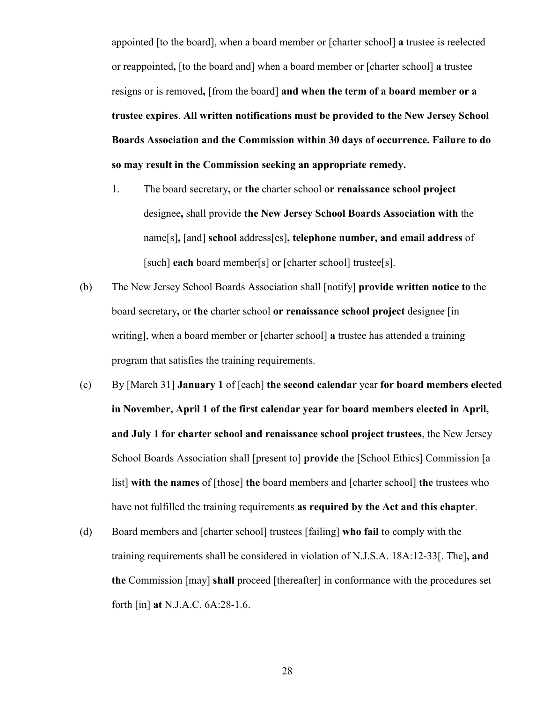appointed [to the board], when a board member or [charter school] **a** trustee is reelected or reappointed**,** [to the board and] when a board member or [charter school] **a** trustee resigns or is removed**,** [from the board] **and when the term of a board member or a trustee expires**. **All written notifications must be provided to the New Jersey School Boards Association and the Commission within 30 days of occurrence. Failure to do so may result in the Commission seeking an appropriate remedy.**

- 1. The board secretary**,** or **the** charter school **or renaissance school project** designee**,** shall provide **the New Jersey School Boards Association with** the name[s]**,** [and] **school** address[es]**, telephone number, and email address** of [such] **each** board member[s] or [charter school] trustee[s].
- (b) The New Jersey School Boards Association shall [notify] **provide written notice to** the board secretary**,** or **the** charter school **or renaissance school project** designee [in writing], when a board member or [charter school] **a** trustee has attended a training program that satisfies the training requirements.
- (c) By [March 31] **January 1** of [each] **the second calendar** year **for board members elected in November, April 1 of the first calendar year for board members elected in April, and July 1 for charter school and renaissance school project trustees**, the New Jersey School Boards Association shall [present to] **provide** the [School Ethics] Commission [a list] **with the names** of [those] **the** board members and [charter school] **the** trustees who have not fulfilled the training requirements **as required by the Act and this chapter**.
- (d) Board members and [charter school] trustees [failing] **who fail** to comply with the training requirements shall be considered in violation of N.J.S.A. 18A:12-33[. The]**, and the** Commission [may] **shall** proceed [thereafter] in conformance with the procedures set forth [in] **at** N.J.A.C. 6A:28-1.6.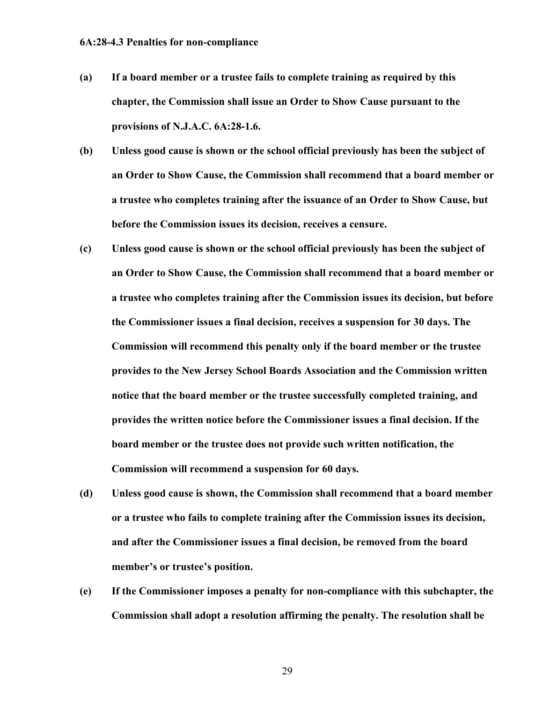- **(a) If a board member or a trustee fails to complete training as required by this chapter, the Commission shall issue an Order to Show Cause pursuant to the provisions of N.J.A.C. 6A:28-1.6.**
- **(b) Unless good cause is shown or the school official previously has been the subject of an Order to Show Cause, the Commission shall recommend that a board member or a trustee who completes training after the issuance of an Order to Show Cause, but before the Commission issues its decision, receives a censure.**
- **(c) Unless good cause is shown or the school official previously has been the subject of an Order to Show Cause, the Commission shall recommend that a board member or a trustee who completes training after the Commission issues its decision, but before the Commissioner issues a final decision, receives a suspension for 30 days. The Commission will recommend this penalty only if the board member or the trustee provides to the New Jersey School Boards Association and the Commission written notice that the board member or the trustee successfully completed training, and provides the written notice before the Commissioner issues a final decision. If the board member or the trustee does not provide such written notification, the Commission will recommend a suspension for 60 days.**
- **(d) Unless good cause is shown, the Commission shall recommend that a board member or a trustee who fails to complete training after the Commission issues its decision, and after the Commissioner issues a final decision, be removed from the board member's or trustee's position.**
- **(e) If the Commissioner imposes a penalty for non-compliance with this subchapter, the Commission shall adopt a resolution affirming the penalty. The resolution shall be**

29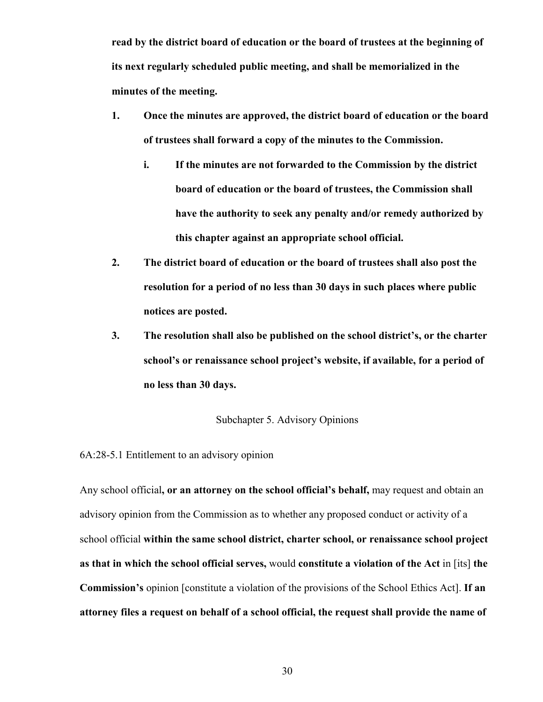**read by the district board of education or the board of trustees at the beginning of its next regularly scheduled public meeting, and shall be memorialized in the minutes of the meeting.**

- **1. Once the minutes are approved, the district board of education or the board of trustees shall forward a copy of the minutes to the Commission.**
	- **i. If the minutes are not forwarded to the Commission by the district board of education or the board of trustees, the Commission shall have the authority to seek any penalty and/or remedy authorized by this chapter against an appropriate school official.**
- **2. The district board of education or the board of trustees shall also post the resolution for a period of no less than 30 days in such places where public notices are posted.**
- **3. The resolution shall also be published on the school district's, or the charter school's or renaissance school project's website, if available, for a period of no less than 30 days.**

#### Subchapter 5. Advisory Opinions

6A:28-5.1 Entitlement to an advisory opinion

Any school official**, or an attorney on the school official's behalf,** may request and obtain an advisory opinion from the Commission as to whether any proposed conduct or activity of a school official **within the same school district, charter school, or renaissance school project as that in which the school official serves,** would **constitute a violation of the Act** in [its] **the Commission's** opinion [constitute a violation of the provisions of the School Ethics Act]. **If an attorney files a request on behalf of a school official, the request shall provide the name of**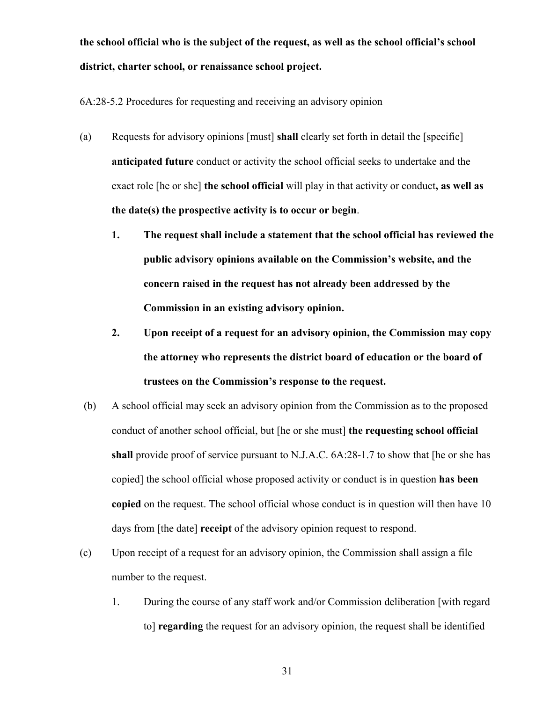**the school official who is the subject of the request, as well as the school official's school district, charter school, or renaissance school project.**

6A:28-5.2 Procedures for requesting and receiving an advisory opinion

- (a) Requests for advisory opinions [must] **shall** clearly set forth in detail the [specific] **anticipated future** conduct or activity the school official seeks to undertake and the exact role [he or she] **the school official** will play in that activity or conduct**, as well as the date(s) the prospective activity is to occur or begin**.
	- **1. The request shall include a statement that the school official has reviewed the public advisory opinions available on the Commission's website, and the concern raised in the request has not already been addressed by the Commission in an existing advisory opinion.**
	- **2. Upon receipt of a request for an advisory opinion, the Commission may copy the attorney who represents the district board of education or the board of trustees on the Commission's response to the request.**
- (b) A school official may seek an advisory opinion from the Commission as to the proposed conduct of another school official, but [he or she must] **the requesting school official shall** provide proof of service pursuant to N.J.A.C. 6A:28-1.7 to show that [he or she has copied] the school official whose proposed activity or conduct is in question **has been copied** on the request. The school official whose conduct is in question will then have 10 days from [the date] **receipt** of the advisory opinion request to respond.
- (c) Upon receipt of a request for an advisory opinion, the Commission shall assign a file number to the request.
	- 1. During the course of any staff work and/or Commission deliberation [with regard to] **regarding** the request for an advisory opinion, the request shall be identified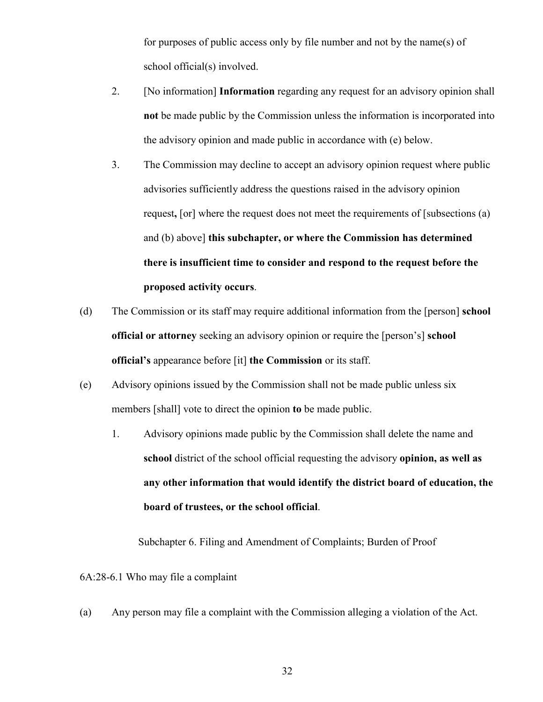for purposes of public access only by file number and not by the name(s) of school official(s) involved.

- 2. [No information] **Information** regarding any request for an advisory opinion shall **not** be made public by the Commission unless the information is incorporated into the advisory opinion and made public in accordance with (e) below.
- 3. The Commission may decline to accept an advisory opinion request where public advisories sufficiently address the questions raised in the advisory opinion request**,** [or] where the request does not meet the requirements of [subsections (a) and (b) above] **this subchapter, or where the Commission has determined there is insufficient time to consider and respond to the request before the proposed activity occurs**.
- (d) The Commission or its staff may require additional information from the [person] **school official or attorney** seeking an advisory opinion or require the [person's] **school official's** appearance before [it] **the Commission** or its staff.
- (e) Advisory opinions issued by the Commission shall not be made public unless six members [shall] vote to direct the opinion **to** be made public.
	- 1. Advisory opinions made public by the Commission shall delete the name and **school** district of the school official requesting the advisory **opinion, as well as any other information that would identify the district board of education, the board of trustees, or the school official**.

Subchapter 6. Filing and Amendment of Complaints; Burden of Proof

6A:28-6.1 Who may file a complaint

(a) Any person may file a complaint with the Commission alleging a violation of the Act.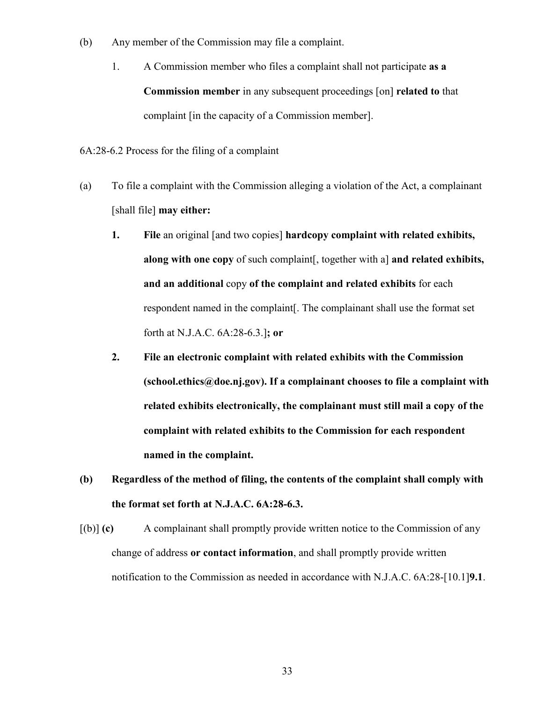- (b) Any member of the Commission may file a complaint.
	- 1. A Commission member who files a complaint shall not participate **as a Commission member** in any subsequent proceedings [on] **related to** that complaint [in the capacity of a Commission member].

6A:28-6.2 Process for the filing of a complaint

- (a) To file a complaint with the Commission alleging a violation of the Act, a complainant [shall file] **may either:**
	- **1. File** an original [and two copies] **hardcopy complaint with related exhibits, along with one copy** of such complaint[, together with a] **and related exhibits, and an additional** copy **of the complaint and related exhibits** for each respondent named in the complaint[. The complainant shall use the format set forth at N.J.A.C. 6A:28-6.3.]**; or**
	- **2. File an electronic complaint with related exhibits with the Commission [\(school.ethics@doe.nj.gov\)](mailto:school.ethics@doe.nj.gov). If a complainant chooses to file a complaint with related exhibits electronically, the complainant must still mail a copy of the complaint with related exhibits to the Commission for each respondent named in the complaint.**
- **(b) Regardless of the method of filing, the contents of the complaint shall comply with the format set forth at N.J.A.C. 6A:28-6.3.**
- [(b)] **(c)** A complainant shall promptly provide written notice to the Commission of any change of address **or contact information**, and shall promptly provide written notification to the Commission as needed in accordance with N.J.A.C. 6A:28-[10.1]**9.1**.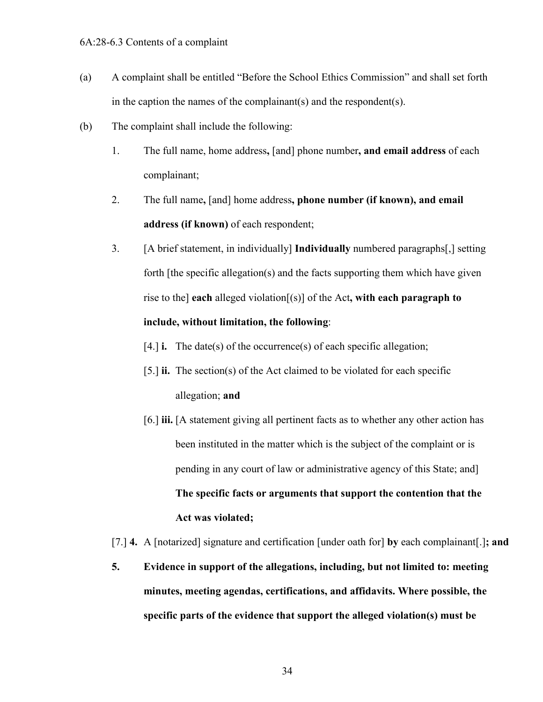- (a) A complaint shall be entitled "Before the School Ethics Commission" and shall set forth in the caption the names of the complainant(s) and the respondent(s).
- (b) The complaint shall include the following:
	- 1. The full name, home address**,** [and] phone number**, and email address** of each complainant;
	- 2. The full name**,** [and] home address**, phone number (if known), and email address (if known)** of each respondent;
	- 3. [A brief statement, in individually] **Individually** numbered paragraphs[,] setting forth [the specific allegation(s) and the facts supporting them which have given rise to the] **each** alleged violation[(s)] of the Act**, with each paragraph to include, without limitation, the following**:
		- [4.] **i.** The date(s) of the occurrence(s) of each specific allegation;
		- [5.] **ii.** The section(s) of the Act claimed to be violated for each specific allegation; **and**
		- [6.] **iii.** [A statement giving all pertinent facts as to whether any other action has been instituted in the matter which is the subject of the complaint or is pending in any court of law or administrative agency of this State; and] **The specific facts or arguments that support the contention that the Act was violated;**

[7.] **4.** A [notarized] signature and certification [under oath for] **by** each complainant[.]**; and**

**5. Evidence in support of the allegations, including, but not limited to: meeting minutes, meeting agendas, certifications, and affidavits. Where possible, the specific parts of the evidence that support the alleged violation(s) must be**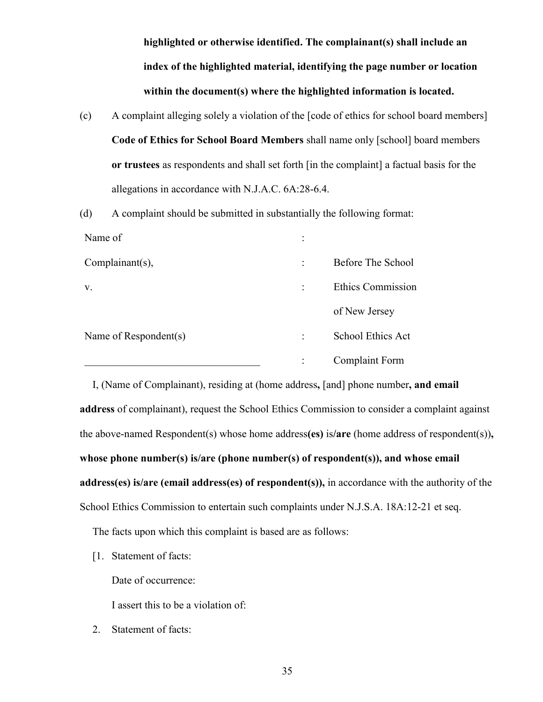**highlighted or otherwise identified. The complainant(s) shall include an index of the highlighted material, identifying the page number or location within the document(s) where the highlighted information is located.**

(c) A complaint alleging solely a violation of the [code of ethics for school board members] **Code of Ethics for School Board Members** shall name only [school] board members **or trustees** as respondents and shall set forth [in the complaint] a factual basis for the allegations in accordance with N.J.A.C. 6A:28-6.4.

(d) A complaint should be submitted in substantially the following format:

| Name of                 |           |                          |
|-------------------------|-----------|--------------------------|
| Complainant(s),         |           | Before The School        |
| V.                      |           | <b>Ethics Commission</b> |
|                         |           | of New Jersey            |
| Name of $Respondent(s)$ | $\bullet$ | School Ethics Act        |
|                         |           | <b>Complaint Form</b>    |

I, (Name of Complainant), residing at (home address**,** [and] phone number**, and email address** of complainant), request the School Ethics Commission to consider a complaint against the above-named Respondent(s) whose home address**(es)** is**/are** (home address of respondent(s))**, whose phone number(s) is/are (phone number(s) of respondent(s)), and whose email address(es) is/are (email address(es) of respondent(s)),** in accordance with the authority of the School Ethics Commission to entertain such complaints under N.J.S.A. 18A:12-21 et seq.

The facts upon which this complaint is based are as follows:

[1. Statement of facts:

Date of occurrence:

I assert this to be a violation of:

2. Statement of facts: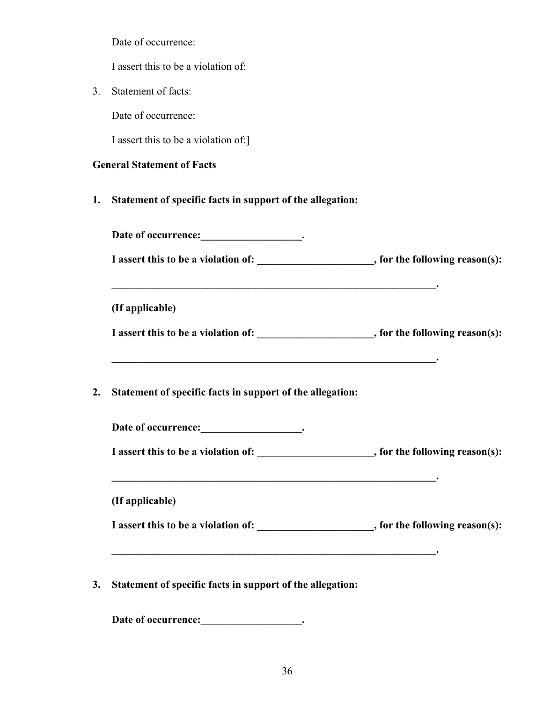Date of occurrence:

I assert this to be a violation of:

3. Statement of facts:

Date of occurrence:

I assert this to be a violation of:]

## **General Statement of Facts**

**1. Statement of specific facts in support of the allegation:**

|    | I assert this to be a violation of: _______________________, for the following reason(s):  |  |
|----|--------------------------------------------------------------------------------------------|--|
|    | (If applicable)                                                                            |  |
|    | I assert this to be a violation of: ________________________, for the following reason(s): |  |
|    |                                                                                            |  |
| 2. | Statement of specific facts in support of the allegation:                                  |  |
|    | Date of occurrence:                                                                        |  |
|    | I assert this to be a violation of: _______________________, for the following reason(s):  |  |
|    | (If applicable)                                                                            |  |

Date of occurrence:\_\_\_\_\_\_\_\_\_\_\_\_\_\_\_\_\_\_\_\_\_\_\_.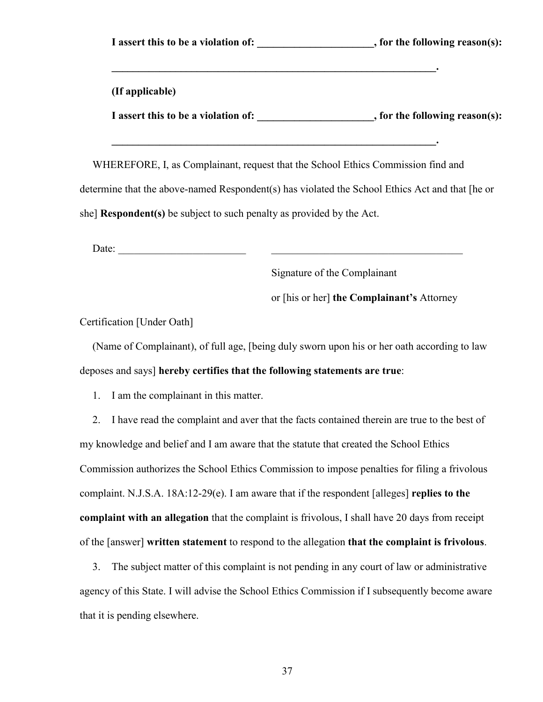| I assert this to be a violation of: | , for the following reason(s): |  |
|-------------------------------------|--------------------------------|--|
|                                     |                                |  |
| (If applicable)                     |                                |  |
| I assert this to be a violation of: | , for the following reason(s): |  |

WHEREFORE, I, as Complainant, request that the School Ethics Commission find and determine that the above-named Respondent(s) has violated the School Ethics Act and that [he or she] **Respondent(s)** be subject to such penalty as provided by the Act.

**\_\_\_\_\_\_\_\_\_\_\_\_\_\_\_\_\_\_\_\_\_\_\_\_\_\_\_\_\_\_\_\_\_\_\_\_\_\_\_\_\_\_\_\_\_\_\_\_\_\_\_\_\_\_\_\_\_\_\_\_\_.**

Date:

Signature of the Complainant

or [his or her] **the Complainant's** Attorney

Certification [Under Oath]

(Name of Complainant), of full age, [being duly sworn upon his or her oath according to law deposes and says] **hereby certifies that the following statements are true**:

1. I am the complainant in this matter.

2. I have read the complaint and aver that the facts contained therein are true to the best of my knowledge and belief and I am aware that the statute that created the School Ethics Commission authorizes the School Ethics Commission to impose penalties for filing a frivolous complaint. N.J.S.A. 18A:12-29(e). I am aware that if the respondent [alleges] **replies to the complaint with an allegation** that the complaint is frivolous, I shall have 20 days from receipt of the [answer] **written statement** to respond to the allegation **that the complaint is frivolous**.

3. The subject matter of this complaint is not pending in any court of law or administrative agency of this State. I will advise the School Ethics Commission if I subsequently become aware that it is pending elsewhere.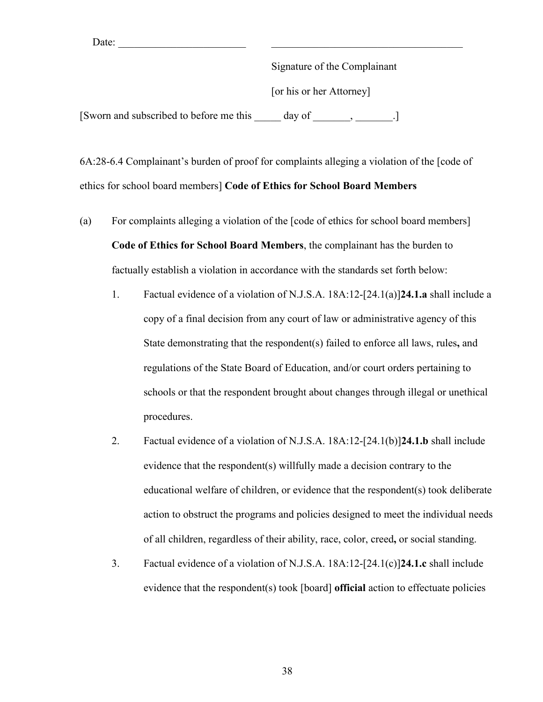Date: \_\_\_\_\_\_\_\_\_\_\_\_\_\_\_\_\_\_\_\_\_\_\_\_ \_\_\_\_\_\_\_\_\_\_\_\_\_\_\_\_\_\_\_\_\_\_\_\_\_\_\_\_\_\_\_\_\_\_\_\_

Signature of the Complainant

[or his or her Attorney]

[Sworn and subscribed to before me this day of \_\_\_\_\_\_\_, \_\_\_\_\_\_\_.]

6A:28-6.4 Complainant's burden of proof for complaints alleging a violation of the [code of ethics for school board members] **Code of Ethics for School Board Members**

- (a) For complaints alleging a violation of the [code of ethics for school board members] **Code of Ethics for School Board Members**, the complainant has the burden to factually establish a violation in accordance with the standards set forth below:
	- 1. Factual evidence of a violation of N.J.S.A. 18A:12-[24.1(a)]**24.1.a** shall include a copy of a final decision from any court of law or administrative agency of this State demonstrating that the respondent(s) failed to enforce all laws, rules**,** and regulations of the State Board of Education, and/or court orders pertaining to schools or that the respondent brought about changes through illegal or unethical procedures.
	- 2. Factual evidence of a violation of N.J.S.A. 18A:12-[24.1(b)]**24.1.b** shall include evidence that the respondent(s) willfully made a decision contrary to the educational welfare of children, or evidence that the respondent(s) took deliberate action to obstruct the programs and policies designed to meet the individual needs of all children, regardless of their ability, race, color, creed**,** or social standing.
	- 3. Factual evidence of a violation of N.J.S.A. 18A:12-[24.1(c)]**24.1.c** shall include evidence that the respondent(s) took [board] **official** action to effectuate policies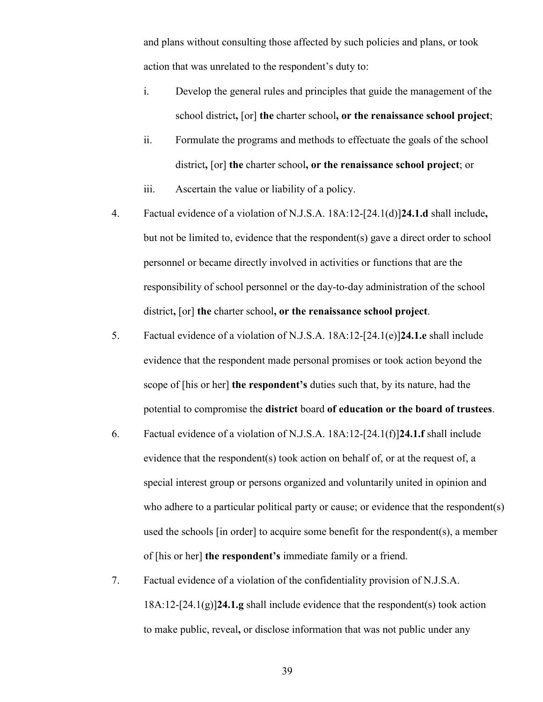and plans without consulting those affected by such policies and plans, or took action that was unrelated to the respondent's duty to:

- i. Develop the general rules and principles that guide the management of the school district**,** [or] **the** charter school**, or the renaissance school project**;
- ii. Formulate the programs and methods to effectuate the goals of the school district**,** [or] **the** charter school**, or the renaissance school project**; or iii. Ascertain the value or liability of a policy.
- 4. Factual evidence of a violation of N.J.S.A. 18A:12-[24.1(d)]**24.1.d** shall include**,**
- but not be limited to, evidence that the respondent(s) gave a direct order to school personnel or became directly involved in activities or functions that are the responsibility of school personnel or the day-to-day administration of the school district**,** [or] **the** charter school**, or the renaissance school project**.
- 5. Factual evidence of a violation of N.J.S.A. 18A:12-[24.1(e)]**24.1.e** shall include evidence that the respondent made personal promises or took action beyond the scope of [his or her] **the respondent's** duties such that, by its nature, had the potential to compromise the **district** board **of education or the board of trustees**.
- 6. Factual evidence of a violation of N.J.S.A. 18A:12-[24.1(f)]**24.1.f** shall include evidence that the respondent(s) took action on behalf of, or at the request of, a special interest group or persons organized and voluntarily united in opinion and who adhere to a particular political party or cause; or evidence that the respondent(s) used the schools [in order] to acquire some benefit for the respondent(s), a member of [his or her] **the respondent's** immediate family or a friend.
- 7. Factual evidence of a violation of the confidentiality provision of N.J.S.A. 18A:12-[24.1(g)]**24.1.g** shall include evidence that the respondent(s) took action to make public, reveal**,** or disclose information that was not public under any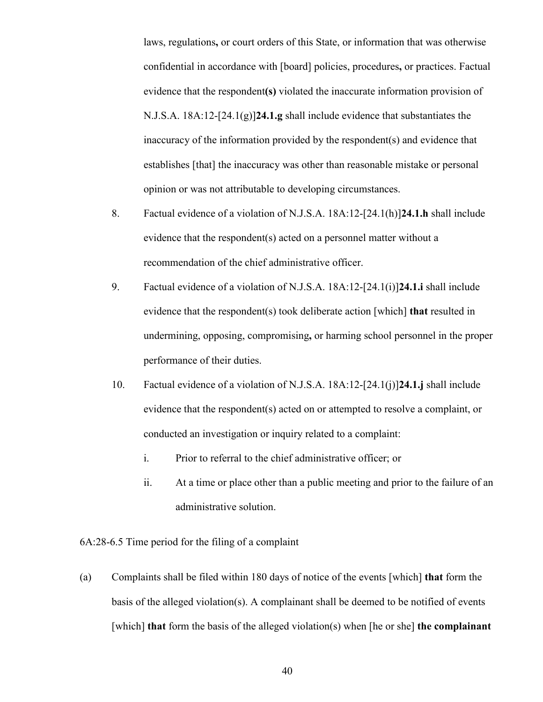laws, regulations**,** or court orders of this State, or information that was otherwise confidential in accordance with [board] policies, procedures**,** or practices. Factual evidence that the respondent**(s)** violated the inaccurate information provision of N.J.S.A. 18A:12-[24.1(g)]**24.1.g** shall include evidence that substantiates the inaccuracy of the information provided by the respondent(s) and evidence that establishes [that] the inaccuracy was other than reasonable mistake or personal opinion or was not attributable to developing circumstances.

- 8. Factual evidence of a violation of N.J.S.A. 18A:12-[24.1(h)]**24.1.h** shall include evidence that the respondent(s) acted on a personnel matter without a recommendation of the chief administrative officer.
- 9. Factual evidence of a violation of N.J.S.A. 18A:12-[24.1(i)]**24.1.i** shall include evidence that the respondent(s) took deliberate action [which] **that** resulted in undermining, opposing, compromising**,** or harming school personnel in the proper performance of their duties.
- 10. Factual evidence of a violation of N.J.S.A. 18A:12-[24.1(j)]**24.1.j** shall include evidence that the respondent(s) acted on or attempted to resolve a complaint, or conducted an investigation or inquiry related to a complaint:
	- i. Prior to referral to the chief administrative officer; or
	- ii. At a time or place other than a public meeting and prior to the failure of an administrative solution.

#### 6A:28-6.5 Time period for the filing of a complaint

(a) Complaints shall be filed within 180 days of notice of the events [which] **that** form the basis of the alleged violation(s). A complainant shall be deemed to be notified of events [which] **that** form the basis of the alleged violation(s) when [he or she] **the complainant**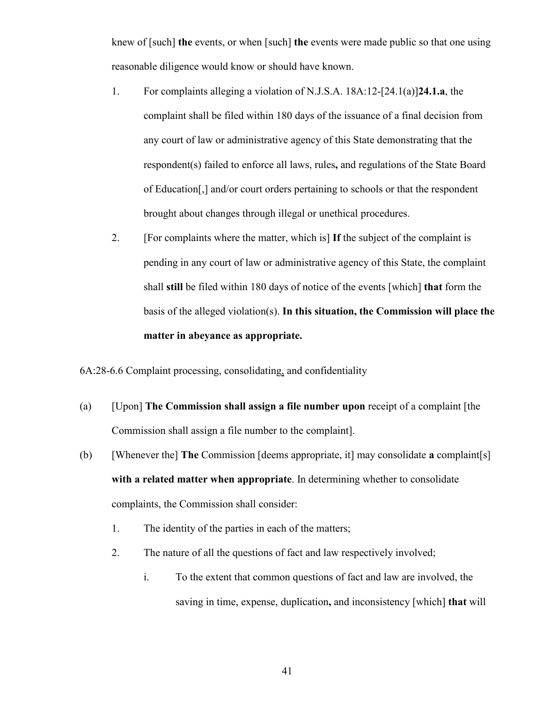knew of [such] **the** events, or when [such] **the** events were made public so that one using reasonable diligence would know or should have known.

- 1. For complaints alleging a violation of N.J.S.A. 18A:12-[24.1(a)]**24.1.a**, the complaint shall be filed within 180 days of the issuance of a final decision from any court of law or administrative agency of this State demonstrating that the respondent(s) failed to enforce all laws, rules**,** and regulations of the State Board of Education[,] and/or court orders pertaining to schools or that the respondent brought about changes through illegal or unethical procedures.
- 2. [For complaints where the matter, which is] **If** the subject of the complaint is pending in any court of law or administrative agency of this State, the complaint shall **still** be filed within 180 days of notice of the events [which] **that** form the basis of the alleged violation(s). **In this situation, the Commission will place the matter in abeyance as appropriate.**

6A:28-6.6 Complaint processing, consolidating, and confidentiality

- (a) [Upon] **The Commission shall assign a file number upon** receipt of a complaint [the Commission shall assign a file number to the complaint].
- (b) [Whenever the] **The** Commission [deems appropriate, it] may consolidate **a** complaint[s] **with a related matter when appropriate**. In determining whether to consolidate complaints, the Commission shall consider:
	- 1. The identity of the parties in each of the matters;
	- 2. The nature of all the questions of fact and law respectively involved;
		- i. To the extent that common questions of fact and law are involved, the saving in time, expense, duplication**,** and inconsistency [which] **that** will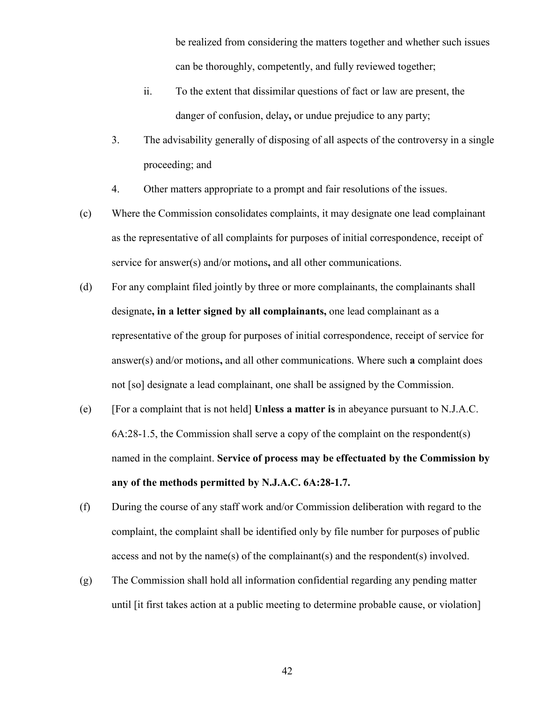be realized from considering the matters together and whether such issues can be thoroughly, competently, and fully reviewed together;

- ii. To the extent that dissimilar questions of fact or law are present, the danger of confusion, delay**,** or undue prejudice to any party;
- 3. The advisability generally of disposing of all aspects of the controversy in a single proceeding; and
- 4. Other matters appropriate to a prompt and fair resolutions of the issues.
- (c) Where the Commission consolidates complaints, it may designate one lead complainant as the representative of all complaints for purposes of initial correspondence, receipt of service for answer(s) and/or motions**,** and all other communications.
- (d) For any complaint filed jointly by three or more complainants, the complainants shall designate**, in a letter signed by all complainants,** one lead complainant as a representative of the group for purposes of initial correspondence, receipt of service for answer(s) and/or motions**,** and all other communications. Where such **a** complaint does not [so] designate a lead complainant, one shall be assigned by the Commission.
- (e) [For a complaint that is not held] **Unless a matter is** in abeyance pursuant to N.J.A.C. 6A:28-1.5, the Commission shall serve a copy of the complaint on the respondent(s) named in the complaint. **Service of process may be effectuated by the Commission by any of the methods permitted by N.J.A.C. 6A:28-1.7.**
- (f) During the course of any staff work and/or Commission deliberation with regard to the complaint, the complaint shall be identified only by file number for purposes of public access and not by the name(s) of the complainant(s) and the respondent(s) involved.
- (g) The Commission shall hold all information confidential regarding any pending matter until [it first takes action at a public meeting to determine probable cause, or violation]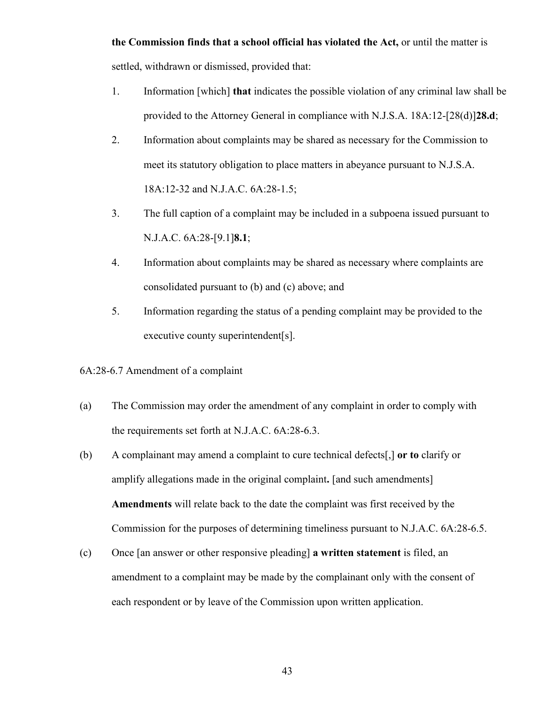**the Commission finds that a school official has violated the Act,** or until the matter is settled, withdrawn or dismissed, provided that:

- 1. Information [which] **that** indicates the possible violation of any criminal law shall be provided to the Attorney General in compliance with N.J.S.A. 18A:12-[28(d)]**28.d**;
- 2. Information about complaints may be shared as necessary for the Commission to meet its statutory obligation to place matters in abeyance pursuant to N.J.S.A. 18A:12-32 and N.J.A.C. 6A:28-1.5;
- 3. The full caption of a complaint may be included in a subpoena issued pursuant to N.J.A.C. 6A:28-[9.1]**8.1**;
- 4. Information about complaints may be shared as necessary where complaints are consolidated pursuant to (b) and (c) above; and
- 5. Information regarding the status of a pending complaint may be provided to the executive county superintendent[s].

6A:28-6.7 Amendment of a complaint

- (a) The Commission may order the amendment of any complaint in order to comply with the requirements set forth at N.J.A.C. 6A:28-6.3.
- (b) A complainant may amend a complaint to cure technical defects[,] **or to** clarify or amplify allegations made in the original complaint**.** [and such amendments] **Amendments** will relate back to the date the complaint was first received by the Commission for the purposes of determining timeliness pursuant to N.J.A.C. 6A:28-6.5.
- (c) Once [an answer or other responsive pleading] **a written statement** is filed, an amendment to a complaint may be made by the complainant only with the consent of each respondent or by leave of the Commission upon written application.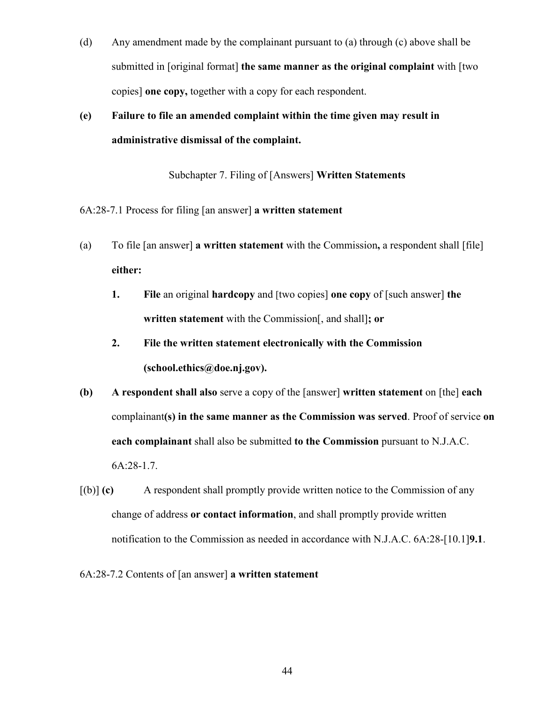(d) Any amendment made by the complainant pursuant to (a) through (c) above shall be submitted in [original format] **the same manner as the original complaint** with [two copies] **one copy,** together with a copy for each respondent.

# **(e) Failure to file an amended complaint within the time given may result in administrative dismissal of the complaint.**

Subchapter 7. Filing of [Answers] **Written Statements**

## 6A:28-7.1 Process for filing [an answer] **a written statement**

- (a) To file [an answer] **a written statement** with the Commission**,** a respondent shall [file] **either:**
	- **1. File** an original **hardcopy** and [two copies] **one copy** of [such answer] **the written statement** with the Commission[, and shall]**; or**
	- **2. File the written statement electronically with the Commission (school.ethics@doe.nj.gov).**
- **(b) A respondent shall also** serve a copy of the [answer] **written statement** on [the] **each** complainant**(s) in the same manner as the Commission was served**. Proof of service **on each complainant** shall also be submitted **to the Commission** pursuant to N.J.A.C. 6A:28-1.7.
- [(b)] **(c)** A respondent shall promptly provide written notice to the Commission of any change of address **or contact information**, and shall promptly provide written notification to the Commission as needed in accordance with N.J.A.C. 6A:28-[10.1]**9.1**.

6A:28-7.2 Contents of [an answer] **a written statement**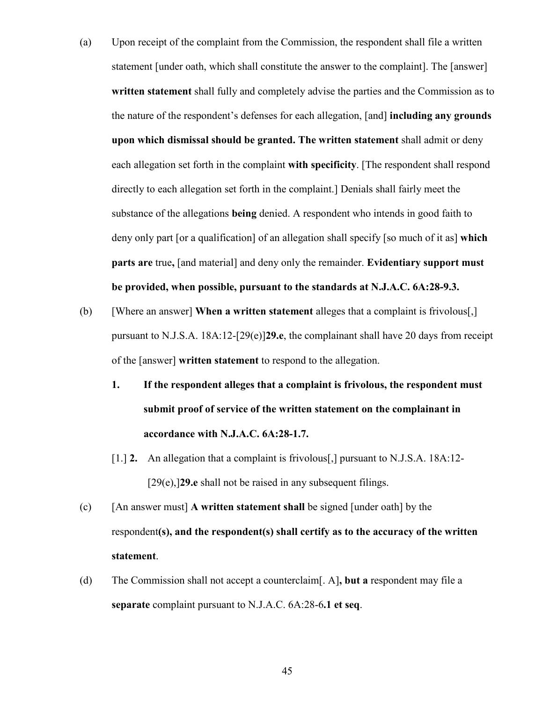- (a) Upon receipt of the complaint from the Commission, the respondent shall file a written statement [under oath, which shall constitute the answer to the complaint]. The [answer] **written statement** shall fully and completely advise the parties and the Commission as to the nature of the respondent's defenses for each allegation, [and] **including any grounds upon which dismissal should be granted. The written statement** shall admit or deny each allegation set forth in the complaint **with specificity**. [The respondent shall respond directly to each allegation set forth in the complaint.] Denials shall fairly meet the substance of the allegations **being** denied. A respondent who intends in good faith to deny only part [or a qualification] of an allegation shall specify [so much of it as] **which parts are** true**,** [and material] and deny only the remainder. **Evidentiary support must be provided, when possible, pursuant to the standards at N.J.A.C. 6A:28-9.3.**
- (b) [Where an answer] **When a written statement** alleges that a complaint is frivolous[,] pursuant to N.J.S.A. 18A:12-[29(e)]**29.e**, the complainant shall have 20 days from receipt of the [answer] **written statement** to respond to the allegation.
	- **1. If the respondent alleges that a complaint is frivolous, the respondent must submit proof of service of the written statement on the complainant in accordance with N.J.A.C. 6A:28-1.7.**
	- [1.] **2.** An allegation that a complaint is frivolous[,] pursuant to N.J.S.A. 18A:12- [29(e),]**29.e** shall not be raised in any subsequent filings.
- (c) [An answer must] **A written statement shall** be signed [under oath] by the respondent**(s), and the respondent(s) shall certify as to the accuracy of the written statement**.
- (d) The Commission shall not accept a counterclaim[. A]**, but a** respondent may file a **separate** complaint pursuant to N.J.A.C. 6A:28-6**.1 et seq**.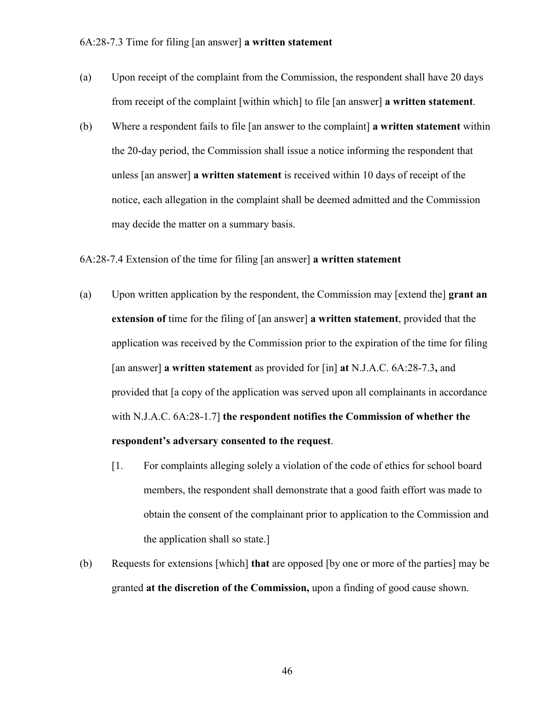- (a) Upon receipt of the complaint from the Commission, the respondent shall have 20 days from receipt of the complaint [within which] to file [an answer] **a written statement**.
- (b) Where a respondent fails to file [an answer to the complaint] **a written statement** within the 20-day period, the Commission shall issue a notice informing the respondent that unless [an answer] **a written statement** is received within 10 days of receipt of the notice, each allegation in the complaint shall be deemed admitted and the Commission may decide the matter on a summary basis.

## 6A:28-7.4 Extension of the time for filing [an answer] **a written statement**

- (a) Upon written application by the respondent, the Commission may [extend the] **grant an extension of** time for the filing of [an answer] **a written statement**, provided that the application was received by the Commission prior to the expiration of the time for filing [an answer] **a written statement** as provided for [in] **at** N.J.A.C. 6A:28-7.3**,** and provided that [a copy of the application was served upon all complainants in accordance with N.J.A.C. 6A:28-1.7] **the respondent notifies the Commission of whether the respondent's adversary consented to the request**.
	- [1. For complaints alleging solely a violation of the code of ethics for school board members, the respondent shall demonstrate that a good faith effort was made to obtain the consent of the complainant prior to application to the Commission and the application shall so state.]
- (b) Requests for extensions [which] **that** are opposed [by one or more of the parties] may be granted **at the discretion of the Commission,** upon a finding of good cause shown.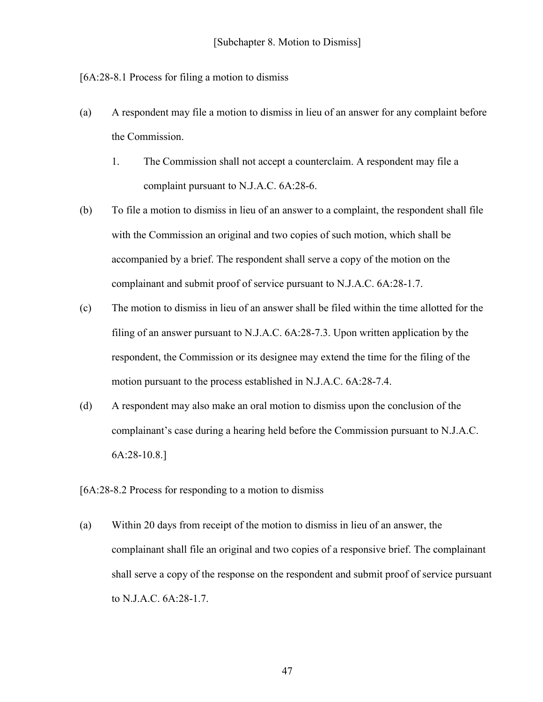[6A:28-8.1 Process for filing a motion to dismiss

- (a) A respondent may file a motion to dismiss in lieu of an answer for any complaint before the Commission.
	- 1. The Commission shall not accept a counterclaim. A respondent may file a complaint pursuant to N.J.A.C. 6A:28-6.
- (b) To file a motion to dismiss in lieu of an answer to a complaint, the respondent shall file with the Commission an original and two copies of such motion, which shall be accompanied by a brief. The respondent shall serve a copy of the motion on the complainant and submit proof of service pursuant to N.J.A.C. 6A:28-1.7.
- (c) The motion to dismiss in lieu of an answer shall be filed within the time allotted for the filing of an answer pursuant to N.J.A.C. 6A:28-7.3. Upon written application by the respondent, the Commission or its designee may extend the time for the filing of the motion pursuant to the process established in N.J.A.C. 6A:28-7.4.
- (d) A respondent may also make an oral motion to dismiss upon the conclusion of the complainant's case during a hearing held before the Commission pursuant to N.J.A.C. 6A:28-10.8.]
- [6A:28-8.2 Process for responding to a motion to dismiss
- (a) Within 20 days from receipt of the motion to dismiss in lieu of an answer, the complainant shall file an original and two copies of a responsive brief. The complainant shall serve a copy of the response on the respondent and submit proof of service pursuant to N.J.A.C. 6A:28-1.7.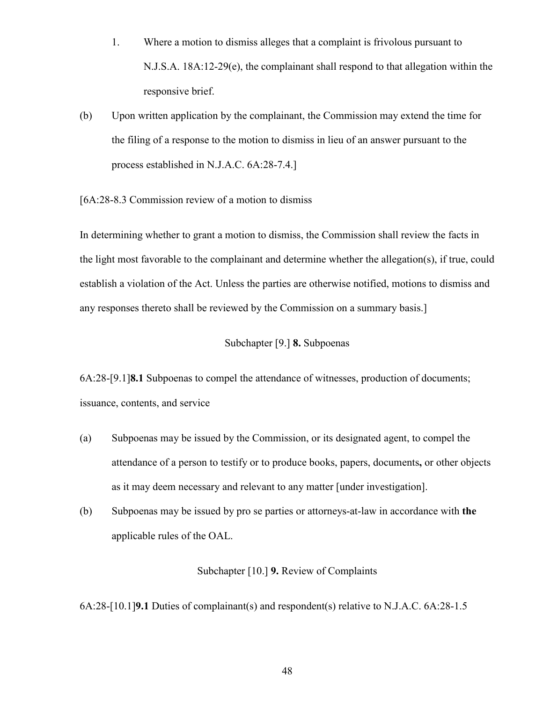- 1. Where a motion to dismiss alleges that a complaint is frivolous pursuant to N.J.S.A. 18A:12-29(e), the complainant shall respond to that allegation within the responsive brief.
- (b) Upon written application by the complainant, the Commission may extend the time for the filing of a response to the motion to dismiss in lieu of an answer pursuant to the process established in N.J.A.C. 6A:28-7.4.]

[6A:28-8.3 Commission review of a motion to dismiss

In determining whether to grant a motion to dismiss, the Commission shall review the facts in the light most favorable to the complainant and determine whether the allegation(s), if true, could establish a violation of the Act. Unless the parties are otherwise notified, motions to dismiss and any responses thereto shall be reviewed by the Commission on a summary basis.]

## Subchapter [9.] **8.** Subpoenas

6A:28-[9.1]**8.1** Subpoenas to compel the attendance of witnesses, production of documents; issuance, contents, and service

- (a) Subpoenas may be issued by the Commission, or its designated agent, to compel the attendance of a person to testify or to produce books, papers, documents**,** or other objects as it may deem necessary and relevant to any matter [under investigation].
- (b) Subpoenas may be issued by pro se parties or attorneys-at-law in accordance with **the** applicable rules of the OAL.

Subchapter [10.] **9.** Review of Complaints

6A:28-[10.1]**9.1** Duties of complainant(s) and respondent(s) relative to N.J.A.C. 6A:28-1.5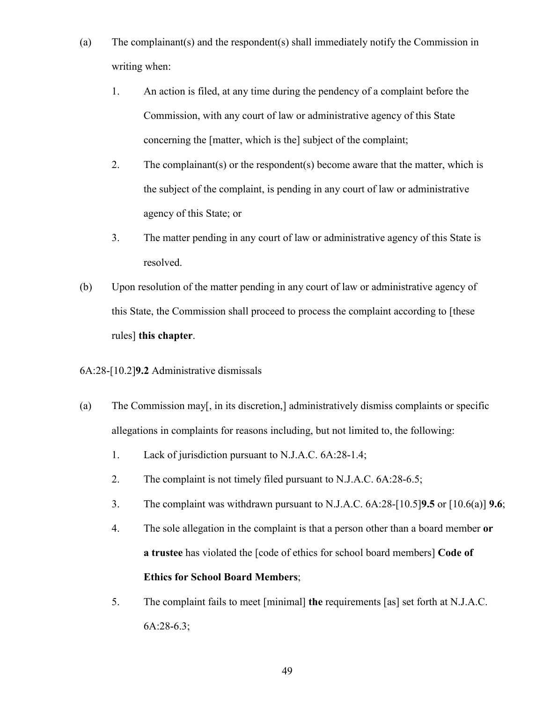- (a) The complainant(s) and the respondent(s) shall immediately notify the Commission in writing when:
	- 1. An action is filed, at any time during the pendency of a complaint before the Commission, with any court of law or administrative agency of this State concerning the [matter, which is the] subject of the complaint;
	- 2. The complainant(s) or the respondent(s) become aware that the matter, which is the subject of the complaint, is pending in any court of law or administrative agency of this State; or
	- 3. The matter pending in any court of law or administrative agency of this State is resolved.
- (b) Upon resolution of the matter pending in any court of law or administrative agency of this State, the Commission shall proceed to process the complaint according to [these rules] **this chapter**.
- 6A:28-[10.2]**9.2** Administrative dismissals
- (a) The Commission may[, in its discretion,] administratively dismiss complaints or specific allegations in complaints for reasons including, but not limited to, the following:
	- 1. Lack of jurisdiction pursuant to N.J.A.C. 6A:28-1.4;
	- 2. The complaint is not timely filed pursuant to N.J.A.C. 6A:28-6.5;
	- 3. The complaint was withdrawn pursuant to N.J.A.C. 6A:28-[10.5]**9.5** or [10.6(a)] **9.6**;
	- 4. The sole allegation in the complaint is that a person other than a board member **or a trustee** has violated the [code of ethics for school board members] **Code of Ethics for School Board Members**;
	- 5. The complaint fails to meet [minimal] **the** requirements [as] set forth at N.J.A.C. 6A:28-6.3;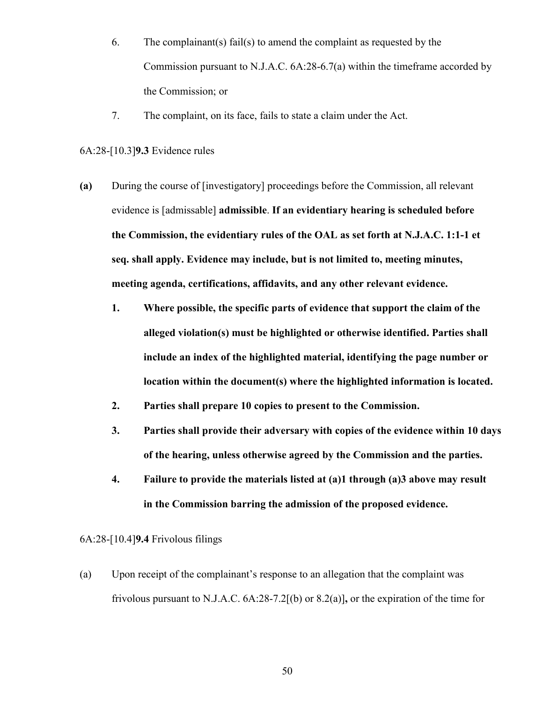- 6. The complainant(s) fail(s) to amend the complaint as requested by the Commission pursuant to N.J.A.C. 6A:28-6.7(a) within the timeframe accorded by the Commission; or
- 7. The complaint, on its face, fails to state a claim under the Act.

#### 6A:28-[10.3]**9.3** Evidence rules

- **(a)** During the course of [investigatory] proceedings before the Commission, all relevant evidence is [admissable] **admissible**. **If an evidentiary hearing is scheduled before the Commission, the evidentiary rules of the OAL as set forth at N.J.A.C. 1:1-1 et seq. shall apply. Evidence may include, but is not limited to, meeting minutes, meeting agenda, certifications, affidavits, and any other relevant evidence.**
	- **1. Where possible, the specific parts of evidence that support the claim of the alleged violation(s) must be highlighted or otherwise identified. Parties shall include an index of the highlighted material, identifying the page number or location within the document(s) where the highlighted information is located.**
	- **2. Parties shall prepare 10 copies to present to the Commission.**
	- **3. Parties shall provide their adversary with copies of the evidence within 10 days of the hearing, unless otherwise agreed by the Commission and the parties.**
	- **4. Failure to provide the materials listed at (a)1 through (a)3 above may result in the Commission barring the admission of the proposed evidence.**

#### 6A:28-[10.4]**9.4** Frivolous filings

(a) Upon receipt of the complainant's response to an allegation that the complaint was frivolous pursuant to N.J.A.C. 6A:28-7.2[(b) or 8.2(a)]**,** or the expiration of the time for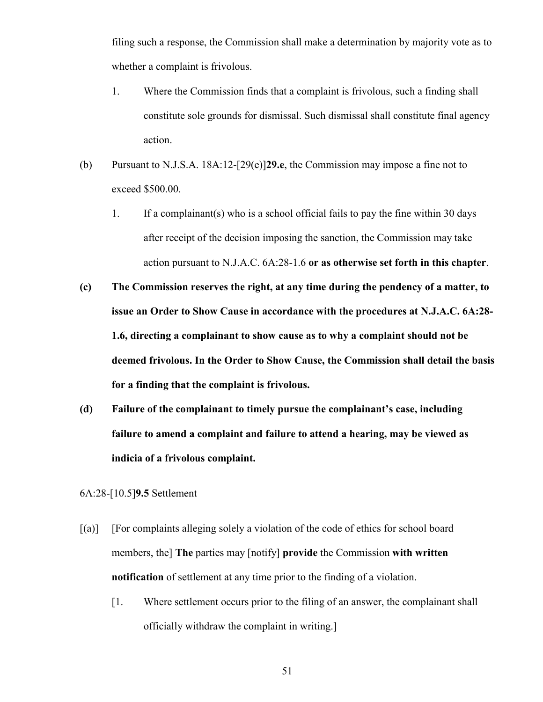filing such a response, the Commission shall make a determination by majority vote as to whether a complaint is frivolous.

- 1. Where the Commission finds that a complaint is frivolous, such a finding shall constitute sole grounds for dismissal. Such dismissal shall constitute final agency action.
- (b) Pursuant to N.J.S.A. 18A:12-[29(e)]**29.e**, the Commission may impose a fine not to exceed \$500.00.
	- 1. If a complainant(s) who is a school official fails to pay the fine within 30 days after receipt of the decision imposing the sanction, the Commission may take action pursuant to N.J.A.C. 6A:28-1.6 **or as otherwise set forth in this chapter**.
- **(c) The Commission reserves the right, at any time during the pendency of a matter, to issue an Order to Show Cause in accordance with the procedures at N.J.A.C. 6A:28- 1.6, directing a complainant to show cause as to why a complaint should not be deemed frivolous. In the Order to Show Cause, the Commission shall detail the basis for a finding that the complaint is frivolous.**
- **(d) Failure of the complainant to timely pursue the complainant's case, including failure to amend a complaint and failure to attend a hearing, may be viewed as indicia of a frivolous complaint.**

6A:28-[10.5]**9.5** Settlement

- [(a)] [For complaints alleging solely a violation of the code of ethics for school board members, the] **The** parties may [notify] **provide** the Commission **with written notification** of settlement at any time prior to the finding of a violation.
	- [1. Where settlement occurs prior to the filing of an answer, the complainant shall officially withdraw the complaint in writing.]

51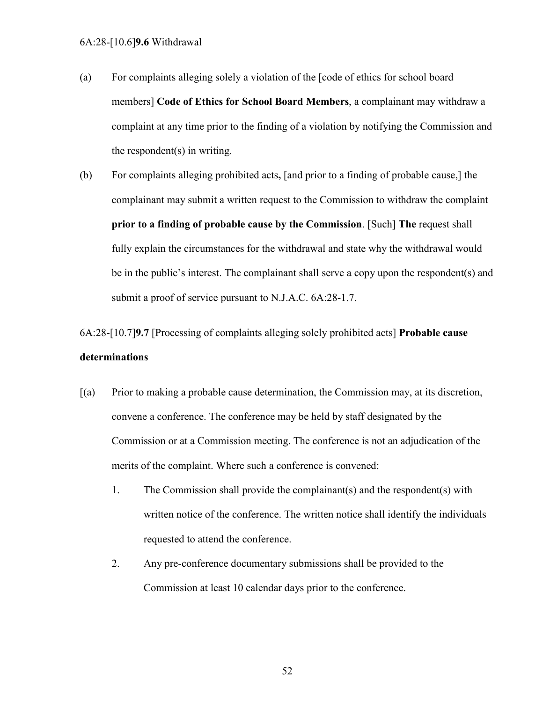- (a) For complaints alleging solely a violation of the [code of ethics for school board members] **Code of Ethics for School Board Members**, a complainant may withdraw a complaint at any time prior to the finding of a violation by notifying the Commission and the respondent(s) in writing.
- (b) For complaints alleging prohibited acts**,** [and prior to a finding of probable cause,] the complainant may submit a written request to the Commission to withdraw the complaint **prior to a finding of probable cause by the Commission**. [Such] **The** request shall fully explain the circumstances for the withdrawal and state why the withdrawal would be in the public's interest. The complainant shall serve a copy upon the respondent(s) and submit a proof of service pursuant to N.J.A.C. 6A:28-1.7.

6A:28-[10.7]**9.7** [Processing of complaints alleging solely prohibited acts] **Probable cause determinations**

- [(a) Prior to making a probable cause determination, the Commission may, at its discretion, convene a conference. The conference may be held by staff designated by the Commission or at a Commission meeting. The conference is not an adjudication of the merits of the complaint. Where such a conference is convened:
	- 1. The Commission shall provide the complainant(s) and the respondent(s) with written notice of the conference. The written notice shall identify the individuals requested to attend the conference.
	- 2. Any pre-conference documentary submissions shall be provided to the Commission at least 10 calendar days prior to the conference.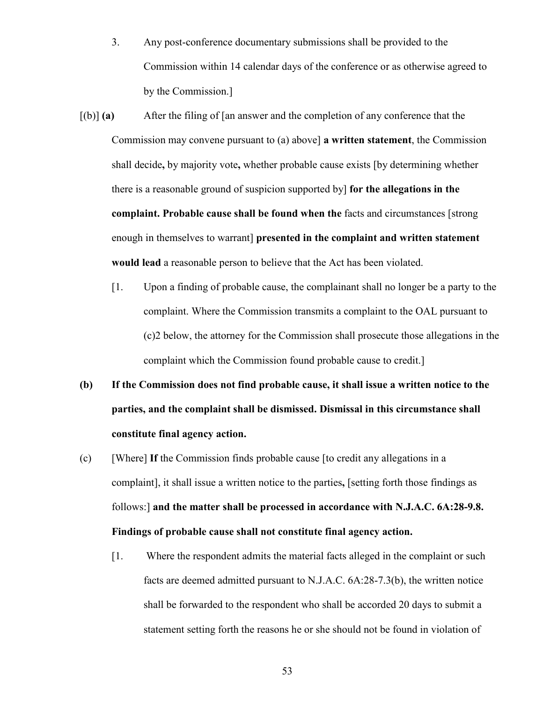- 3. Any post-conference documentary submissions shall be provided to the Commission within 14 calendar days of the conference or as otherwise agreed to by the Commission.]
- [(b)] **(a)** After the filing of [an answer and the completion of any conference that the Commission may convene pursuant to (a) above] **a written statement**, the Commission shall decide**,** by majority vote**,** whether probable cause exists [by determining whether there is a reasonable ground of suspicion supported by] **for the allegations in the complaint. Probable cause shall be found when the** facts and circumstances [strong enough in themselves to warrant] **presented in the complaint and written statement would lead** a reasonable person to believe that the Act has been violated.
	- [1. Upon a finding of probable cause, the complainant shall no longer be a party to the complaint. Where the Commission transmits a complaint to the OAL pursuant to (c)2 below, the attorney for the Commission shall prosecute those allegations in the complaint which the Commission found probable cause to credit.]
- **(b) If the Commission does not find probable cause, it shall issue a written notice to the parties, and the complaint shall be dismissed. Dismissal in this circumstance shall constitute final agency action.**
- (c) [Where] **If** the Commission finds probable cause [to credit any allegations in a complaint], it shall issue a written notice to the parties**,** [setting forth those findings as follows:] **and the matter shall be processed in accordance with N.J.A.C. 6A:28-9.8. Findings of probable cause shall not constitute final agency action.**
	- [1. Where the respondent admits the material facts alleged in the complaint or such facts are deemed admitted pursuant to N.J.A.C. 6A:28-7.3(b), the written notice shall be forwarded to the respondent who shall be accorded 20 days to submit a statement setting forth the reasons he or she should not be found in violation of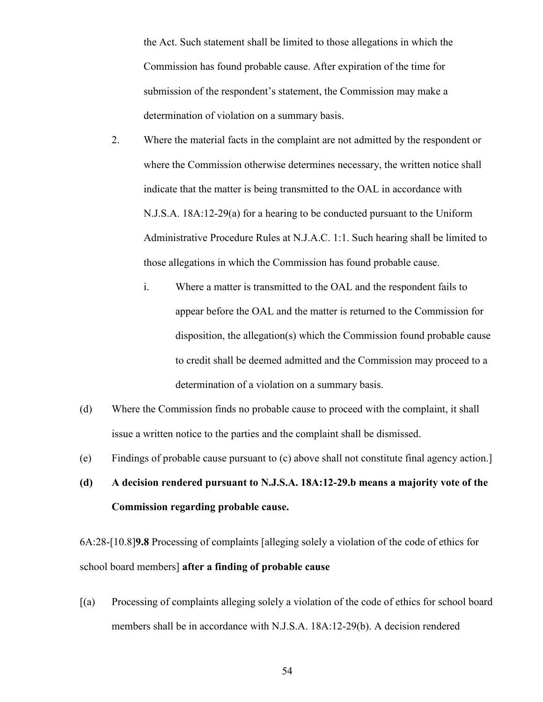the Act. Such statement shall be limited to those allegations in which the Commission has found probable cause. After expiration of the time for submission of the respondent's statement, the Commission may make a determination of violation on a summary basis.

- 2. Where the material facts in the complaint are not admitted by the respondent or where the Commission otherwise determines necessary, the written notice shall indicate that the matter is being transmitted to the OAL in accordance with N.J.S.A. 18A:12-29(a) for a hearing to be conducted pursuant to the Uniform Administrative Procedure Rules at N.J.A.C. 1:1. Such hearing shall be limited to those allegations in which the Commission has found probable cause.
	- i. Where a matter is transmitted to the OAL and the respondent fails to appear before the OAL and the matter is returned to the Commission for disposition, the allegation(s) which the Commission found probable cause to credit shall be deemed admitted and the Commission may proceed to a determination of a violation on a summary basis.
- (d) Where the Commission finds no probable cause to proceed with the complaint, it shall issue a written notice to the parties and the complaint shall be dismissed.
- (e) Findings of probable cause pursuant to (c) above shall not constitute final agency action.]
- **(d) A decision rendered pursuant to N.J.S.A. 18A:12-29.b means a majority vote of the Commission regarding probable cause.**

6A:28-[10.8]**9.8** Processing of complaints [alleging solely a violation of the code of ethics for school board members] **after a finding of probable cause**

[(a) Processing of complaints alleging solely a violation of the code of ethics for school board members shall be in accordance with N.J.S.A. 18A:12-29(b). A decision rendered

54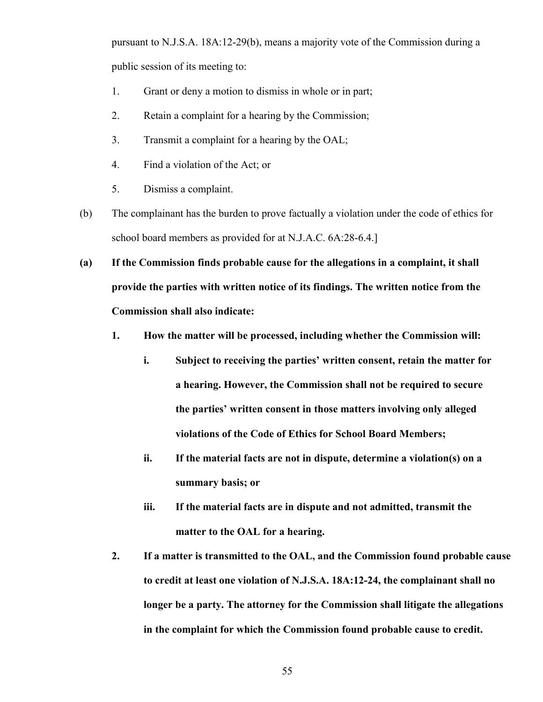pursuant to N.J.S.A. 18A:12-29(b), means a majority vote of the Commission during a public session of its meeting to:

- 1. Grant or deny a motion to dismiss in whole or in part;
- 2. Retain a complaint for a hearing by the Commission;
- 3. Transmit a complaint for a hearing by the OAL;
- 4. Find a violation of the Act; or
- 5. Dismiss a complaint.
- (b) The complainant has the burden to prove factually a violation under the code of ethics for school board members as provided for at N.J.A.C. 6A:28-6.4.]
- **(a) If the Commission finds probable cause for the allegations in a complaint, it shall provide the parties with written notice of its findings. The written notice from the Commission shall also indicate:**
	- **1. How the matter will be processed, including whether the Commission will:** 
		- **i. Subject to receiving the parties' written consent, retain the matter for a hearing. However, the Commission shall not be required to secure the parties' written consent in those matters involving only alleged violations of the Code of Ethics for School Board Members;**
		- **ii. If the material facts are not in dispute, determine a violation(s) on a summary basis; or**
		- **iii. If the material facts are in dispute and not admitted, transmit the matter to the OAL for a hearing.**
	- **2. If a matter is transmitted to the OAL, and the Commission found probable cause to credit at least one violation of N.J.S.A. 18A:12-24, the complainant shall no longer be a party. The attorney for the Commission shall litigate the allegations in the complaint for which the Commission found probable cause to credit.**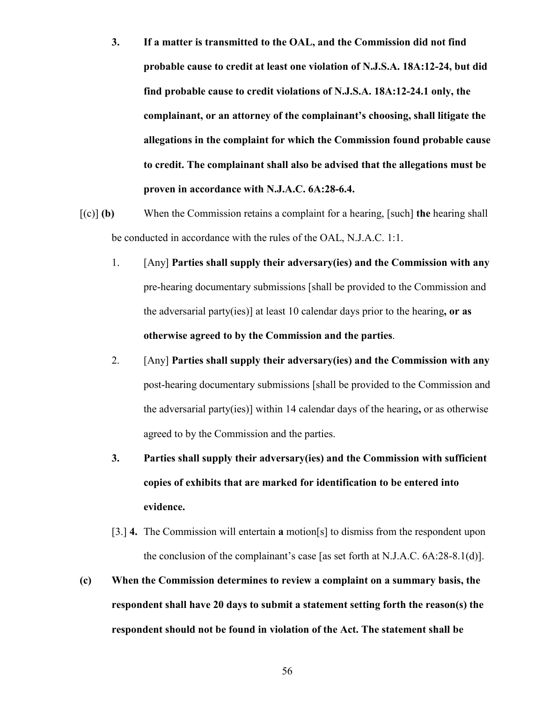- **3. If a matter is transmitted to the OAL, and the Commission did not find probable cause to credit at least one violation of N.J.S.A. 18A:12-24, but did find probable cause to credit violations of N.J.S.A. 18A:12-24.1 only, the complainant, or an attorney of the complainant's choosing, shall litigate the allegations in the complaint for which the Commission found probable cause to credit. The complainant shall also be advised that the allegations must be proven in accordance with N.J.A.C. 6A:28-6.4.**
- [(c)] **(b)** When the Commission retains a complaint for a hearing, [such] **the** hearing shall be conducted in accordance with the rules of the OAL, N.J.A.C. 1:1.
	- 1. [Any] **Parties shall supply their adversary(ies) and the Commission with any** pre-hearing documentary submissions [shall be provided to the Commission and the adversarial party(ies)] at least 10 calendar days prior to the hearing**, or as otherwise agreed to by the Commission and the parties**.
	- 2. [Any] **Parties shall supply their adversary(ies) and the Commission with any** post-hearing documentary submissions [shall be provided to the Commission and the adversarial party(ies)] within 14 calendar days of the hearing**,** or as otherwise agreed to by the Commission and the parties.
	- **3. Parties shall supply their adversary(ies) and the Commission with sufficient copies of exhibits that are marked for identification to be entered into evidence.**
	- [3.] **4.** The Commission will entertain **a** motion[s] to dismiss from the respondent upon the conclusion of the complainant's case [as set forth at N.J.A.C. 6A:28-8.1(d)].
- **(c) When the Commission determines to review a complaint on a summary basis, the respondent shall have 20 days to submit a statement setting forth the reason(s) the respondent should not be found in violation of the Act. The statement shall be**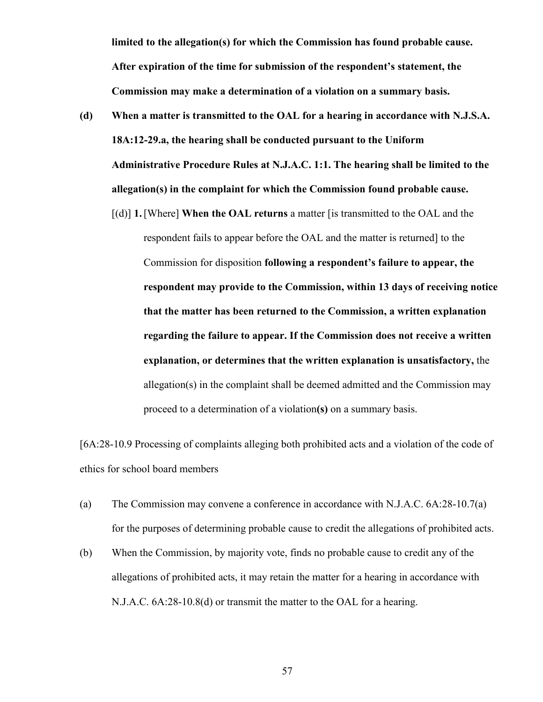**limited to the allegation(s) for which the Commission has found probable cause. After expiration of the time for submission of the respondent's statement, the Commission may make a determination of a violation on a summary basis.**

- **(d) When a matter is transmitted to the OAL for a hearing in accordance with N.J.S.A. 18A:12-29.a, the hearing shall be conducted pursuant to the Uniform Administrative Procedure Rules at N.J.A.C. 1:1. The hearing shall be limited to the allegation(s) in the complaint for which the Commission found probable cause.**
	- [(d)] **1.**[Where] **When the OAL returns** a matter [is transmitted to the OAL and the respondent fails to appear before the OAL and the matter is returned] to the Commission for disposition **following a respondent's failure to appear, the respondent may provide to the Commission, within 13 days of receiving notice that the matter has been returned to the Commission, a written explanation regarding the failure to appear. If the Commission does not receive a written explanation, or determines that the written explanation is unsatisfactory,** the allegation(s) in the complaint shall be deemed admitted and the Commission may proceed to a determination of a violation**(s)** on a summary basis.

[6A:28-10.9 Processing of complaints alleging both prohibited acts and a violation of the code of ethics for school board members

- (a) The Commission may convene a conference in accordance with N.J.A.C. 6A:28-10.7(a) for the purposes of determining probable cause to credit the allegations of prohibited acts.
- (b) When the Commission, by majority vote, finds no probable cause to credit any of the allegations of prohibited acts, it may retain the matter for a hearing in accordance with N.J.A.C. 6A:28-10.8(d) or transmit the matter to the OAL for a hearing.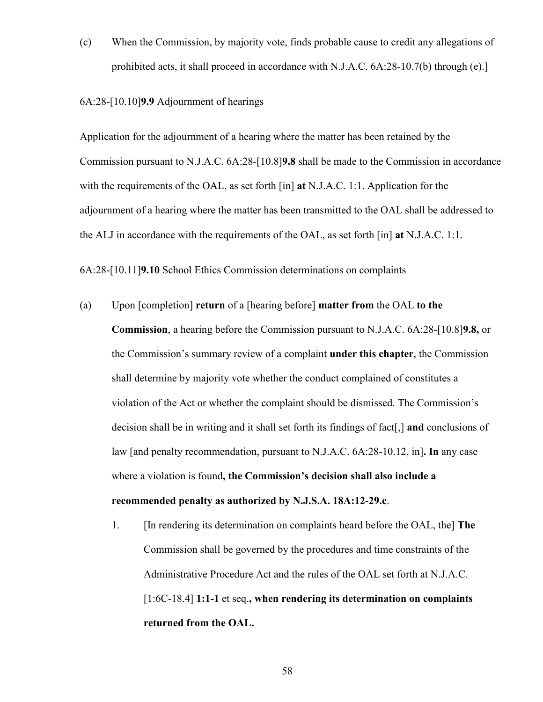(c) When the Commission, by majority vote, finds probable cause to credit any allegations of prohibited acts, it shall proceed in accordance with N.J.A.C. 6A:28-10.7(b) through (e).]

#### 6A:28-[10.10]**9.9** Adjournment of hearings

Application for the adjournment of a hearing where the matter has been retained by the Commission pursuant to N.J.A.C. 6A:28-[10.8]**9.8** shall be made to the Commission in accordance with the requirements of the OAL, as set forth [in] **at** N.J.A.C. 1:1. Application for the adjournment of a hearing where the matter has been transmitted to the OAL shall be addressed to the ALJ in accordance with the requirements of the OAL, as set forth [in] **at** N.J.A.C. 1:1.

6A:28-[10.11]**9.10** School Ethics Commission determinations on complaints

- (a) Upon [completion] **return** of a [hearing before] **matter from** the OAL **to the Commission**, a hearing before the Commission pursuant to N.J.A.C. 6A:28-[10.8]**9.8,** or the Commission's summary review of a complaint **under this chapter**, the Commission shall determine by majority vote whether the conduct complained of constitutes a violation of the Act or whether the complaint should be dismissed. The Commission's decision shall be in writing and it shall set forth its findings of fact[,] **and** conclusions of law [and penalty recommendation, pursuant to N.J.A.C. 6A:28-10.12, in]**. In** any case where a violation is found**, the Commission's decision shall also include a recommended penalty as authorized by N.J.S.A. 18A:12-29.c**.
	- 1. [In rendering its determination on complaints heard before the OAL, the] **The** Commission shall be governed by the procedures and time constraints of the Administrative Procedure Act and the rules of the OAL set forth at N.J.A.C. [1:6C-18.4] **1:1-1** et seq.**, when rendering its determination on complaints returned from the OAL.**

58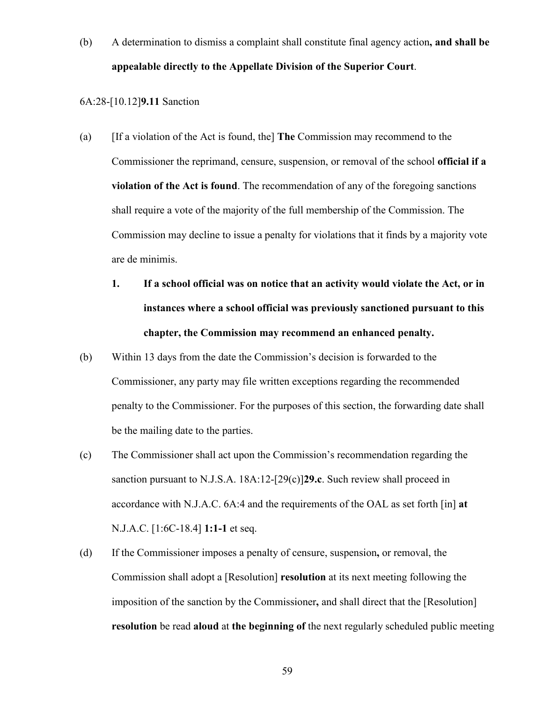(b) A determination to dismiss a complaint shall constitute final agency action**, and shall be appealable directly to the Appellate Division of the Superior Court**.

#### 6A:28-[10.12]**9.11** Sanction

- (a) [If a violation of the Act is found, the] **The** Commission may recommend to the Commissioner the reprimand, censure, suspension, or removal of the school **official if a violation of the Act is found**. The recommendation of any of the foregoing sanctions shall require a vote of the majority of the full membership of the Commission. The Commission may decline to issue a penalty for violations that it finds by a majority vote are de minimis.
	- **1. If a school official was on notice that an activity would violate the Act, or in instances where a school official was previously sanctioned pursuant to this chapter, the Commission may recommend an enhanced penalty.**
- (b) Within 13 days from the date the Commission's decision is forwarded to the Commissioner, any party may file written exceptions regarding the recommended penalty to the Commissioner. For the purposes of this section, the forwarding date shall be the mailing date to the parties.
- (c) The Commissioner shall act upon the Commission's recommendation regarding the sanction pursuant to N.J.S.A. 18A:12-[29(c)]**29.c**. Such review shall proceed in accordance with N.J.A.C. 6A:4 and the requirements of the OAL as set forth [in] **at** N.J.A.C. [1:6C-18.4] **1:1-1** et seq.
- (d) If the Commissioner imposes a penalty of censure, suspension**,** or removal, the Commission shall adopt a [Resolution] **resolution** at its next meeting following the imposition of the sanction by the Commissioner**,** and shall direct that the [Resolution] **resolution** be read **aloud** at **the beginning of** the next regularly scheduled public meeting

59